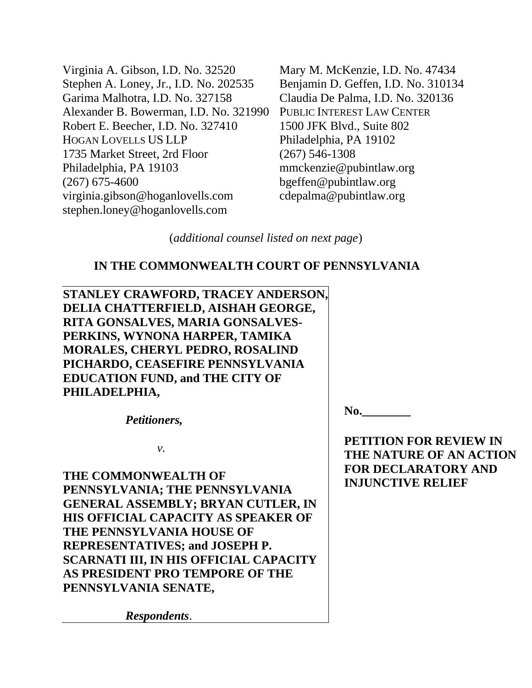Virginia A. Gibson, I.D. No. 32520 Stephen A. Loney, Jr., I.D. No. 202535 Garima Malhotra, I.D. No. 327158 Alexander B. Bowerman, I.D. No. 321990 Robert E. Beecher, I.D. No. 327410 HOGAN LOVELLS US LLP 1735 Market Street, 2rd Floor Philadelphia, PA 19103 (267) 675-4600 virginia.gibson@hoganlovells.com stephen.loney@hoganlovells.com

Mary M. McKenzie, I.D. No. 47434 Benjamin D. Geffen, I.D. No. 310134 Claudia De Palma, I.D. No. 320136 PUBLIC INTEREST LAW CENTER 1500 JFK Blvd., Suite 802 Philadelphia, PA 19102 (267) 546-1308 mmckenzie@pubintlaw.org bgeffen@pubintlaw.org cdepalma@pubintlaw.org

(*additional counsel listed on next page*)

# **IN THE COMMONWEALTH COURT OF PENNSYLVANIA**

**STANLEY CRAWFORD, TRACEY ANDERSON, DELIA CHATTERFIELD, AISHAH GEORGE, RITA GONSALVES, MARIA GONSALVES-PERKINS, WYNONA HARPER, TAMIKA MORALES, CHERYL PEDRO, ROSALIND PICHARDO, CEASEFIRE PENNSYLVANIA EDUCATION FUND, and THE CITY OF PHILADELPHIA,** 

*Petitioners,*

*v.*

**THE COMMONWEALTH OF PENNSYLVANIA; THE PENNSYLVANIA GENERAL ASSEMBLY; BRYAN CUTLER, IN HIS OFFICIAL CAPACITY AS SPEAKER OF THE PENNSYLVANIA HOUSE OF REPRESENTATIVES; and JOSEPH P. SCARNATI III, IN HIS OFFICIAL CAPACITY AS PRESIDENT PRO TEMPORE OF THE PENNSYLVANIA SENATE,**

*Respondents*.

**No.\_\_\_\_\_\_\_\_**

**PETITION FOR REVIEW IN THE NATURE OF AN ACTION FOR DECLARATORY AND INJUNCTIVE RELIEF**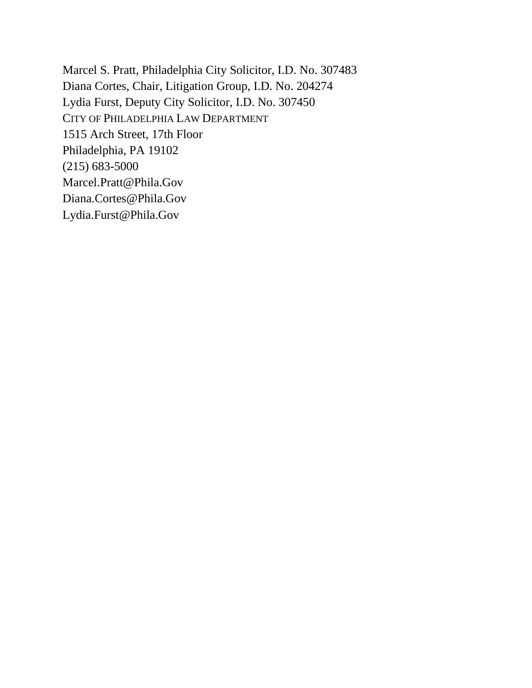Marcel S. Pratt, Philadelphia City Solicitor, I.D. No. 307483 Diana Cortes, Chair, Litigation Group, I.D. No. 204274 Lydia Furst, Deputy City Solicitor, I.D. No. 307450 CITY OF PHILADELPHIA LAW DEPARTMENT 1515 Arch Street, 17th Floor Philadelphia, PA 19102 (215) 683-5000 [Marcel.Pratt@Phila.Gov](mailto:marcel.pratt@phila.gov) [Diana.Cortes@Phila.Gov](mailto:diana.cortes@phila.gov) Lydia.Furst@Phila.Gov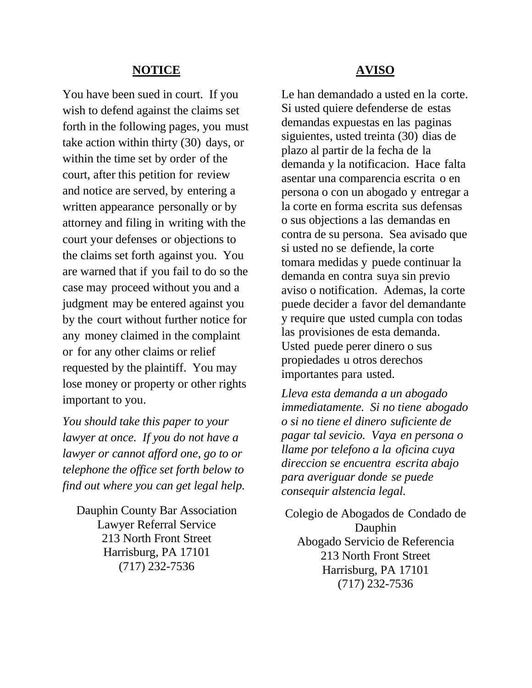### **NOTICE**

You have been sued in court. If you wish to defend against the claims set forth in the following pages, you must take action within thirty (30) days, or within the time set by order of the court, after this petition for review and notice are served, by entering a written appearance personally or by attorney and filing in writing with the court your defenses or objections to the claims set forth against you. You are warned that if you fail to do so the case may proceed without you and a judgment may be entered against you by the court without further notice for any money claimed in the complaint or for any other claims or relief requested by the plaintiff. You may lose money or property or other rights important to you.

*You should take this paper to your lawyer at once. If you do not have a lawyer or cannot afford one, go to or telephone the office set forth below to find out where you can get legal help.*

Dauphin County Bar Association Lawyer Referral Service 213 North Front Street Harrisburg, PA 17101 (717) 232-7536

#### **AVISO**

Le han demandado a usted en la corte. Si usted quiere defenderse de estas demandas expuestas en las paginas siguientes, usted treinta (30) dias de plazo al partir de la fecha de la demanda y la notificacion. Hace falta asentar una comparencia escrita o en persona o con un abogado y entregar a la corte en forma escrita sus defensas o sus objections a las demandas en contra de su persona. Sea avisado que si usted no se defiende, la corte tomara medidas y puede continuar la demanda en contra suya sin previo aviso o notification. Ademas, la corte puede decider a favor del demandante y require que usted cumpla con todas las provisiones de esta demanda. Usted puede perer dinero o sus propiedades u otros derechos importantes para usted.

*Lleva esta demanda a un abogado immediatamente. Si no tiene abogado o si no tiene el dinero suficiente de pagar tal sevicio. Vaya en persona o llame por telefono a la oficina cuya direccion se encuentra escrita abajo para averiguar donde se puede consequir alstencia legal.*

Colegio de Abogados de Condado de Dauphin Abogado Servicio de Referencia 213 North Front Street Harrisburg, PA 17101 (717) 232-7536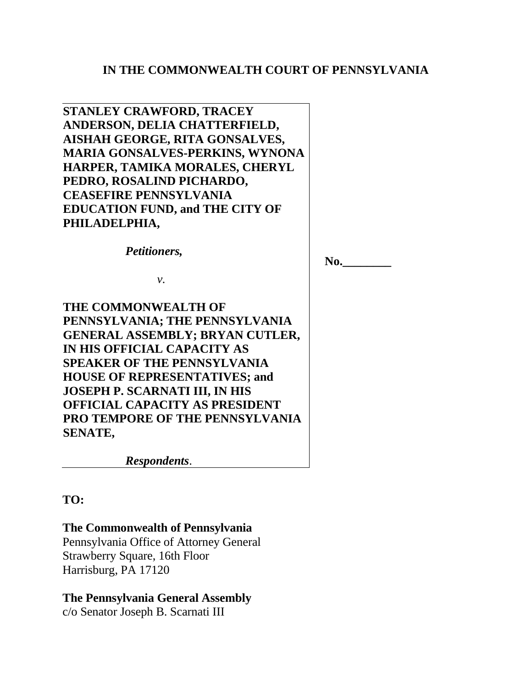# **IN THE COMMONWEALTH COURT OF PENNSYLVANIA**

**STANLEY CRAWFORD, TRACEY ANDERSON, DELIA CHATTERFIELD, AISHAH GEORGE, RITA GONSALVES, MARIA GONSALVES-PERKINS, WYNONA HARPER, TAMIKA MORALES, CHERYL PEDRO, ROSALIND PICHARDO, CEASEFIRE PENNSYLVANIA EDUCATION FUND, and THE CITY OF PHILADELPHIA,** 

*Petitioners,*

**No.\_\_\_\_\_\_\_\_**

*v.*

**THE COMMONWEALTH OF PENNSYLVANIA; THE PENNSYLVANIA GENERAL ASSEMBLY; BRYAN CUTLER, IN HIS OFFICIAL CAPACITY AS SPEAKER OF THE PENNSYLVANIA HOUSE OF REPRESENTATIVES; and JOSEPH P. SCARNATI III, IN HIS OFFICIAL CAPACITY AS PRESIDENT PRO TEMPORE OF THE PENNSYLVANIA SENATE,**

*Respondents*.

**TO:**

# **The Commonwealth of Pennsylvania**

Pennsylvania Office of Attorney General Strawberry Square, 16th Floor Harrisburg, PA 17120

# **The Pennsylvania General Assembly**

c/o Senator Joseph B. Scarnati III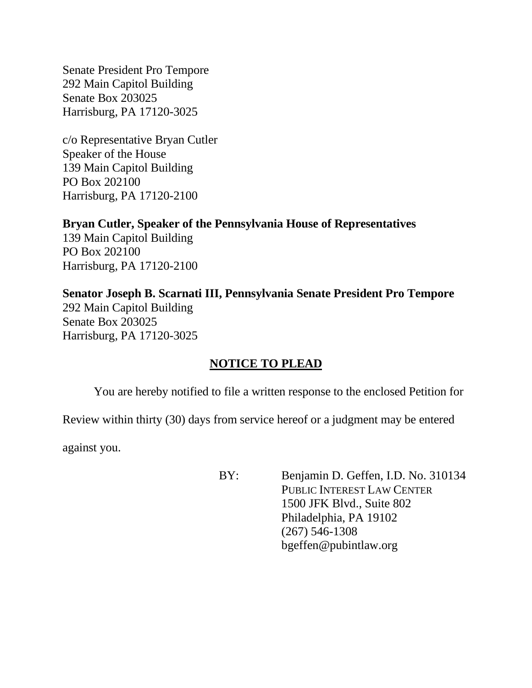Senate President Pro Tempore 292 Main Capitol Building Senate Box 203025 Harrisburg, PA 17120-3025

c/o Representative Bryan Cutler Speaker of the House 139 Main Capitol Building PO Box 202100 Harrisburg, PA 17120-2100

# **Bryan Cutler, Speaker of the Pennsylvania House of Representatives**

139 Main Capitol Building PO Box 202100 Harrisburg, PA 17120-2100

# **Senator Joseph B. Scarnati III, Pennsylvania Senate President Pro Tempore**

292 Main Capitol Building Senate Box 203025 Harrisburg, PA 17120-3025

# **NOTICE TO PLEAD**

You are hereby notified to file a written response to the enclosed Petition for

Review within thirty (30) days from service hereof or a judgment may be entered

against you.

BY: Benjamin D. Geffen, I.D. No. 310134 PUBLIC INTEREST LAW CENTER 1500 JFK Blvd., Suite 802 Philadelphia, PA 19102 (267) 546-1308 bgeffen@pubintlaw.org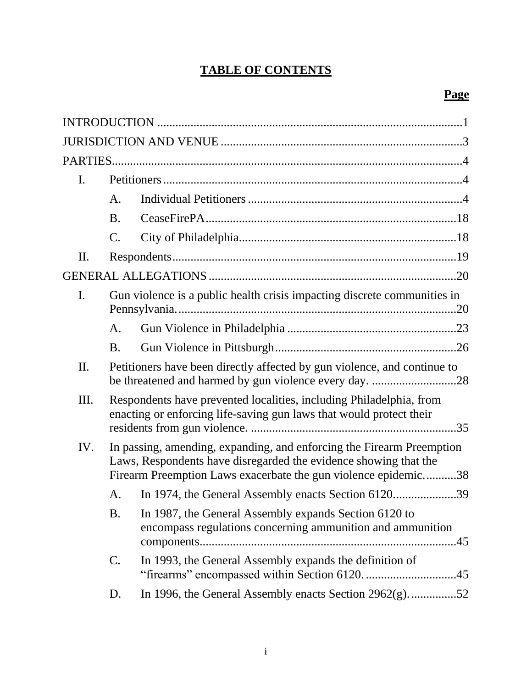# **TABLE OF CONTENTS**

| $\mathbf{I}$ . |                                                                                                                                                                                                             |                                                                                                                                            |  |
|----------------|-------------------------------------------------------------------------------------------------------------------------------------------------------------------------------------------------------------|--------------------------------------------------------------------------------------------------------------------------------------------|--|
|                | A.                                                                                                                                                                                                          |                                                                                                                                            |  |
|                | <b>B.</b>                                                                                                                                                                                                   |                                                                                                                                            |  |
|                | $\mathcal{C}$ .                                                                                                                                                                                             |                                                                                                                                            |  |
| Π.             |                                                                                                                                                                                                             |                                                                                                                                            |  |
|                |                                                                                                                                                                                                             |                                                                                                                                            |  |
| I.             | Gun violence is a public health crisis impacting discrete communities in                                                                                                                                    |                                                                                                                                            |  |
|                | А.                                                                                                                                                                                                          |                                                                                                                                            |  |
|                | <b>B.</b>                                                                                                                                                                                                   |                                                                                                                                            |  |
| II.            |                                                                                                                                                                                                             | Petitioners have been directly affected by gun violence, and continue to                                                                   |  |
| Ш.             |                                                                                                                                                                                                             | Respondents have prevented localities, including Philadelphia, from<br>enacting or enforcing life-saving gun laws that would protect their |  |
| IV.            | In passing, amending, expanding, and enforcing the Firearm Preemption<br>Laws, Respondents have disregarded the evidence showing that the<br>Firearm Preemption Laws exacerbate the gun violence epidemic38 |                                                                                                                                            |  |
|                | A.                                                                                                                                                                                                          | In 1974, the General Assembly enacts Section 612039                                                                                        |  |
|                | <b>B.</b>                                                                                                                                                                                                   | In 1987, the General Assembly expands Section 6120 to<br>encompass regulations concerning ammunition and ammunition                        |  |
|                | $\mathcal{C}$ .                                                                                                                                                                                             | In 1993, the General Assembly expands the definition of<br>"firearms" encompassed within Section 6120. 45                                  |  |
|                | D.                                                                                                                                                                                                          | In 1996, the General Assembly enacts Section $2962(g)$ 52                                                                                  |  |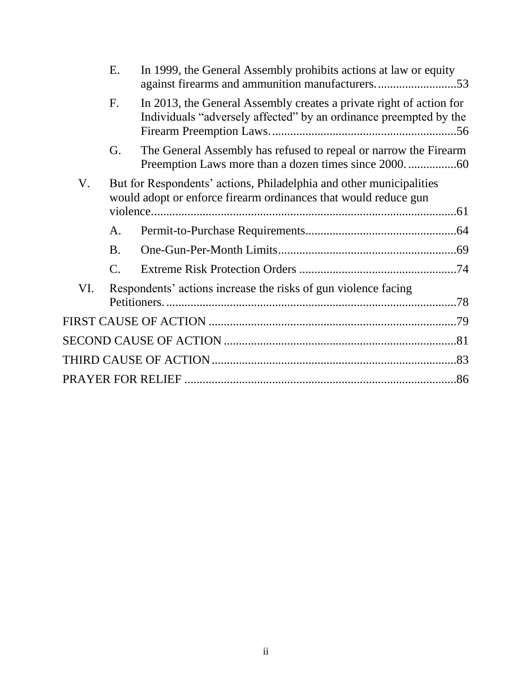| In 1999, the General Assembly prohibits actions at law or equity<br>against firearms and ammunition manufacturers53                      |
|------------------------------------------------------------------------------------------------------------------------------------------|
| In 2013, the General Assembly creates a private right of action for<br>Individuals "adversely affected" by an ordinance preempted by the |
| The General Assembly has refused to repeal or narrow the Firearm                                                                         |
|                                                                                                                                          |
|                                                                                                                                          |
|                                                                                                                                          |
|                                                                                                                                          |
|                                                                                                                                          |
|                                                                                                                                          |
|                                                                                                                                          |
|                                                                                                                                          |
|                                                                                                                                          |
|                                                                                                                                          |
|                                                                                                                                          |
|                                                                                                                                          |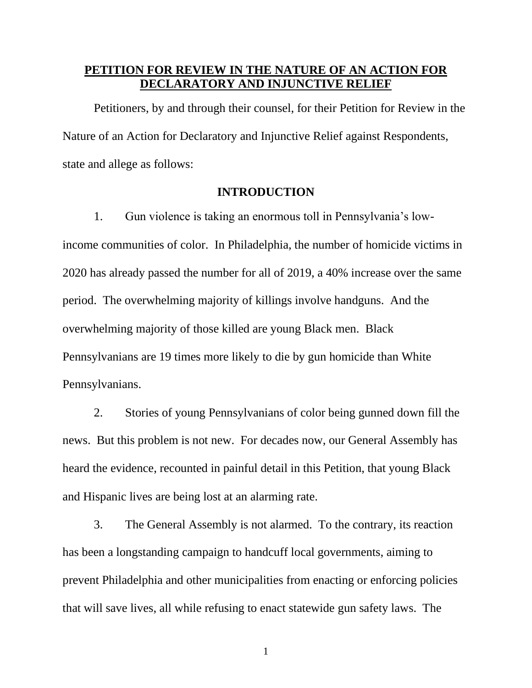# **PETITION FOR REVIEW IN THE NATURE OF AN ACTION FOR DECLARATORY AND INJUNCTIVE RELIEF**

Petitioners, by and through their counsel, for their Petition for Review in the Nature of an Action for Declaratory and Injunctive Relief against Respondents, state and allege as follows:

### **INTRODUCTION**

1. Gun violence is taking an enormous toll in Pennsylvania's lowincome communities of color. In Philadelphia, the number of homicide victims in 2020 has already passed the number for all of 2019, a 40% increase over the same period. The overwhelming majority of killings involve handguns. And the overwhelming majority of those killed are young Black men. Black Pennsylvanians are 19 times more likely to die by gun homicide than White Pennsylvanians.

2. Stories of young Pennsylvanians of color being gunned down fill the news. But this problem is not new. For decades now, our General Assembly has heard the evidence, recounted in painful detail in this Petition, that young Black and Hispanic lives are being lost at an alarming rate.

3. The General Assembly is not alarmed. To the contrary, its reaction has been a longstanding campaign to handcuff local governments, aiming to prevent Philadelphia and other municipalities from enacting or enforcing policies that will save lives, all while refusing to enact statewide gun safety laws. The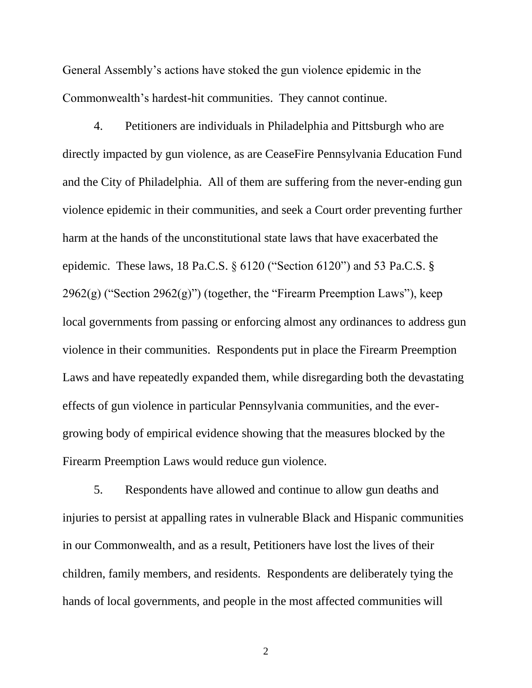General Assembly's actions have stoked the gun violence epidemic in the Commonwealth's hardest-hit communities. They cannot continue.

4. Petitioners are individuals in Philadelphia and Pittsburgh who are directly impacted by gun violence, as are CeaseFire Pennsylvania Education Fund and the City of Philadelphia. All of them are suffering from the never-ending gun violence epidemic in their communities, and seek a Court order preventing further harm at the hands of the unconstitutional state laws that have exacerbated the epidemic. These laws, 18 Pa.C.S. § 6120 ("Section 6120") and 53 Pa.C.S. §  $2962(g)$  ("Section  $2962(g)$ ") (together, the "Firearm Preemption Laws"), keep local governments from passing or enforcing almost any ordinances to address gun violence in their communities. Respondents put in place the Firearm Preemption Laws and have repeatedly expanded them, while disregarding both the devastating effects of gun violence in particular Pennsylvania communities, and the evergrowing body of empirical evidence showing that the measures blocked by the Firearm Preemption Laws would reduce gun violence.

5. Respondents have allowed and continue to allow gun deaths and injuries to persist at appalling rates in vulnerable Black and Hispanic communities in our Commonwealth, and as a result, Petitioners have lost the lives of their children, family members, and residents. Respondents are deliberately tying the hands of local governments, and people in the most affected communities will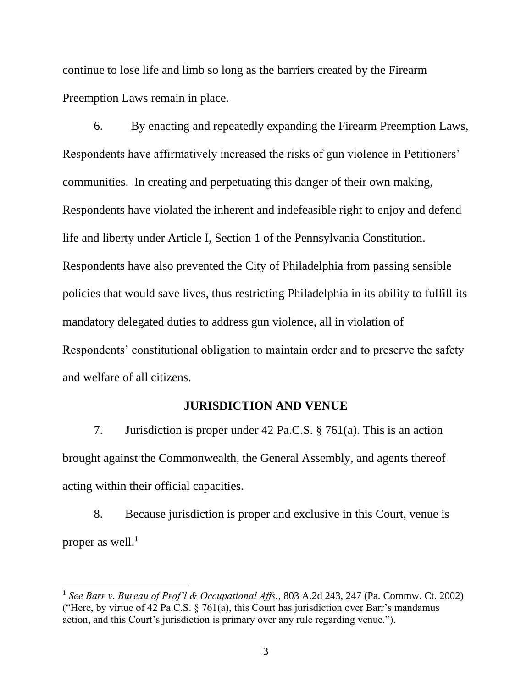continue to lose life and limb so long as the barriers created by the Firearm Preemption Laws remain in place.

6. By enacting and repeatedly expanding the Firearm Preemption Laws, Respondents have affirmatively increased the risks of gun violence in Petitioners' communities. In creating and perpetuating this danger of their own making, Respondents have violated the inherent and indefeasible right to enjoy and defend life and liberty under Article I, Section 1 of the Pennsylvania Constitution. Respondents have also prevented the City of Philadelphia from passing sensible policies that would save lives, thus restricting Philadelphia in its ability to fulfill its mandatory delegated duties to address gun violence, all in violation of Respondents' constitutional obligation to maintain order and to preserve the safety and welfare of all citizens.

### **JURISDICTION AND VENUE**

7. Jurisdiction is proper under 42 Pa.C.S. § 761(a). This is an action brought against the Commonwealth, the General Assembly, and agents thereof acting within their official capacities.

8. Because jurisdiction is proper and exclusive in this Court, venue is proper as well. $<sup>1</sup>$ </sup>

<sup>&</sup>lt;sup>1</sup> See Barr v. Bureau of Prof'l & Occupational Affs., 803 A.2d 243, 247 (Pa. Commw. Ct. 2002) ("Here, by virtue of 42 Pa.C.S.  $\S$  761(a), this Court has jurisdiction over Barr's mandamus action, and this Court's jurisdiction is primary over any rule regarding venue.").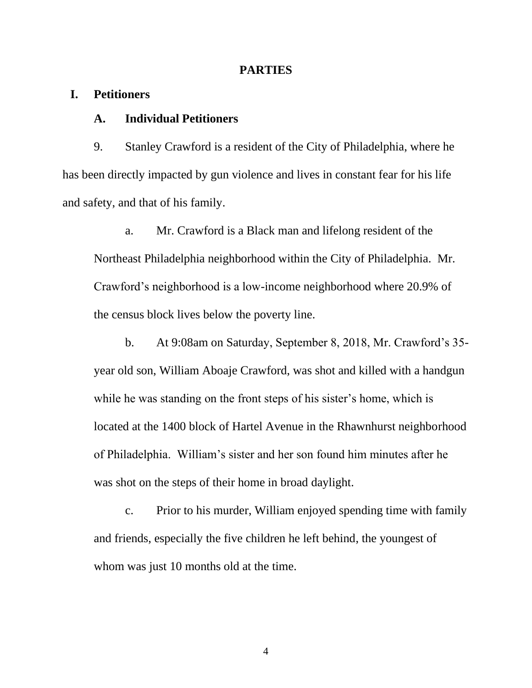#### **PARTIES**

### **I. Petitioners**

### **A. Individual Petitioners**

9. Stanley Crawford is a resident of the City of Philadelphia, where he has been directly impacted by gun violence and lives in constant fear for his life and safety, and that of his family.

a. Mr. Crawford is a Black man and lifelong resident of the Northeast Philadelphia neighborhood within the City of Philadelphia. Mr. Crawford's neighborhood is a low-income neighborhood where 20.9% of the census block lives below the poverty line.

b. At 9:08am on Saturday, September 8, 2018, Mr. Crawford's 35 year old son, William Aboaje Crawford, was shot and killed with a handgun while he was standing on the front steps of his sister's home, which is located at the 1400 block of Hartel Avenue in the Rhawnhurst neighborhood of Philadelphia. William's sister and her son found him minutes after he was shot on the steps of their home in broad daylight.

c. Prior to his murder, William enjoyed spending time with family and friends, especially the five children he left behind, the youngest of whom was just 10 months old at the time.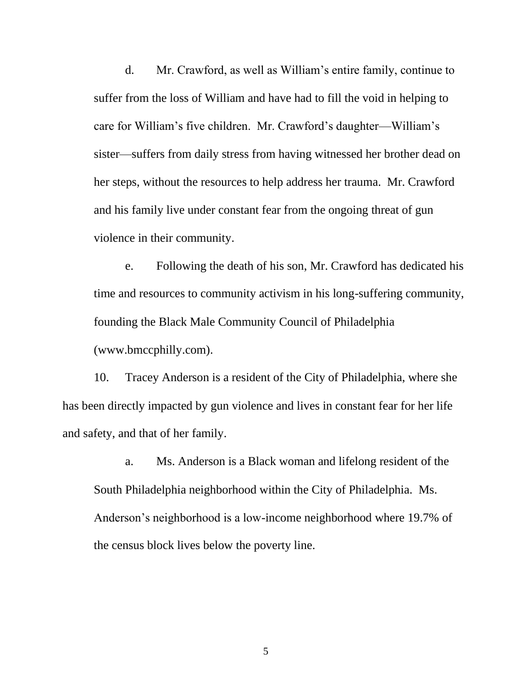d. Mr. Crawford, as well as William's entire family, continue to suffer from the loss of William and have had to fill the void in helping to care for William's five children. Mr. Crawford's daughter—William's sister—suffers from daily stress from having witnessed her brother dead on her steps, without the resources to help address her trauma. Mr. Crawford and his family live under constant fear from the ongoing threat of gun violence in their community.

e. Following the death of his son, Mr. Crawford has dedicated his time and resources to community activism in his long-suffering community, founding the Black Male Community Council of Philadelphia [\(www.bmccphilly.com\)](http://www.bmccphilly.com/).

10. Tracey Anderson is a resident of the City of Philadelphia, where she has been directly impacted by gun violence and lives in constant fear for her life and safety, and that of her family.

a. Ms. Anderson is a Black woman and lifelong resident of the South Philadelphia neighborhood within the City of Philadelphia. Ms. Anderson's neighborhood is a low-income neighborhood where 19.7% of the census block lives below the poverty line.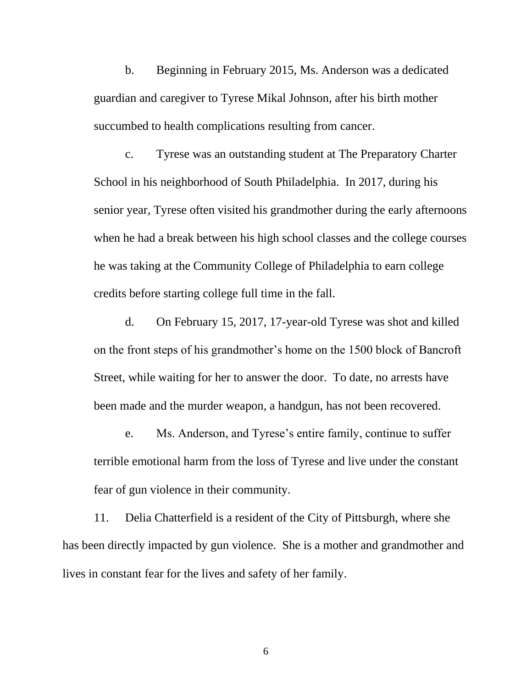b. Beginning in February 2015, Ms. Anderson was a dedicated guardian and caregiver to Tyrese Mikal Johnson, after his birth mother succumbed to health complications resulting from cancer.

c. Tyrese was an outstanding student at The Preparatory Charter School in his neighborhood of South Philadelphia. In 2017, during his senior year, Tyrese often visited his grandmother during the early afternoons when he had a break between his high school classes and the college courses he was taking at the Community College of Philadelphia to earn college credits before starting college full time in the fall.

d. On February 15, 2017, 17-year-old Tyrese was shot and killed on the front steps of his grandmother's home on the 1500 block of Bancroft Street, while waiting for her to answer the door. To date, no arrests have been made and the murder weapon, a handgun, has not been recovered.

e. Ms. Anderson, and Tyrese's entire family, continue to suffer terrible emotional harm from the loss of Tyrese and live under the constant fear of gun violence in their community.

11. Delia Chatterfield is a resident of the City of Pittsburgh, where she has been directly impacted by gun violence. She is a mother and grandmother and lives in constant fear for the lives and safety of her family.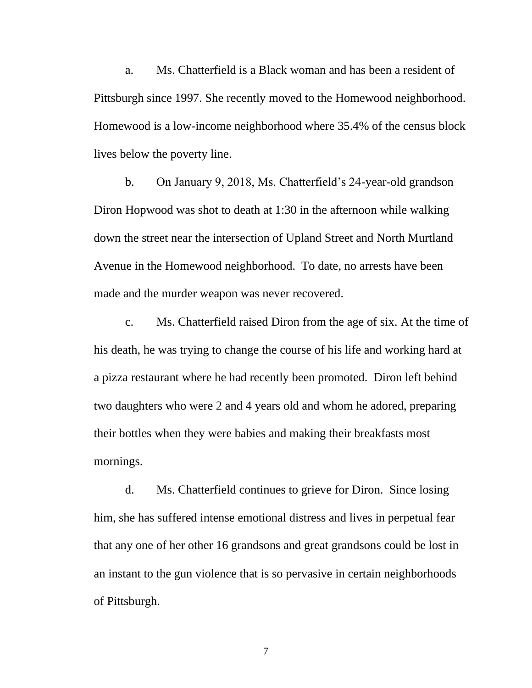a. Ms. Chatterfield is a Black woman and has been a resident of Pittsburgh since 1997. She recently moved to the Homewood neighborhood. Homewood is a low-income neighborhood where 35.4% of the census block lives below the poverty line.

b. On January 9, 2018, Ms. Chatterfield's 24-year-old grandson Diron Hopwood was shot to death at 1:30 in the afternoon while walking down the street near the intersection of Upland Street and North Murtland Avenue in the Homewood neighborhood. To date, no arrests have been made and the murder weapon was never recovered.

c. Ms. Chatterfield raised Diron from the age of six. At the time of his death, he was trying to change the course of his life and working hard at a pizza restaurant where he had recently been promoted. Diron left behind two daughters who were 2 and 4 years old and whom he adored, preparing their bottles when they were babies and making their breakfasts most mornings.

d. Ms. Chatterfield continues to grieve for Diron. Since losing him, she has suffered intense emotional distress and lives in perpetual fear that any one of her other 16 grandsons and great grandsons could be lost in an instant to the gun violence that is so pervasive in certain neighborhoods of Pittsburgh.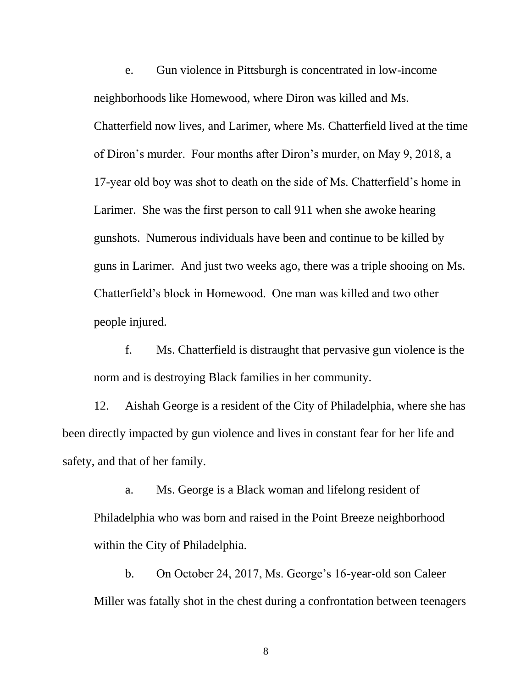e. Gun violence in Pittsburgh is concentrated in low-income neighborhoods like Homewood, where Diron was killed and Ms. Chatterfield now lives, and Larimer, where Ms. Chatterfield lived at the time of Diron's murder. Four months after Diron's murder, on May 9, 2018, a 17-year old boy was shot to death on the side of Ms. Chatterfield's home in Larimer. She was the first person to call 911 when she awoke hearing gunshots. Numerous individuals have been and continue to be killed by guns in Larimer. And just two weeks ago, there was a triple shooing on Ms. Chatterfield's block in Homewood. One man was killed and two other people injured.

f. Ms. Chatterfield is distraught that pervasive gun violence is the norm and is destroying Black families in her community.

12. Aishah George is a resident of the City of Philadelphia, where she has been directly impacted by gun violence and lives in constant fear for her life and safety, and that of her family.

a. Ms. George is a Black woman and lifelong resident of Philadelphia who was born and raised in the Point Breeze neighborhood within the City of Philadelphia.

b. On October 24, 2017, Ms. George's 16-year-old son Caleer Miller was fatally shot in the chest during a confrontation between teenagers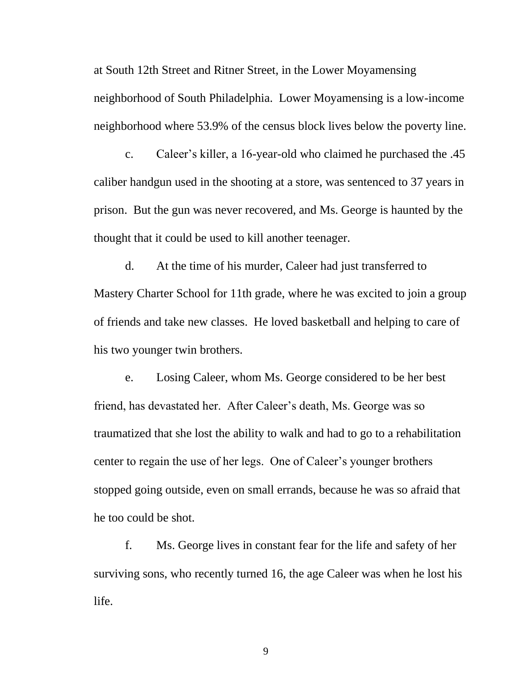at South 12th Street and Ritner Street, in the Lower Moyamensing neighborhood of South Philadelphia. Lower Moyamensing is a low-income neighborhood where 53.9% of the census block lives below the poverty line.

c. Caleer's killer, a 16-year-old who claimed he purchased the .45 caliber handgun used in the shooting at a store, was sentenced to 37 years in prison. But the gun was never recovered, and Ms. George is haunted by the thought that it could be used to kill another teenager.

d. At the time of his murder, Caleer had just transferred to Mastery Charter School for 11th grade, where he was excited to join a group of friends and take new classes. He loved basketball and helping to care of his two younger twin brothers.

e. Losing Caleer, whom Ms. George considered to be her best friend, has devastated her. After Caleer's death, Ms. George was so traumatized that she lost the ability to walk and had to go to a rehabilitation center to regain the use of her legs. One of Caleer's younger brothers stopped going outside, even on small errands, because he was so afraid that he too could be shot.

f. Ms. George lives in constant fear for the life and safety of her surviving sons, who recently turned 16, the age Caleer was when he lost his life.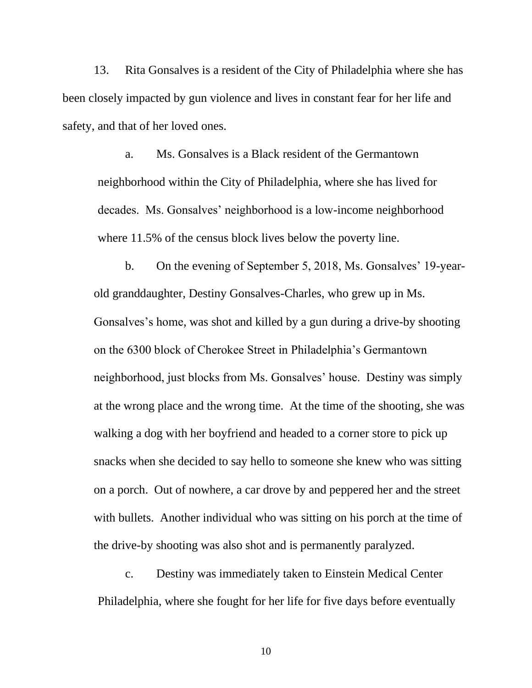13. Rita Gonsalves is a resident of the City of Philadelphia where she has been closely impacted by gun violence and lives in constant fear for her life and safety, and that of her loved ones.

a. Ms. Gonsalves is a Black resident of the Germantown neighborhood within the City of Philadelphia, where she has lived for decades. Ms. Gonsalves' neighborhood is a low-income neighborhood where 11.5% of the census block lives below the poverty line.

b. On the evening of September 5, 2018, Ms. Gonsalves' 19-yearold granddaughter, Destiny Gonsalves-Charles, who grew up in Ms. Gonsalves's home, was shot and killed by a gun during a drive-by shooting on the 6300 block of Cherokee Street in Philadelphia's Germantown neighborhood, just blocks from Ms. Gonsalves' house. Destiny was simply at the wrong place and the wrong time. At the time of the shooting, she was walking a dog with her boyfriend and headed to a corner store to pick up snacks when she decided to say hello to someone she knew who was sitting on a porch. Out of nowhere, a car drove by and peppered her and the street with bullets. Another individual who was sitting on his porch at the time of the drive-by shooting was also shot and is permanently paralyzed.

c. Destiny was immediately taken to Einstein Medical Center Philadelphia, where she fought for her life for five days before eventually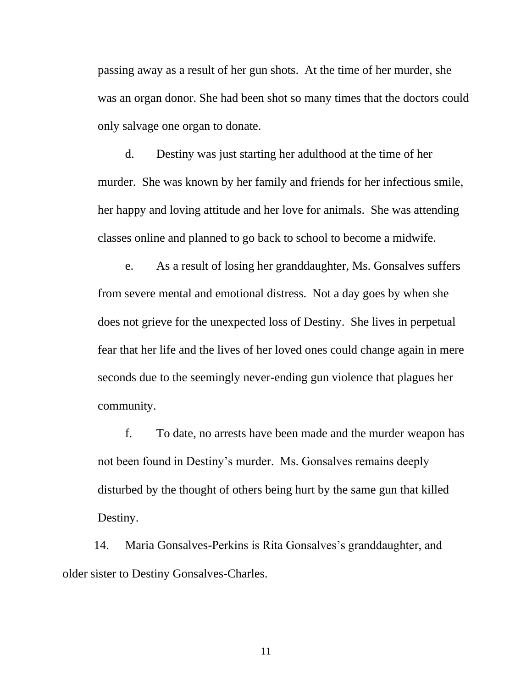passing away as a result of her gun shots. At the time of her murder, she was an organ donor. She had been shot so many times that the doctors could only salvage one organ to donate.

d. Destiny was just starting her adulthood at the time of her murder. She was known by her family and friends for her infectious smile, her happy and loving attitude and her love for animals. She was attending classes online and planned to go back to school to become a midwife.

e. As a result of losing her granddaughter, Ms. Gonsalves suffers from severe mental and emotional distress. Not a day goes by when she does not grieve for the unexpected loss of Destiny. She lives in perpetual fear that her life and the lives of her loved ones could change again in mere seconds due to the seemingly never-ending gun violence that plagues her community.

f. To date, no arrests have been made and the murder weapon has not been found in Destiny's murder. Ms. Gonsalves remains deeply disturbed by the thought of others being hurt by the same gun that killed Destiny.

14. Maria Gonsalves-Perkins is Rita Gonsalves's granddaughter, and older sister to Destiny Gonsalves-Charles.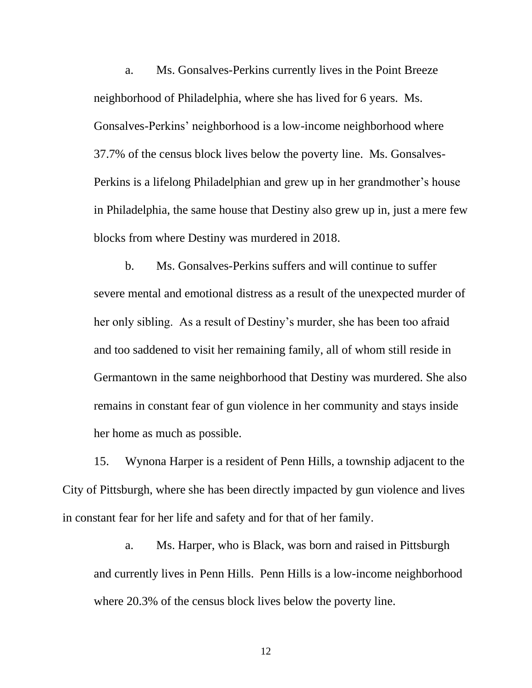a. Ms. Gonsalves-Perkins currently lives in the Point Breeze neighborhood of Philadelphia, where she has lived for 6 years. Ms. Gonsalves-Perkins' neighborhood is a low-income neighborhood where 37.7% of the census block lives below the poverty line. Ms. Gonsalves-Perkins is a lifelong Philadelphian and grew up in her grandmother's house in Philadelphia, the same house that Destiny also grew up in, just a mere few blocks from where Destiny was murdered in 2018.

b. Ms. Gonsalves-Perkins suffers and will continue to suffer severe mental and emotional distress as a result of the unexpected murder of her only sibling. As a result of Destiny's murder, she has been too afraid and too saddened to visit her remaining family, all of whom still reside in Germantown in the same neighborhood that Destiny was murdered. She also remains in constant fear of gun violence in her community and stays inside her home as much as possible.

15. Wynona Harper is a resident of Penn Hills, a township adjacent to the City of Pittsburgh, where she has been directly impacted by gun violence and lives in constant fear for her life and safety and for that of her family.

a. Ms. Harper, who is Black, was born and raised in Pittsburgh and currently lives in Penn Hills. Penn Hills is a low-income neighborhood where 20.3% of the census block lives below the poverty line.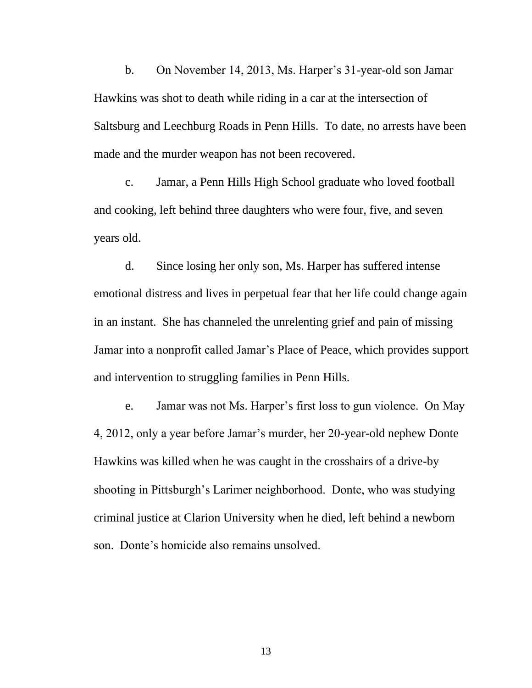b. On November 14, 2013, Ms. Harper's 31-year-old son Jamar Hawkins was shot to death while riding in a car at the intersection of Saltsburg and Leechburg Roads in Penn Hills. To date, no arrests have been made and the murder weapon has not been recovered.

c. Jamar, a Penn Hills High School graduate who loved football and cooking, left behind three daughters who were four, five, and seven years old.

d. Since losing her only son, Ms. Harper has suffered intense emotional distress and lives in perpetual fear that her life could change again in an instant. She has channeled the unrelenting grief and pain of missing Jamar into a nonprofit called Jamar's Place of Peace, which provides support and intervention to struggling families in Penn Hills.

e. Jamar was not Ms. Harper's first loss to gun violence. On May 4, 2012, only a year before Jamar's murder, her 20-year-old nephew Donte Hawkins was killed when he was caught in the crosshairs of a drive-by shooting in Pittsburgh's Larimer neighborhood. Donte, who was studying criminal justice at Clarion University when he died, left behind a newborn son. Donte's homicide also remains unsolved.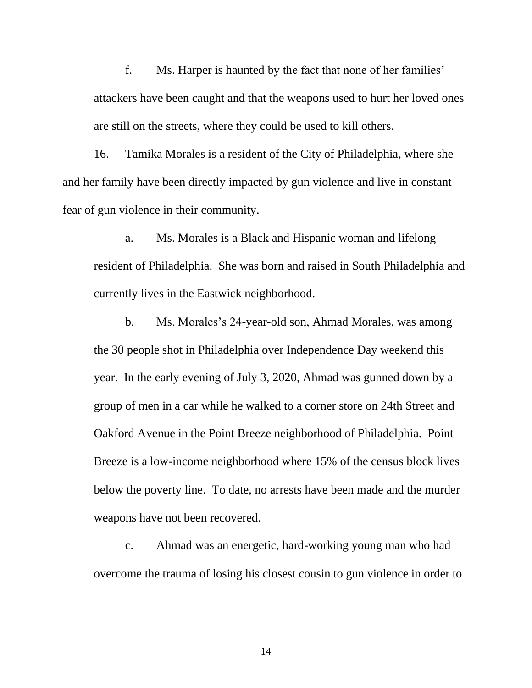f. Ms. Harper is haunted by the fact that none of her families' attackers have been caught and that the weapons used to hurt her loved ones are still on the streets, where they could be used to kill others.

16. Tamika Morales is a resident of the City of Philadelphia, where she and her family have been directly impacted by gun violence and live in constant fear of gun violence in their community.

a. Ms. Morales is a Black and Hispanic woman and lifelong resident of Philadelphia. She was born and raised in South Philadelphia and currently lives in the Eastwick neighborhood.

b. Ms. Morales's 24-year-old son, Ahmad Morales, was among the 30 people shot in Philadelphia over Independence Day weekend this year. In the early evening of July 3, 2020, Ahmad was gunned down by a group of men in a car while he walked to a corner store on 24th Street and Oakford Avenue in the Point Breeze neighborhood of Philadelphia. Point Breeze is a low-income neighborhood where 15% of the census block lives below the poverty line. To date, no arrests have been made and the murder weapons have not been recovered.

c. Ahmad was an energetic, hard-working young man who had overcome the trauma of losing his closest cousin to gun violence in order to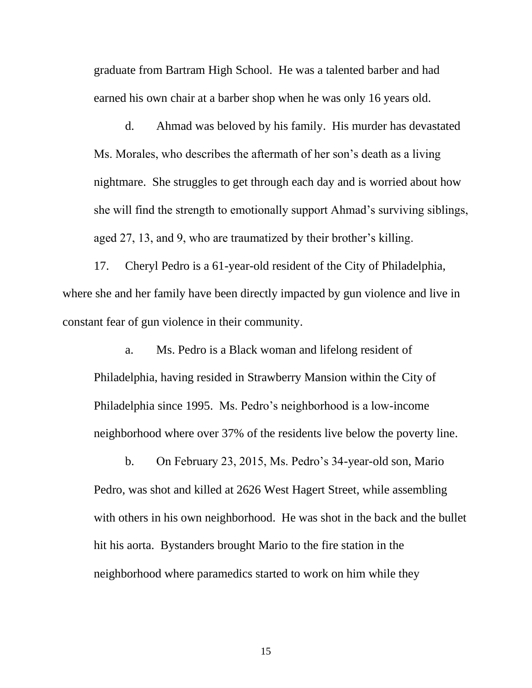graduate from Bartram High School. He was a talented barber and had earned his own chair at a barber shop when he was only 16 years old.

d. Ahmad was beloved by his family. His murder has devastated Ms. Morales, who describes the aftermath of her son's death as a living nightmare. She struggles to get through each day and is worried about how she will find the strength to emotionally support Ahmad's surviving siblings, aged 27, 13, and 9, who are traumatized by their brother's killing.

17. Cheryl Pedro is a 61-year-old resident of the City of Philadelphia, where she and her family have been directly impacted by gun violence and live in constant fear of gun violence in their community.

a. Ms. Pedro is a Black woman and lifelong resident of Philadelphia, having resided in Strawberry Mansion within the City of Philadelphia since 1995. Ms. Pedro's neighborhood is a low-income neighborhood where over 37% of the residents live below the poverty line.

b. On February 23, 2015, Ms. Pedro's 34-year-old son, Mario Pedro, was shot and killed at 2626 West Hagert Street, while assembling with others in his own neighborhood. He was shot in the back and the bullet hit his aorta. Bystanders brought Mario to the fire station in the neighborhood where paramedics started to work on him while they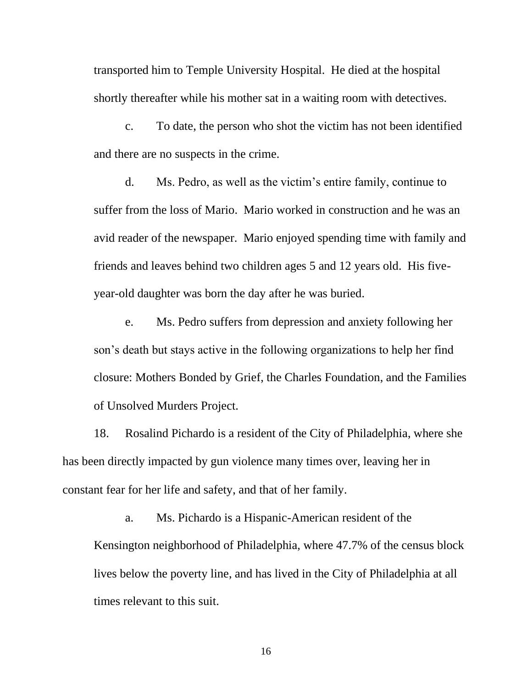transported him to Temple University Hospital. He died at the hospital shortly thereafter while his mother sat in a waiting room with detectives.

c. To date, the person who shot the victim has not been identified and there are no suspects in the crime.

d. Ms. Pedro, as well as the victim's entire family, continue to suffer from the loss of Mario. Mario worked in construction and he was an avid reader of the newspaper. Mario enjoyed spending time with family and friends and leaves behind two children ages 5 and 12 years old. His fiveyear-old daughter was born the day after he was buried.

e. Ms. Pedro suffers from depression and anxiety following her son's death but stays active in the following organizations to help her find closure: Mothers Bonded by Grief, the Charles Foundation, and the Families of Unsolved Murders Project.

18. Rosalind Pichardo is a resident of the City of Philadelphia, where she has been directly impacted by gun violence many times over, leaving her in constant fear for her life and safety, and that of her family.

a. Ms. Pichardo is a Hispanic-American resident of the Kensington neighborhood of Philadelphia, where 47.7% of the census block lives below the poverty line, and has lived in the City of Philadelphia at all times relevant to this suit.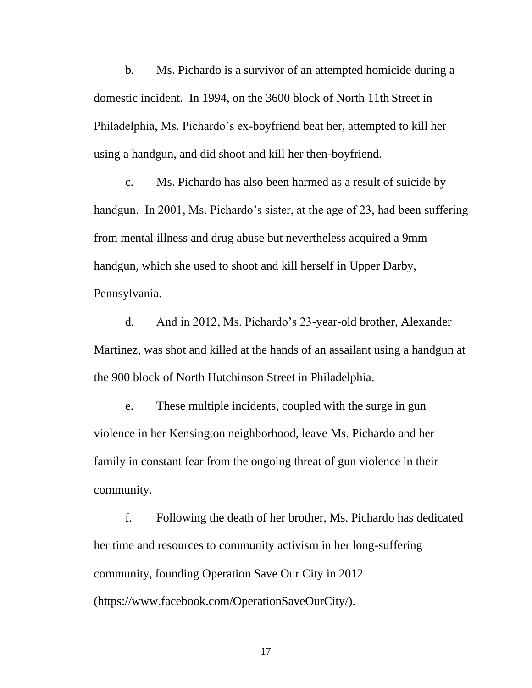b. Ms. Pichardo is a survivor of an attempted homicide during a domestic incident. In 1994, on the 3600 block of North 11th Street in Philadelphia, Ms. Pichardo's ex-boyfriend beat her, attempted to kill her using a handgun, and did shoot and kill her then-boyfriend.

c. Ms. Pichardo has also been harmed as a result of suicide by handgun. In 2001, Ms. Pichardo's sister, at the age of 23, had been suffering from mental illness and drug abuse but nevertheless acquired a 9mm handgun, which she used to shoot and kill herself in Upper Darby, Pennsylvania.

d. And in 2012, Ms. Pichardo's 23-year-old brother, Alexander Martinez, was shot and killed at the hands of an assailant using a handgun at the 900 block of North Hutchinson Street in Philadelphia.

e. These multiple incidents, coupled with the surge in gun violence in her Kensington neighborhood, leave Ms. Pichardo and her family in constant fear from the ongoing threat of gun violence in their community.

f. Following the death of her brother, Ms. Pichardo has dedicated her time and resources to community activism in her long-suffering community, founding Operation Save Our City in 2012 (https://www.facebook.com/OperationSaveOurCity/).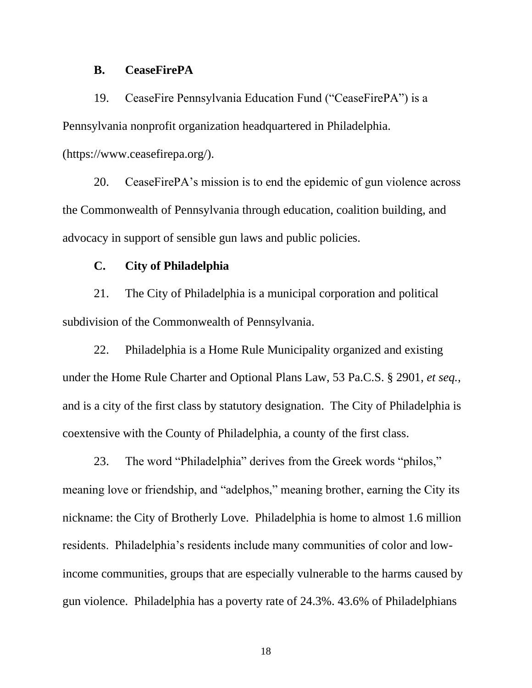#### **B. CeaseFirePA**

19. CeaseFire Pennsylvania Education Fund ("CeaseFirePA") is a Pennsylvania nonprofit organization headquartered in Philadelphia.

(https://www.ceasefirepa.org/).

20. CeaseFirePA's mission is to end the epidemic of gun violence across the Commonwealth of Pennsylvania through education, coalition building, and advocacy in support of sensible gun laws and public policies.

### **C. City of Philadelphia**

21. The City of Philadelphia is a municipal corporation and political subdivision of the Commonwealth of Pennsylvania.

22. Philadelphia is a Home Rule Municipality organized and existing under the Home Rule Charter and Optional Plans Law, 53 Pa.C.S. § 2901, *et seq.*, and is a city of the first class by statutory designation. The City of Philadelphia is coextensive with the County of Philadelphia, a county of the first class.

23. The word "Philadelphia" derives from the Greek words "philos," meaning love or friendship, and "adelphos," meaning brother, earning the City its nickname: the City of Brotherly Love. Philadelphia is home to almost 1.6 million residents. Philadelphia's residents include many communities of color and lowincome communities, groups that are especially vulnerable to the harms caused by gun violence. Philadelphia has a poverty rate of 24.3%. 43.6% of Philadelphians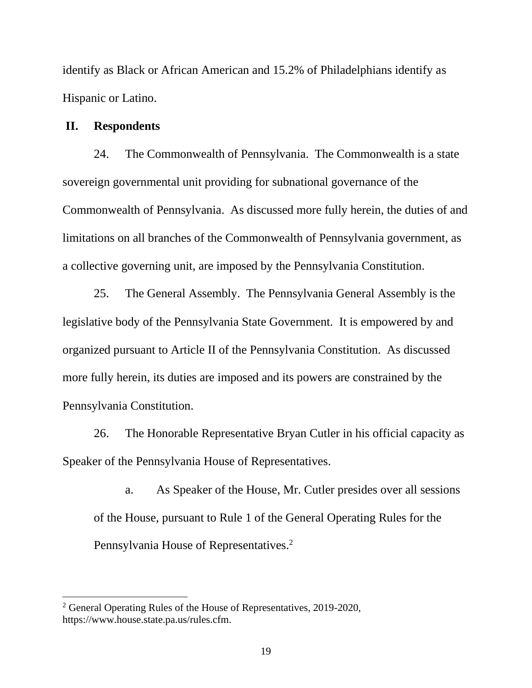identify as Black or African American and 15.2% of Philadelphians identify as Hispanic or Latino.

# **II. Respondents**

24. The Commonwealth of Pennsylvania. The Commonwealth is a state sovereign governmental unit providing for subnational governance of the Commonwealth of Pennsylvania. As discussed more fully herein, the duties of and limitations on all branches of the Commonwealth of Pennsylvania government, as a collective governing unit, are imposed by the Pennsylvania Constitution.

25. The General Assembly. The Pennsylvania General Assembly is the legislative body of the Pennsylvania State Government. It is empowered by and organized pursuant to Article II of the Pennsylvania Constitution. As discussed more fully herein, its duties are imposed and its powers are constrained by the Pennsylvania Constitution.

26. The Honorable Representative Bryan Cutler in his official capacity as Speaker of the Pennsylvania House of Representatives.

a. As Speaker of the House, Mr. Cutler presides over all sessions of the House, pursuant to Rule 1 of the General Operating Rules for the Pennsylvania House of Representatives.<sup>2</sup>

<sup>&</sup>lt;sup>2</sup> General Operating Rules of the House of Representatives, 2019-2020, [https://www.house.state.pa.us/rules.cfm.](https://www.house.state.pa.us/rules.cfm)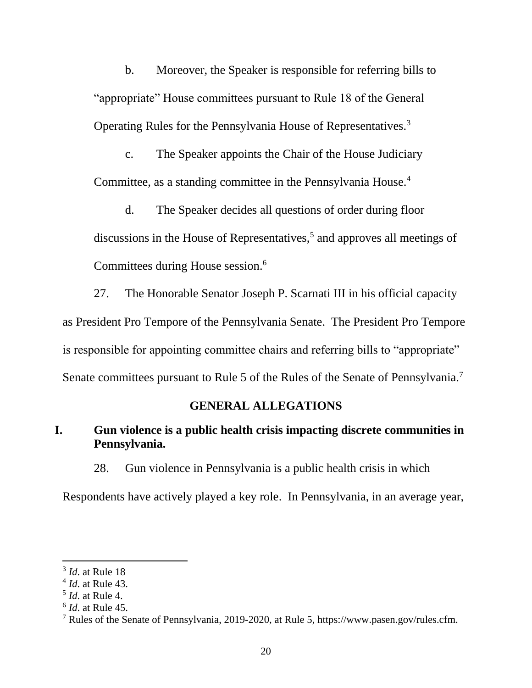b. Moreover, the Speaker is responsible for referring bills to "appropriate" House committees pursuant to Rule 18 of the General Operating Rules for the Pennsylvania House of Representatives.<sup>3</sup>

c. The Speaker appoints the Chair of the House Judiciary Committee, as a standing committee in the Pennsylvania House.<sup>4</sup>

d. The Speaker decides all questions of order during floor discussions in the House of Representatives,<sup>5</sup> and approves all meetings of Committees during House session.<sup>6</sup>

27. The Honorable Senator Joseph P. Scarnati III in his official capacity as President Pro Tempore of the Pennsylvania Senate. The President Pro Tempore is responsible for appointing committee chairs and referring bills to "appropriate" Senate committees pursuant to Rule 5 of the Rules of the Senate of Pennsylvania.<sup>7</sup>

### **GENERAL ALLEGATIONS**

# **I. Gun violence is a public health crisis impacting discrete communities in Pennsylvania.**

28. Gun violence in Pennsylvania is a public health crisis in which

Respondents have actively played a key role. In Pennsylvania, in an average year,

<sup>3</sup> *Id*. at Rule 18

<sup>4</sup> *Id*. at Rule 43.

<sup>5</sup> *Id*. at Rule 4.

<sup>6</sup> *Id*. at Rule 45.

<sup>7</sup> Rules of the Senate of Pennsylvania, 2019-2020, at Rule 5, https://www.pasen.gov/rules.cfm.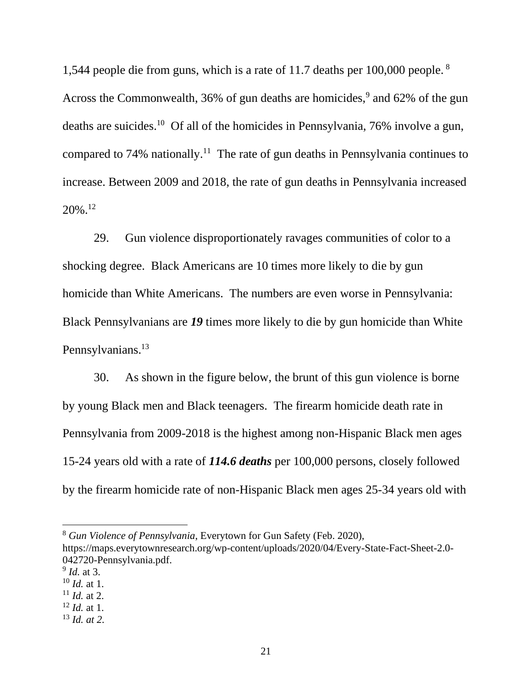1,544 people die from guns, which is a rate of 11.7 deaths per 100,000 people.<sup>8</sup> Across the Commonwealth,  $36\%$  of gun deaths are homicides,<sup>9</sup> and  $62\%$  of the gun deaths are suicides.<sup>10</sup> Of all of the homicides in Pennsylvania, 76% involve a gun, compared to 74% nationally.<sup>11</sup> The rate of gun deaths in Pennsylvania continues to increase. Between 2009 and 2018, the rate of gun deaths in Pennsylvania increased 20%.<sup>12</sup>

29. Gun violence disproportionately ravages communities of color to a shocking degree. Black Americans are 10 times more likely to die by gun homicide than White Americans. The numbers are even worse in Pennsylvania: Black Pennsylvanians are *19* times more likely to die by gun homicide than White Pennsylvanians.<sup>13</sup>

30. As shown in the figure below, the brunt of this gun violence is borne by young Black men and Black teenagers. The firearm homicide death rate in Pennsylvania from 2009-2018 is the highest among non-Hispanic Black men ages 15-24 years old with a rate of *114.6 deaths* per 100,000 persons, closely followed by the firearm homicide rate of non-Hispanic Black men ages 25-34 years old with

<sup>8</sup> *Gun Violence of Pennsylvania*, Everytown for Gun Safety (Feb. 2020),

https://maps.everytownresearch.org/wp-content/uploads/2020/04/Every-State-Fact-Sheet-2.0- 042720-Pennsylvania.pdf.

<sup>9</sup> *Id.* at 3.

<sup>10</sup> *Id.* at 1.  $11$  *Id.* at 2.

<sup>12</sup> *Id.* at 1.

<sup>13</sup> *Id. at 2.*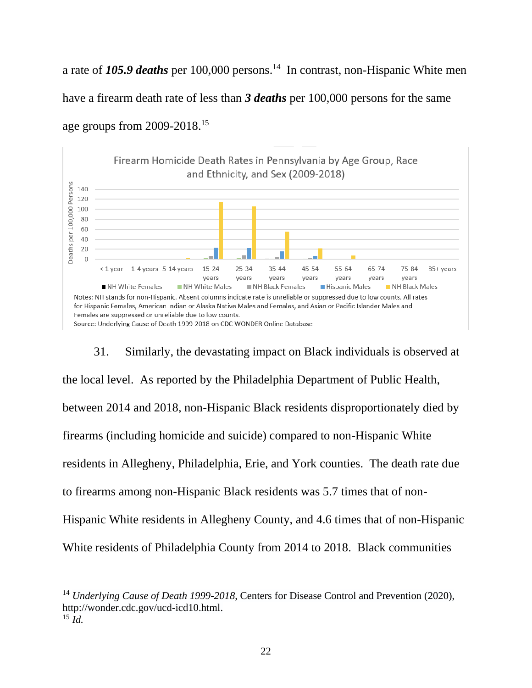a rate of 105.9 *deaths* per 100,000 persons.<sup>14</sup> In contrast, non-Hispanic White men have a firearm death rate of less than *3 deaths* per 100,000 persons for the same age groups from 2009-2018.<sup>15</sup>



31. Similarly, the devastating impact on Black individuals is observed at the local level. As reported by the Philadelphia Department of Public Health, between 2014 and 2018, non-Hispanic Black residents disproportionately died by firearms (including homicide and suicide) compared to non-Hispanic White residents in Allegheny, Philadelphia, Erie, and York counties. The death rate due to firearms among non-Hispanic Black residents was 5.7 times that of non-Hispanic White residents in Allegheny County, and 4.6 times that of non-Hispanic White residents of Philadelphia County from 2014 to 2018. Black communities

<sup>&</sup>lt;sup>14</sup> Underlying Cause of Death 1999-2018, Centers for Disease Control and Prevention (2020), http://wonder.cdc.gov/ucd-icd10.html.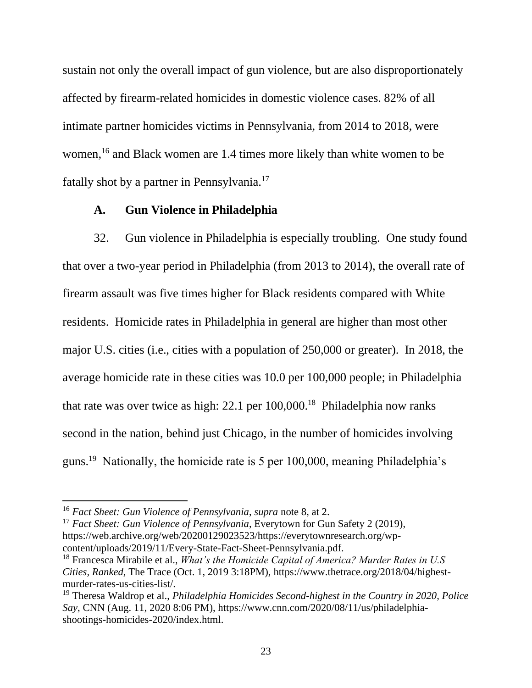sustain not only the overall impact of gun violence, but are also disproportionately affected by firearm-related homicides in domestic violence cases. 82% of all intimate partner homicides victims in Pennsylvania, from 2014 to 2018, were women,<sup>16</sup> and Black women are 1.4 times more likely than white women to be fatally shot by a partner in Pennsylvania.<sup>17</sup>

## **A. Gun Violence in Philadelphia**

32. Gun violence in Philadelphia is especially troubling. One study found that over a two-year period in Philadelphia (from 2013 to 2014), the overall rate of firearm assault was five times higher for Black residents compared with White residents. Homicide rates in Philadelphia in general are higher than most other major U.S. cities (i.e., cities with a population of 250,000 or greater). In 2018, the average homicide rate in these cities was 10.0 per 100,000 people; in Philadelphia that rate was over twice as high:  $22.1$  per  $100,000$ .<sup>18</sup> Philadelphia now ranks second in the nation, behind just Chicago, in the number of homicides involving guns.<sup>19</sup> Nationally, the homicide rate is 5 per 100,000, meaning Philadelphia's

<sup>17</sup> *Fact Sheet: Gun Violence of Pennsylvania*, Everytown for Gun Safety 2 (2019), https://web.archive.org/web/20200129023523/https://everytownresearch.org/wpcontent/uploads/2019/11/Every-State-Fact-Sheet-Pennsylvania.pdf.

<sup>16</sup> *Fact Sheet: Gun Violence of Pennsylvania*, *supra* note 8, at 2.

<sup>18</sup> Francesca Mirabile et al., *What's the Homicide Capital of America? Murder Rates in U.S Cities, Ranked*, The Trace (Oct. 1, 2019 3:18PM), https://www.thetrace.org/2018/04/highestmurder-rates-us-cities-list/.

<sup>19</sup> Theresa Waldrop et al., *Philadelphia Homicides Second-highest in the Country in 2020, Police Say*, CNN (Aug. 11, 2020 8:06 PM), https://www.cnn.com/2020/08/11/us/philadelphiashootings-homicides-2020/index.html.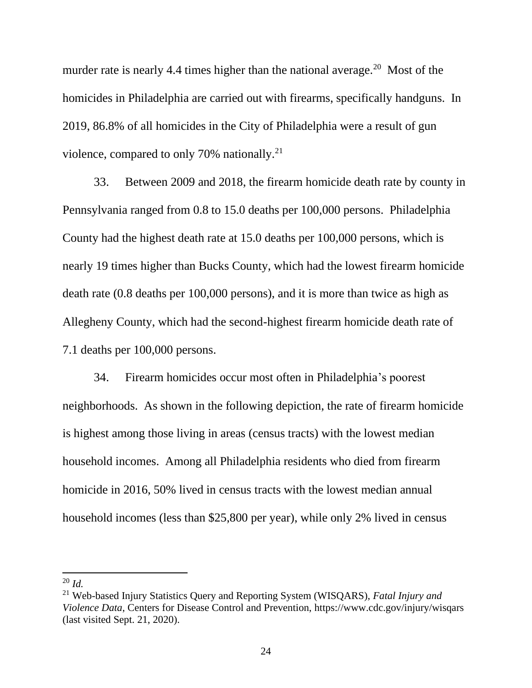murder rate is nearly 4.4 times higher than the national average.<sup>20</sup> Most of the homicides in Philadelphia are carried out with firearms, specifically handguns. In 2019, 86.8% of all homicides in the City of Philadelphia were a result of gun violence, compared to only 70% nationally. $21$ 

33. Between 2009 and 2018, the firearm homicide death rate by county in Pennsylvania ranged from 0.8 to 15.0 deaths per 100,000 persons. Philadelphia County had the highest death rate at 15.0 deaths per 100,000 persons, which is nearly 19 times higher than Bucks County, which had the lowest firearm homicide death rate (0.8 deaths per 100,000 persons), and it is more than twice as high as Allegheny County, which had the second-highest firearm homicide death rate of 7.1 deaths per 100,000 persons.

34. Firearm homicides occur most often in Philadelphia's poorest neighborhoods. As shown in the following depiction, the rate of firearm homicide is highest among those living in areas (census tracts) with the lowest median household incomes. Among all Philadelphia residents who died from firearm homicide in 2016, 50% lived in census tracts with the lowest median annual household incomes (less than \$25,800 per year), while only 2% lived in census

 $^{20}$  *Id.* 

<sup>21</sup> Web-based Injury Statistics Query and Reporting System (WISQARS), *Fatal Injury and Violence Data*, Centers for Disease Control and Prevention,<https://www.cdc.gov/injury/wisqars> (last visited Sept. 21, 2020).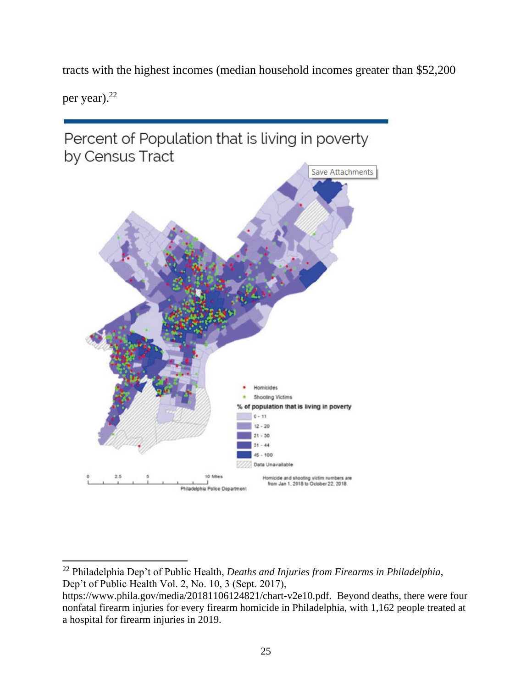tracts with the highest incomes (median household incomes greater than \$52,200

per year).<sup>22</sup>



<sup>22</sup> Philadelphia Dep't of Public Health, *Deaths and Injuries from Firearms in Philadelphia*, Dep't of Public Health Vol. 2, No. 10, 3 (Sept. 2017),

[https://www.phila.gov/media/20181106124821/chart-v2e10.pdf.](https://www.phila.gov/media/20181106124821/chart-v2e10.pdf) Beyond deaths, there were four nonfatal firearm injuries for every firearm homicide in Philadelphia, with 1,162 people treated at a hospital for firearm injuries in 2019.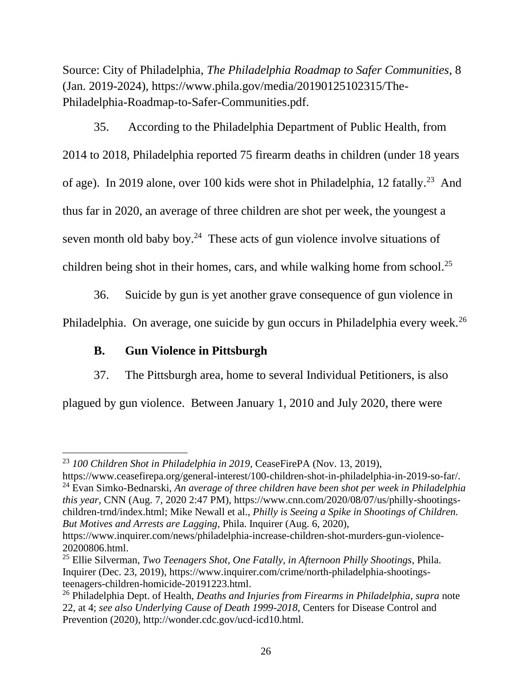Source: City of Philadelphia, *The Philadelphia Roadmap to Safer Communities*, 8 (Jan. 2019-2024), https://www.phila.gov/media/20190125102315/The-Philadelphia-Roadmap-to-Safer-Communities.pdf.

35. According to the Philadelphia Department of Public Health, from 2014 to 2018, Philadelphia reported 75 firearm deaths in children (under 18 years of age). In 2019 alone, over 100 kids were shot in Philadelphia, 12 fatally.<sup>23</sup> And thus far in 2020, an average of three children are shot per week, the youngest a seven month old baby boy. $24$  These acts of gun violence involve situations of children being shot in their homes, cars, and while walking home from school.<sup>25</sup>

36. Suicide by gun is yet another grave consequence of gun violence in

Philadelphia. On average, one suicide by gun occurs in Philadelphia every week.<sup>26</sup>

# **B. Gun Violence in Pittsburgh**

37. The Pittsburgh area, home to several Individual Petitioners, is also

plagued by gun violence. Between January 1, 2010 and July 2020, there were

<sup>23</sup> *100 Children Shot in Philadelphia in 2019*, CeaseFirePA (Nov. 13, 2019),

https://www.ceasefirepa.org/general-interest/100-children-shot-in-philadelphia-in-2019-so-far/. <sup>24</sup> Evan Simko-Bednarski, *An average of three children have been shot per week in Philadelphia this year,* CNN (Aug. 7, 2020 2:47 PM)*,* https://www.cnn.com/2020/08/07/us/philly-shootingschildren-trnd/index.html; Mike Newall et al., *Philly is Seeing a Spike in Shootings of Children. But Motives and Arrests are Lagging*, Phila. Inquirer (Aug. 6, 2020),

https://www.inquirer.com/news/philadelphia-increase-children-shot-murders-gun-violence-20200806.html.

<sup>25</sup> Ellie Silverman, *Two Teenagers Shot, One Fatally, in Afternoon Philly Shootings*, Phila. Inquirer (Dec. 23, 2019), https://www.inquirer.com/crime/north-philadelphia-shootingsteenagers-children-homicide-20191223.html.

<sup>26</sup> Philadelphia Dept. of Health, *Deaths and Injuries from Firearms in Philadelphia*, *supra* note 22, at 4; *see also Underlying Cause of Death 1999-2018*, Centers for Disease Control and Prevention (2020), http://wonder.cdc.gov/ucd-icd10.html.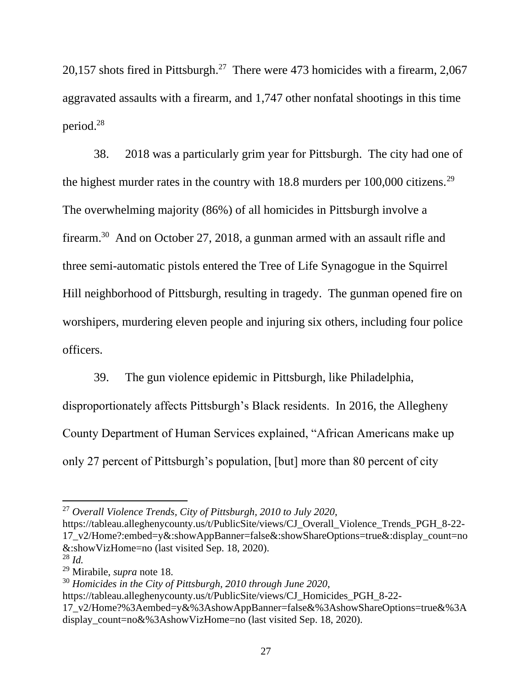20,157 shots fired in Pittsburgh.<sup>27</sup> There were 473 homicides with a firearm, 2,067 aggravated assaults with a firearm, and 1,747 other nonfatal shootings in this time period.<sup>28</sup>

38. 2018 was a particularly grim year for Pittsburgh. The city had one of the highest murder rates in the country with  $18.8$  murders per  $100,000$  citizens.<sup>29</sup> The overwhelming majority (86%) of all homicides in Pittsburgh involve a firearm.<sup>30</sup> And on October 27, 2018, a gunman armed with an assault rifle and three semi-automatic pistols entered the Tree of Life Synagogue in the Squirrel Hill neighborhood of Pittsburgh, resulting in tragedy. The gunman opened fire on worshipers, murdering eleven people and injuring six others, including four police officers.

39. The gun violence epidemic in Pittsburgh, like Philadelphia,

disproportionately affects Pittsburgh's Black residents. In 2016, the Allegheny County Department of Human Services explained, "African Americans make up only 27 percent of Pittsburgh's population, [but] more than 80 percent of city

<sup>27</sup> *Overall Violence Trends, City of Pittsburgh, 2010 to July 2020*,

[https://tableau.alleghenycounty.us/t/PublicSite/views/CJ\\_Overall\\_Violence\\_Trends\\_PGH\\_8-22-](https://tableau.alleghenycounty.us/t/PublicSite/views/CJ_Overall_Violence_Trends_PGH_8-22-17_v2/Home?:embed=y&:showAppBanner=false&:showShareOptions=true&:display_count=no&:showVizHome=no) [17\\_v2/Home?:embed=y&:showAppBanner=false&:showShareOptions=true&:display\\_count=no](https://tableau.alleghenycounty.us/t/PublicSite/views/CJ_Overall_Violence_Trends_PGH_8-22-17_v2/Home?:embed=y&:showAppBanner=false&:showShareOptions=true&:display_count=no&:showVizHome=no) [&:showVizHome=no](https://tableau.alleghenycounty.us/t/PublicSite/views/CJ_Overall_Violence_Trends_PGH_8-22-17_v2/Home?:embed=y&:showAppBanner=false&:showShareOptions=true&:display_count=no&:showVizHome=no) (last visited Sep. 18, 2020).

<sup>28</sup> *Id.*

<sup>29</sup> Mirabile, *supra* note 18.

<sup>30</sup> *Homicides in the City of Pittsburgh, 2010 through June 2020*,

https://tableau.alleghenycounty.us/t/PublicSite/views/CJ\_Homicides\_PGH\_8-22-

<sup>17</sup>\_v2/Home?%3Aembed=y&%3AshowAppBanner=false&%3AshowShareOptions=true&%3A display\_count=no&%3AshowVizHome=no (last visited Sep. 18, 2020).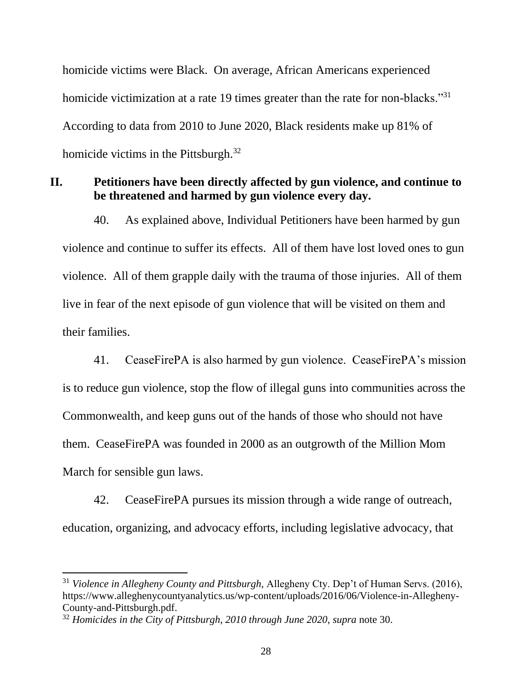homicide victims were Black. On average, African Americans experienced homicide victimization at a rate 19 times greater than the rate for non-blacks."<sup>31</sup> According to data from 2010 to June 2020, Black residents make up 81% of homicide victims in the Pittsburgh.<sup>32</sup>

# **II. Petitioners have been directly affected by gun violence, and continue to be threatened and harmed by gun violence every day.**

40. As explained above, Individual Petitioners have been harmed by gun violence and continue to suffer its effects. All of them have lost loved ones to gun violence. All of them grapple daily with the trauma of those injuries. All of them live in fear of the next episode of gun violence that will be visited on them and their families.

41. CeaseFirePA is also harmed by gun violence. CeaseFirePA's mission is to reduce gun violence, stop the flow of illegal guns into communities across the Commonwealth, and keep guns out of the hands of those who should not have them. CeaseFirePA was founded in 2000 as an outgrowth of the Million Mom March for sensible gun laws.

42. CeaseFirePA pursues its mission through a wide range of outreach, education, organizing, and advocacy efforts, including legislative advocacy, that

<sup>31</sup> *Violence in Allegheny County and Pittsburgh,* Allegheny Cty. Dep't of Human Servs. (2016), https://www.alleghenycountyanalytics.us/wp-content/uploads/2016/06/Violence-in-Allegheny-County-and-Pittsburgh.pdf.

<sup>32</sup> *Homicides in the City of Pittsburgh, 2010 through June 2020*, *supra* note 30.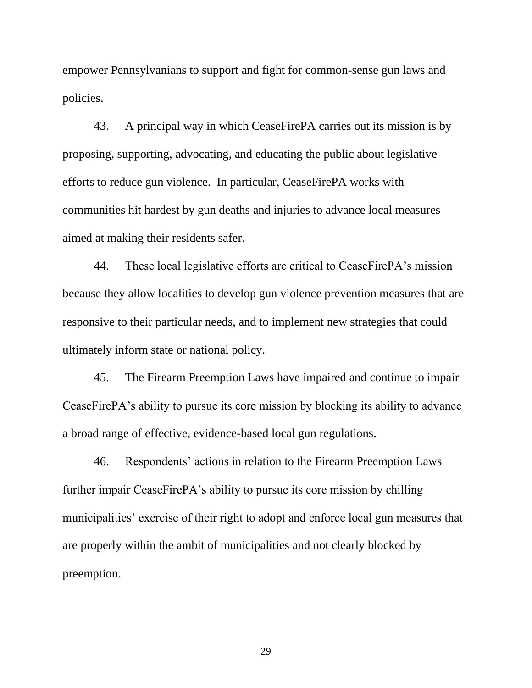empower Pennsylvanians to support and fight for common-sense gun laws and policies.

43. A principal way in which CeaseFirePA carries out its mission is by proposing, supporting, advocating, and educating the public about legislative efforts to reduce gun violence. In particular, CeaseFirePA works with communities hit hardest by gun deaths and injuries to advance local measures aimed at making their residents safer.

44. These local legislative efforts are critical to CeaseFirePA's mission because they allow localities to develop gun violence prevention measures that are responsive to their particular needs, and to implement new strategies that could ultimately inform state or national policy.

45. The Firearm Preemption Laws have impaired and continue to impair CeaseFirePA's ability to pursue its core mission by blocking its ability to advance a broad range of effective, evidence-based local gun regulations.

46. Respondents' actions in relation to the Firearm Preemption Laws further impair CeaseFirePA's ability to pursue its core mission by chilling municipalities' exercise of their right to adopt and enforce local gun measures that are properly within the ambit of municipalities and not clearly blocked by preemption.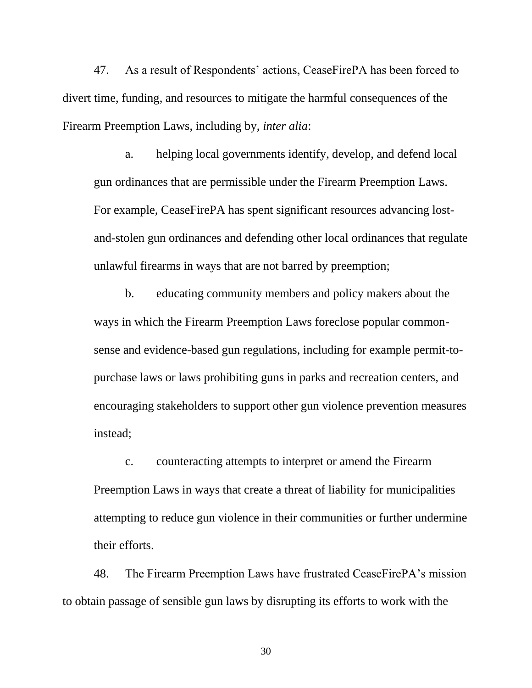47. As a result of Respondents' actions, CeaseFirePA has been forced to divert time, funding, and resources to mitigate the harmful consequences of the Firearm Preemption Laws, including by, *inter alia*:

a. helping local governments identify, develop, and defend local gun ordinances that are permissible under the Firearm Preemption Laws. For example, CeaseFirePA has spent significant resources advancing lostand-stolen gun ordinances and defending other local ordinances that regulate unlawful firearms in ways that are not barred by preemption;

b. educating community members and policy makers about the ways in which the Firearm Preemption Laws foreclose popular commonsense and evidence-based gun regulations, including for example permit-topurchase laws or laws prohibiting guns in parks and recreation centers, and encouraging stakeholders to support other gun violence prevention measures instead;

c. counteracting attempts to interpret or amend the Firearm Preemption Laws in ways that create a threat of liability for municipalities attempting to reduce gun violence in their communities or further undermine their efforts.

48. The Firearm Preemption Laws have frustrated CeaseFirePA's mission to obtain passage of sensible gun laws by disrupting its efforts to work with the

30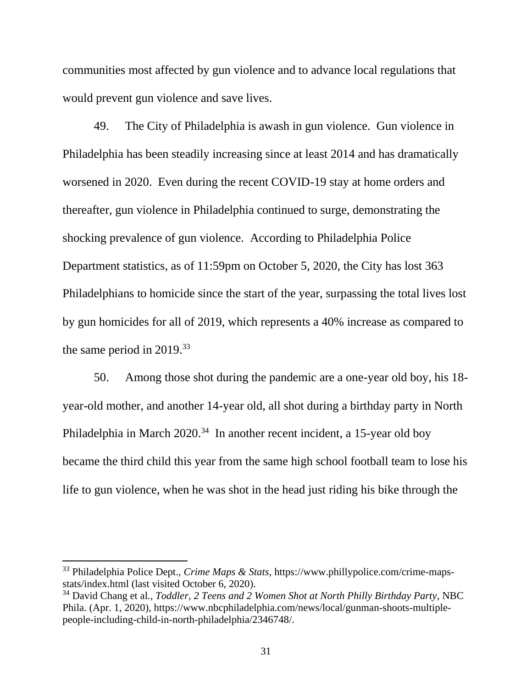communities most affected by gun violence and to advance local regulations that would prevent gun violence and save lives.

49. The City of Philadelphia is awash in gun violence. Gun violence in Philadelphia has been steadily increasing since at least 2014 and has dramatically worsened in 2020. Even during the recent COVID-19 stay at home orders and thereafter, gun violence in Philadelphia continued to surge, demonstrating the shocking prevalence of gun violence. According to Philadelphia Police Department statistics, as of 11:59pm on October 5, 2020, the City has lost 363 Philadelphians to homicide since the start of the year, surpassing the total lives lost by gun homicides for all of 2019, which represents a 40% increase as compared to the same period in  $2019^{33}$ 

50. Among those shot during the pandemic are a one-year old boy, his 18 year-old mother, and another 14-year old, all shot during a birthday party in North Philadelphia in March 2020.<sup>34</sup> In another recent incident, a 15-year old boy became the third child this year from the same high school football team to lose his life to gun violence, when he was shot in the head just riding his bike through the

<sup>33</sup> Philadelphia Police Dept., *Crime Maps & Stats*, https://www.phillypolice.com/crime-mapsstats/index.html (last visited October 6, 2020).

<sup>34</sup> David Chang et al*., Toddler, 2 Teens and 2 Women Shot at North Philly Birthday Party*, NBC Phila. (Apr. 1, 2020), https://www.nbcphiladelphia.com/news/local/gunman-shoots-multiplepeople-including-child-in-north-philadelphia/2346748/.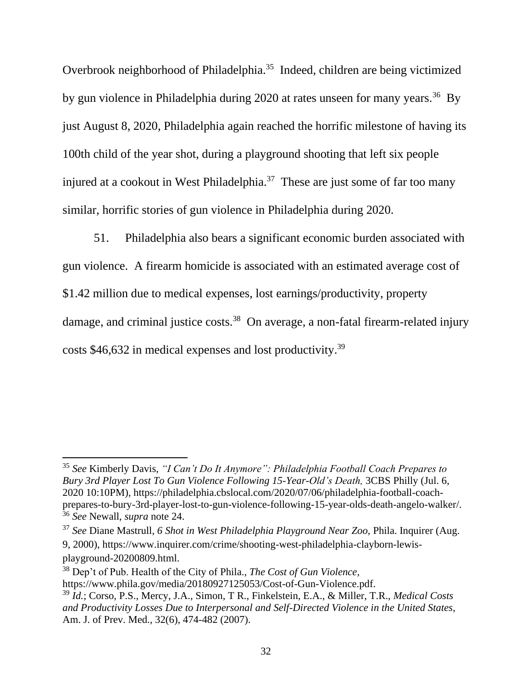Overbrook neighborhood of Philadelphia.<sup>35</sup> Indeed, children are being victimized by gun violence in Philadelphia during 2020 at rates unseen for many years.<sup>36</sup> By just August 8, 2020, Philadelphia again reached the horrific milestone of having its 100th child of the year shot, during a playground shooting that left six people injured at a cookout in West Philadelphia.<sup>37</sup> These are just some of far too many similar, horrific stories of gun violence in Philadelphia during 2020.

51. Philadelphia also bears a significant economic burden associated with gun violence. A firearm homicide is associated with an estimated average cost of \$1.42 million due to medical expenses, lost earnings/productivity, property damage, and criminal justice costs.<sup>38</sup> On average, a non-fatal firearm-related injury costs \$46,632 in medical expenses and lost productivity.<sup>39</sup>

<sup>35</sup> *See* Kimberly Davis, *"I Can't Do It Anymore": Philadelphia Football Coach Prepares to Bury 3rd Player Lost To Gun Violence Following 15-Year-Old's Death,* 3CBS Philly (Jul. 6, 2020 10:10PM)*,* https://philadelphia.cbslocal.com/2020/07/06/philadelphia-football-coachprepares-to-bury-3rd-player-lost-to-gun-violence-following-15-year-olds-death-angelo-walker/. <sup>36</sup> *See* Newall, *supra* note 24.

<sup>37</sup> *See* Diane Mastrull, *6 Shot in West Philadelphia Playground Near Zoo,* Phila. Inquirer (Aug. 9, 2000), https://www.inquirer.com/crime/shooting-west-philadelphia-clayborn-lewisplayground-20200809.html.

<sup>38</sup> Dep't of Pub. Health of the City of Phila., *The Cost of Gun Violence*, https://www.phila.gov/media/20180927125053/Cost-of-Gun-Violence.pdf.

<sup>39</sup> *Id.*; Corso, P.S., Mercy, J.A., Simon, T R., Finkelstein, E.A., & Miller, T.R., *Medical Costs and Productivity Losses Due to Interpersonal and Self-Directed Violence in the United States*, Am. J. of Prev. Med., 32(6), 474-482 (2007).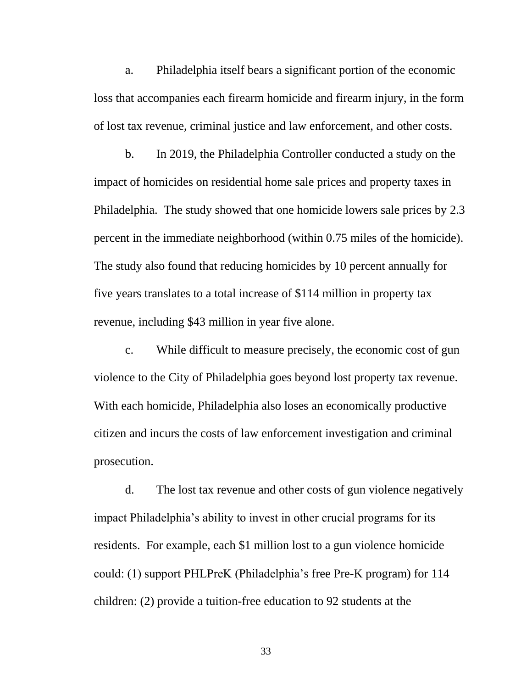a. Philadelphia itself bears a significant portion of the economic loss that accompanies each firearm homicide and firearm injury, in the form of lost tax revenue, criminal justice and law enforcement, and other costs.

b. In 2019, the Philadelphia Controller conducted a study on the impact of homicides on residential home sale prices and property taxes in Philadelphia. The study showed that one homicide lowers sale prices by 2.3 percent in the immediate neighborhood (within 0.75 miles of the homicide). The study also found that reducing homicides by 10 percent annually for five years translates to a total increase of \$114 million in property tax revenue, including \$43 million in year five alone.

c. While difficult to measure precisely, the economic cost of gun violence to the City of Philadelphia goes beyond lost property tax revenue. With each homicide, Philadelphia also loses an economically productive citizen and incurs the costs of law enforcement investigation and criminal prosecution.

d. The lost tax revenue and other costs of gun violence negatively impact Philadelphia's ability to invest in other crucial programs for its residents. For example, each \$1 million lost to a gun violence homicide could: (1) support PHLPreK (Philadelphia's free Pre-K program) for 114 children: (2) provide a tuition-free education to 92 students at the

33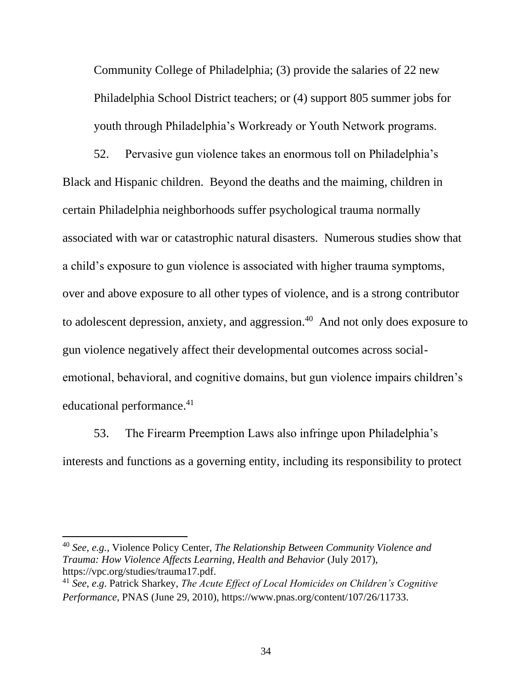Community College of Philadelphia; (3) provide the salaries of 22 new Philadelphia School District teachers; or (4) support 805 summer jobs for youth through Philadelphia's Workready or Youth Network programs.

52. Pervasive gun violence takes an enormous toll on Philadelphia's Black and Hispanic children. Beyond the deaths and the maiming, children in certain Philadelphia neighborhoods suffer psychological trauma normally associated with war or catastrophic natural disasters. Numerous studies show that a child's exposure to gun violence is associated with higher trauma symptoms, over and above exposure to all other types of violence, and is a strong contributor to adolescent depression, anxiety, and aggression.<sup>40</sup> And not only does exposure to gun violence negatively affect their developmental outcomes across socialemotional, behavioral, and cognitive domains, but gun violence impairs children's educational performance.<sup>41</sup>

53. The Firearm Preemption Laws also infringe upon Philadelphia's interests and functions as a governing entity, including its responsibility to protect

<sup>40</sup> *See, e.g.,* Violence Policy Center, *The Relationship Between Community Violence and Trauma: How Violence Affects Learning, Health and Behavior* (July 2017), https://vpc.org/studies/trauma17.pdf.

<sup>41</sup> *See*, *e*.*g*. Patrick Sharkey, *The Acute Effect of Local Homicides on Children's Cognitive Performance*, PNAS (June 29, 2010), https://www.pnas.org/content/107/26/11733.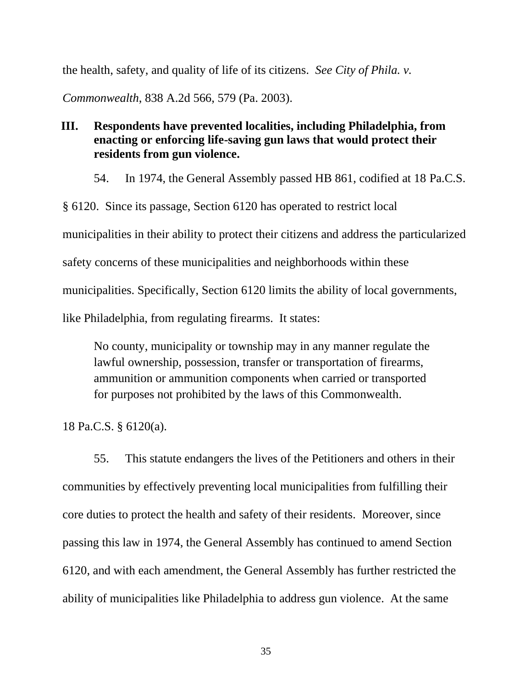the health, safety, and quality of life of its citizens. *See City of Phila. v.* 

*Commonwealth*, 838 A.2d 566, 579 (Pa. 2003).

# **III. Respondents have prevented localities, including Philadelphia, from enacting or enforcing life-saving gun laws that would protect their residents from gun violence.**

54. In 1974, the General Assembly passed HB 861, codified at 18 Pa.C.S.

§ 6120. Since its passage, Section 6120 has operated to restrict local municipalities in their ability to protect their citizens and address the particularized safety concerns of these municipalities and neighborhoods within these municipalities. Specifically, Section 6120 limits the ability of local governments, like Philadelphia, from regulating firearms. It states:

No county, municipality or township may in any manner regulate the lawful ownership, possession, transfer or transportation of firearms, ammunition or ammunition components when carried or transported for purposes not prohibited by the laws of this Commonwealth.

18 Pa.C.S. § 6120(a).

55. This statute endangers the lives of the Petitioners and others in their communities by effectively preventing local municipalities from fulfilling their core duties to protect the health and safety of their residents. Moreover, since passing this law in 1974, the General Assembly has continued to amend Section 6120, and with each amendment, the General Assembly has further restricted the ability of municipalities like Philadelphia to address gun violence. At the same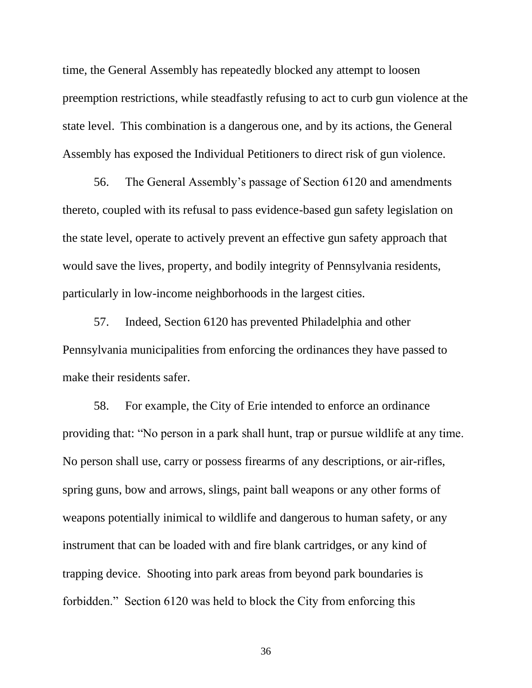time, the General Assembly has repeatedly blocked any attempt to loosen preemption restrictions, while steadfastly refusing to act to curb gun violence at the state level. This combination is a dangerous one, and by its actions, the General Assembly has exposed the Individual Petitioners to direct risk of gun violence.

56. The General Assembly's passage of Section 6120 and amendments thereto, coupled with its refusal to pass evidence-based gun safety legislation on the state level, operate to actively prevent an effective gun safety approach that would save the lives, property, and bodily integrity of Pennsylvania residents, particularly in low-income neighborhoods in the largest cities.

57. Indeed, Section 6120 has prevented Philadelphia and other Pennsylvania municipalities from enforcing the ordinances they have passed to make their residents safer.

58. For example, the City of Erie intended to enforce an ordinance providing that: "No person in a park shall hunt, trap or pursue wildlife at any time. No person shall use, carry or possess firearms of any descriptions, or air-rifles, spring guns, bow and arrows, slings, paint ball weapons or any other forms of weapons potentially inimical to wildlife and dangerous to human safety, or any instrument that can be loaded with and fire blank cartridges, or any kind of trapping device. Shooting into park areas from beyond park boundaries is forbidden." Section 6120 was held to block the City from enforcing this

36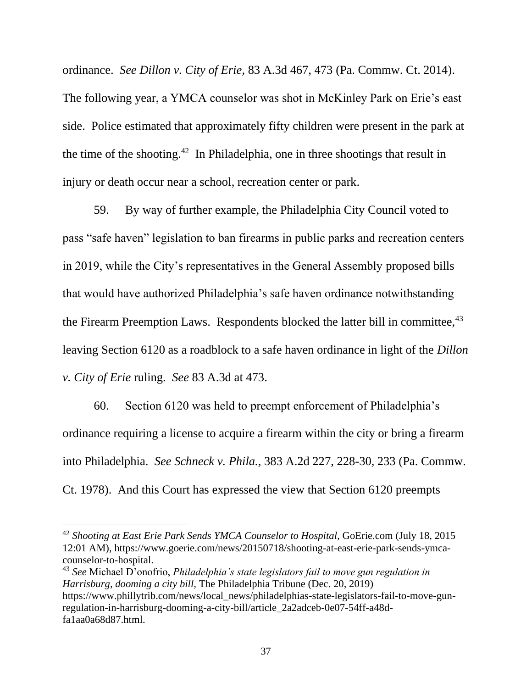ordinance. *See Dillon v. City of Erie*, 83 A.3d 467, 473 (Pa. Commw. Ct. 2014). The following year, a YMCA counselor was shot in McKinley Park on Erie's east side. Police estimated that approximately fifty children were present in the park at the time of the shooting.<sup>42</sup> In Philadelphia, one in three shootings that result in injury or death occur near a school, recreation center or park.

59. By way of further example, the Philadelphia City Council voted to pass "safe haven" legislation to ban firearms in public parks and recreation centers in 2019, while the City's representatives in the General Assembly proposed bills that would have authorized Philadelphia's safe haven ordinance notwithstanding the Firearm Preemption Laws. Respondents blocked the latter bill in committee,<sup>43</sup> leaving Section 6120 as a roadblock to a safe haven ordinance in light of the *Dillon v. City of Erie* ruling. *See* 83 A.3d at 473.

60. Section 6120 was held to preempt enforcement of Philadelphia's ordinance requiring a license to acquire a firearm within the city or bring a firearm into Philadelphia. *See Schneck v. Phila.,* 383 A.2d 227, 228-30, 233 (Pa. Commw. Ct. 1978). And this Court has expressed the view that Section 6120 preempts

<sup>43</sup> *See* Michael D'onofrio, *Philadelphia's state legislators fail to move gun regulation in Harrisburg, dooming a city bill,* The Philadelphia Tribune (Dec. 20, 2019) https://www.phillytrib.com/news/local\_news/philadelphias-state-legislators-fail-to-move-gunregulation-in-harrisburg-dooming-a-city-bill/article\_2a2adceb-0e07-54ff-a48dfa1aa0a68d87.html.

<sup>42</sup> *Shooting at East Erie Park Sends YMCA Counselor to Hospital*, GoErie.com (July 18, 2015 12:01 AM), https://www.goerie.com/news/20150718/shooting-at-east-erie-park-sends-ymcacounselor-to-hospital.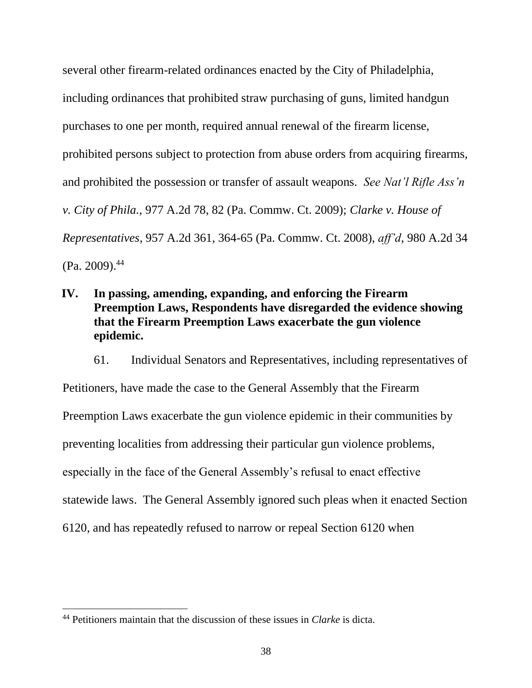several other firearm-related ordinances enacted by the City of Philadelphia, including ordinances that prohibited straw purchasing of guns, limited handgun purchases to one per month, required annual renewal of the firearm license, prohibited persons subject to protection from abuse orders from acquiring firearms, and prohibited the possession or transfer of assault weapons. *See Nat'l Rifle Ass'n v. City of Phila.*, 977 A.2d 78, 82 (Pa. Commw. Ct. 2009); *Clarke v. House of Representatives*, 957 A.2d 361, 364-65 (Pa. Commw. Ct. 2008), *aff'd*, 980 A.2d 34  $(Pa. 2009).<sup>44</sup>$ 

## **IV. In passing, amending, expanding, and enforcing the Firearm Preemption Laws, Respondents have disregarded the evidence showing that the Firearm Preemption Laws exacerbate the gun violence epidemic.**

61. Individual Senators and Representatives, including representatives of Petitioners, have made the case to the General Assembly that the Firearm Preemption Laws exacerbate the gun violence epidemic in their communities by preventing localities from addressing their particular gun violence problems, especially in the face of the General Assembly's refusal to enact effective statewide laws. The General Assembly ignored such pleas when it enacted Section 6120, and has repeatedly refused to narrow or repeal Section 6120 when

<sup>44</sup> Petitioners maintain that the discussion of these issues in *Clarke* is dicta.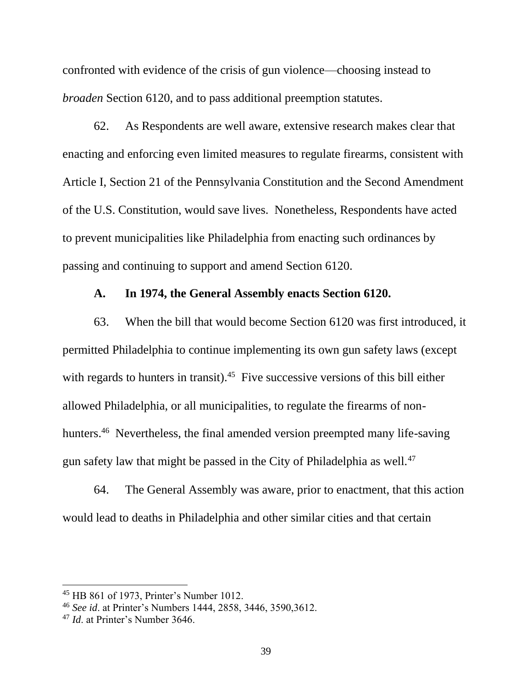confronted with evidence of the crisis of gun violence—choosing instead to *broaden* Section 6120, and to pass additional preemption statutes.

62. As Respondents are well aware, extensive research makes clear that enacting and enforcing even limited measures to regulate firearms, consistent with Article I, Section 21 of the Pennsylvania Constitution and the Second Amendment of the U.S. Constitution, would save lives. Nonetheless, Respondents have acted to prevent municipalities like Philadelphia from enacting such ordinances by passing and continuing to support and amend Section 6120.

### **A. In 1974, the General Assembly enacts Section 6120.**

63. When the bill that would become Section 6120 was first introduced, it permitted Philadelphia to continue implementing its own gun safety laws (except with regards to hunters in transit). $45$  Five successive versions of this bill either allowed Philadelphia, or all municipalities, to regulate the firearms of nonhunters.<sup>46</sup> Nevertheless, the final amended version preempted many life-saving gun safety law that might be passed in the City of Philadelphia as well.<sup>47</sup>

64. The General Assembly was aware, prior to enactment, that this action would lead to deaths in Philadelphia and other similar cities and that certain

<sup>45</sup> HB 861 of 1973, Printer's Number 1012.

<sup>46</sup> *See id*. at Printer's Numbers 1444, 2858, 3446, 3590,3612.

<sup>47</sup> *Id*. at Printer's Number 3646.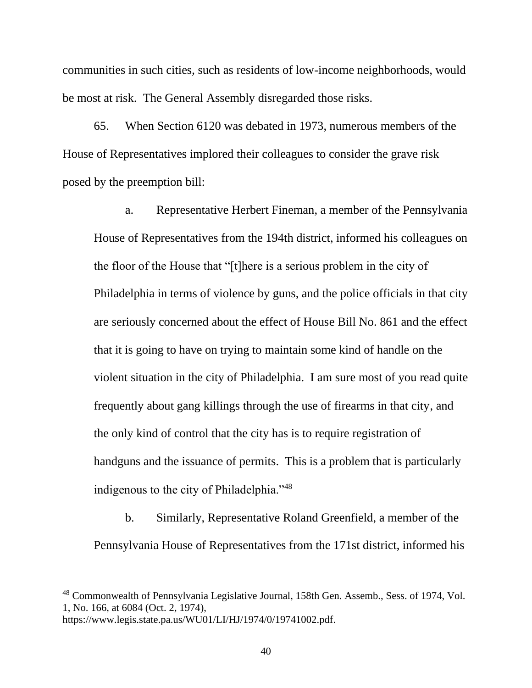communities in such cities, such as residents of low-income neighborhoods, would be most at risk. The General Assembly disregarded those risks.

65. When Section 6120 was debated in 1973, numerous members of the House of Representatives implored their colleagues to consider the grave risk posed by the preemption bill:

a. Representative Herbert Fineman, a member of the Pennsylvania House of Representatives from the 194th district, informed his colleagues on the floor of the House that "[t]here is a serious problem in the city of Philadelphia in terms of violence by guns, and the police officials in that city are seriously concerned about the effect of House Bill No. 861 and the effect that it is going to have on trying to maintain some kind of handle on the violent situation in the city of Philadelphia. I am sure most of you read quite frequently about gang killings through the use of firearms in that city, and the only kind of control that the city has is to require registration of handguns and the issuance of permits. This is a problem that is particularly indigenous to the city of Philadelphia."<sup>48</sup>

b. Similarly, Representative Roland Greenfield, a member of the Pennsylvania House of Representatives from the 171st district, informed his

https://www.legis.state.pa.us/WU01/LI/HJ/1974/0/19741002.pdf.

<sup>&</sup>lt;sup>48</sup> Commonwealth of Pennsylvania Legislative Journal, 158th Gen. Assemb., Sess. of 1974, Vol. 1, No. 166, at 6084 (Oct. 2, 1974),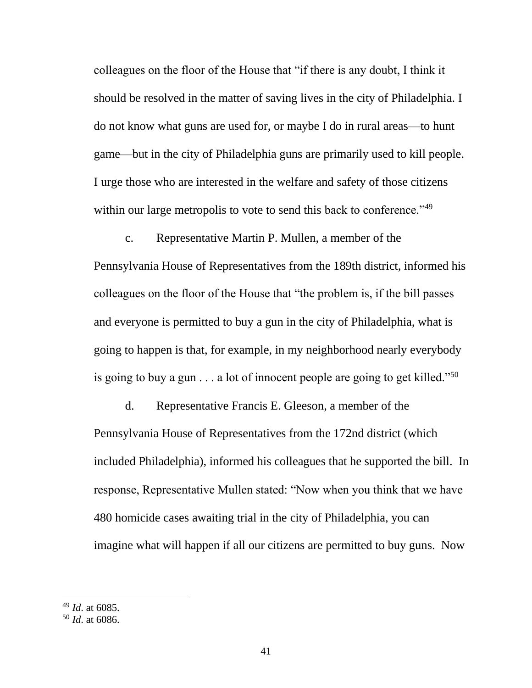colleagues on the floor of the House that "if there is any doubt, I think it should be resolved in the matter of saving lives in the city of Philadelphia. I do not know what guns are used for, or maybe I do in rural areas—to hunt game—but in the city of Philadelphia guns are primarily used to kill people. I urge those who are interested in the welfare and safety of those citizens within our large metropolis to vote to send this back to conference."<sup>49</sup>

c. Representative Martin P. Mullen, a member of the Pennsylvania House of Representatives from the 189th district, informed his colleagues on the floor of the House that "the problem is, if the bill passes and everyone is permitted to buy a gun in the city of Philadelphia, what is going to happen is that, for example, in my neighborhood nearly everybody is going to buy a gun  $\dots$  a lot of innocent people are going to get killed."<sup>50</sup>

d. Representative Francis E. Gleeson, a member of the Pennsylvania House of Representatives from the 172nd district (which included Philadelphia), informed his colleagues that he supported the bill. In response, Representative Mullen stated: "Now when you think that we have 480 homicide cases awaiting trial in the city of Philadelphia, you can imagine what will happen if all our citizens are permitted to buy guns. Now

<sup>49</sup> *Id*. at 6085.

<sup>50</sup> *Id*. at 6086.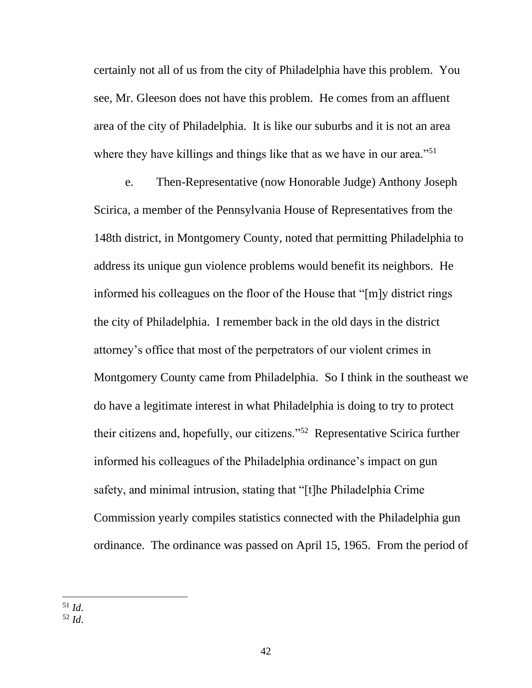certainly not all of us from the city of Philadelphia have this problem. You see, Mr. Gleeson does not have this problem. He comes from an affluent area of the city of Philadelphia. It is like our suburbs and it is not an area where they have killings and things like that as we have in our area."<sup>51</sup>

e. Then-Representative (now Honorable Judge) Anthony Joseph Scirica, a member of the Pennsylvania House of Representatives from the 148th district, in Montgomery County, noted that permitting Philadelphia to address its unique gun violence problems would benefit its neighbors. He informed his colleagues on the floor of the House that "[m]y district rings the city of Philadelphia. I remember back in the old days in the district attorney's office that most of the perpetrators of our violent crimes in Montgomery County came from Philadelphia. So I think in the southeast we do have a legitimate interest in what Philadelphia is doing to try to protect their citizens and, hopefully, our citizens."<sup>52</sup> Representative Scirica further informed his colleagues of the Philadelphia ordinance's impact on gun safety, and minimal intrusion, stating that "[t]he Philadelphia Crime Commission yearly compiles statistics connected with the Philadelphia gun ordinance. The ordinance was passed on April 15, 1965. From the period of

<sup>51</sup> *Id*.

<sup>52</sup> *Id*.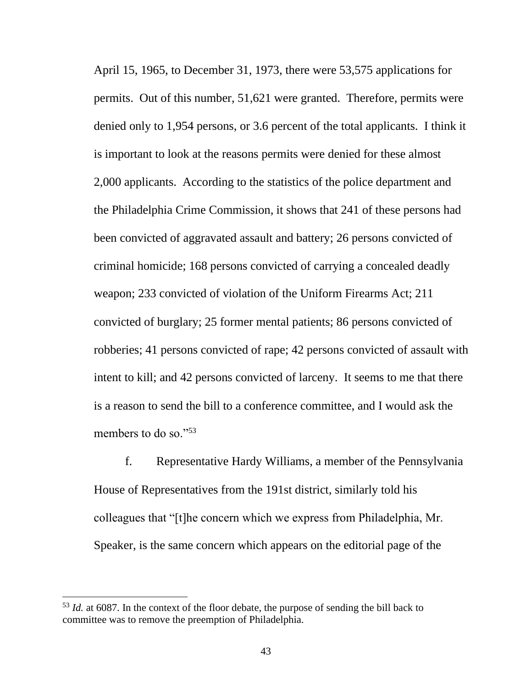April 15, 1965, to December 31, 1973, there were 53,575 applications for permits. Out of this number, 51,621 were granted. Therefore, permits were denied only to 1,954 persons, or 3.6 percent of the total applicants. I think it is important to look at the reasons permits were denied for these almost 2,000 applicants. According to the statistics of the police department and the Philadelphia Crime Commission, it shows that 241 of these persons had been convicted of aggravated assault and battery; 26 persons convicted of criminal homicide; 168 persons convicted of carrying a concealed deadly weapon; 233 convicted of violation of the Uniform Firearms Act; 211 convicted of burglary; 25 former mental patients; 86 persons convicted of robberies; 41 persons convicted of rape; 42 persons convicted of assault with intent to kill; and 42 persons convicted of larceny. It seems to me that there is a reason to send the bill to a conference committee, and I would ask the members to do so."<sup>53</sup>

f. Representative Hardy Williams, a member of the Pennsylvania House of Representatives from the 191st district, similarly told his colleagues that "[t]he concern which we express from Philadelphia, Mr. Speaker, is the same concern which appears on the editorial page of the

<sup>&</sup>lt;sup>53</sup> *Id.* at 6087. In the context of the floor debate, the purpose of sending the bill back to committee was to remove the preemption of Philadelphia.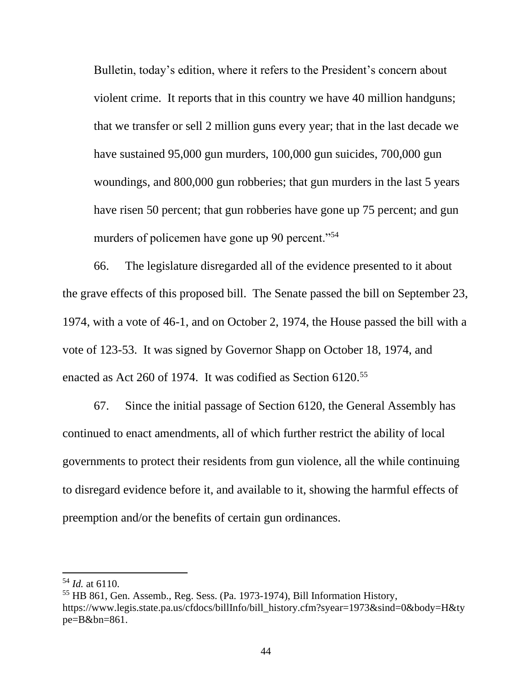Bulletin, today's edition, where it refers to the President's concern about violent crime. It reports that in this country we have 40 million handguns; that we transfer or sell 2 million guns every year; that in the last decade we have sustained 95,000 gun murders, 100,000 gun suicides, 700,000 gun woundings, and 800,000 gun robberies; that gun murders in the last 5 years have risen 50 percent; that gun robberies have gone up 75 percent; and gun murders of policemen have gone up 90 percent."<sup>54</sup>

66. The legislature disregarded all of the evidence presented to it about the grave effects of this proposed bill. The Senate passed the bill on September 23, 1974, with a vote of 46-1, and on October 2, 1974, the House passed the bill with a vote of 123-53. It was signed by Governor Shapp on October 18, 1974, and enacted as Act 260 of 1974. It was codified as Section 6120.<sup>55</sup>

67. Since the initial passage of Section 6120, the General Assembly has continued to enact amendments, all of which further restrict the ability of local governments to protect their residents from gun violence, all the while continuing to disregard evidence before it, and available to it, showing the harmful effects of preemption and/or the benefits of certain gun ordinances.

<sup>54</sup> *Id.* at 6110.

<sup>55</sup> HB 861, Gen. Assemb., Reg. Sess. (Pa. 1973-1974), Bill Information History, https://www.legis.state.pa.us/cfdocs/billInfo/bill\_history.cfm?syear=1973&sind=0&body=H&ty pe=B&bn=861.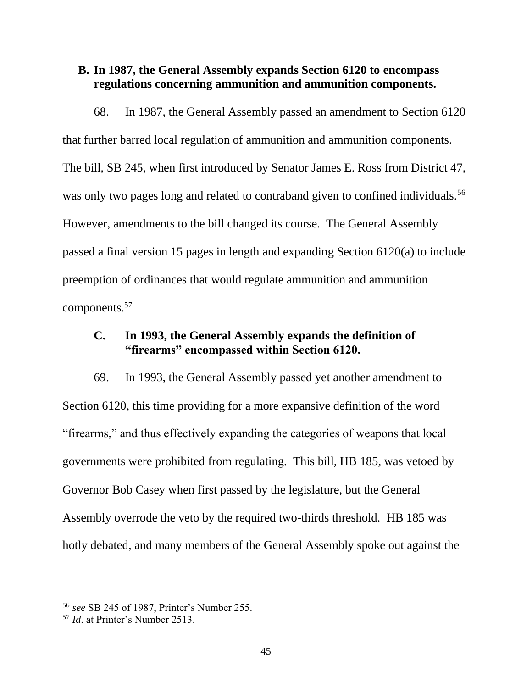### **B. In 1987, the General Assembly expands Section 6120 to encompass regulations concerning ammunition and ammunition components.**

68. In 1987, the General Assembly passed an amendment to Section 6120 that further barred local regulation of ammunition and ammunition components. The bill, SB 245, when first introduced by Senator James E. Ross from District 47, was only two pages long and related to contraband given to confined individuals.<sup>56</sup> However, amendments to the bill changed its course. The General Assembly passed a final version 15 pages in length and expanding Section 6120(a) to include preemption of ordinances that would regulate ammunition and ammunition components.<sup>57</sup>

## **C. In 1993, the General Assembly expands the definition of "firearms" encompassed within Section 6120.**

69. In 1993, the General Assembly passed yet another amendment to Section 6120, this time providing for a more expansive definition of the word "firearms," and thus effectively expanding the categories of weapons that local governments were prohibited from regulating. This bill, HB 185, was vetoed by Governor Bob Casey when first passed by the legislature, but the General Assembly overrode the veto by the required two-thirds threshold. HB 185 was hotly debated, and many members of the General Assembly spoke out against the

<sup>56</sup> *see* SB 245 of 1987, Printer's Number 255.

<sup>57</sup> *Id*. at Printer's Number 2513.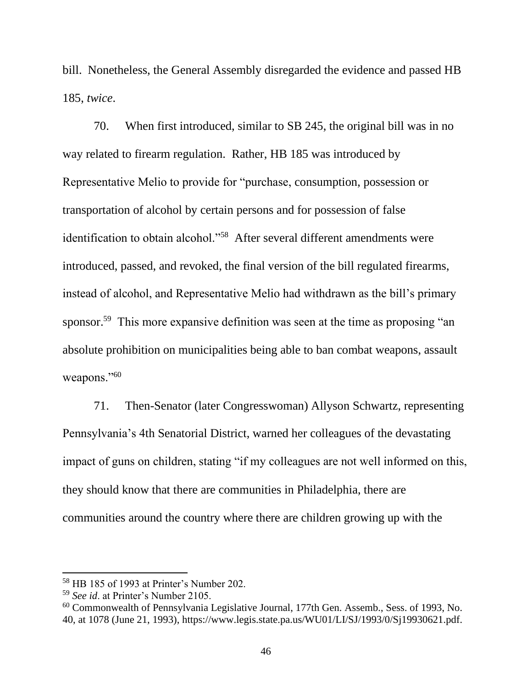bill. Nonetheless, the General Assembly disregarded the evidence and passed HB 185, *twice*.

70. When first introduced, similar to SB 245, the original bill was in no way related to firearm regulation. Rather, HB 185 was introduced by Representative Melio to provide for "purchase, consumption, possession or transportation of alcohol by certain persons and for possession of false identification to obtain alcohol."<sup>58</sup> After several different amendments were introduced, passed, and revoked, the final version of the bill regulated firearms, instead of alcohol, and Representative Melio had withdrawn as the bill's primary sponsor.<sup>59</sup> This more expansive definition was seen at the time as proposing "an absolute prohibition on municipalities being able to ban combat weapons, assault weapons."<sup>60</sup>

71. Then-Senator (later Congresswoman) Allyson Schwartz, representing Pennsylvania's 4th Senatorial District, warned her colleagues of the devastating impact of guns on children, stating "if my colleagues are not well informed on this, they should know that there are communities in Philadelphia, there are communities around the country where there are children growing up with the

<sup>58</sup> HB 185 of 1993 at Printer's Number 202.

<sup>59</sup> *See id*. at Printer's Number 2105.

<sup>60</sup> Commonwealth of Pennsylvania Legislative Journal, 177th Gen. Assemb., Sess. of 1993, No. 40, at 1078 (June 21, 1993), https://www.legis.state.pa.us/WU01/LI/SJ/1993/0/Sj19930621.pdf.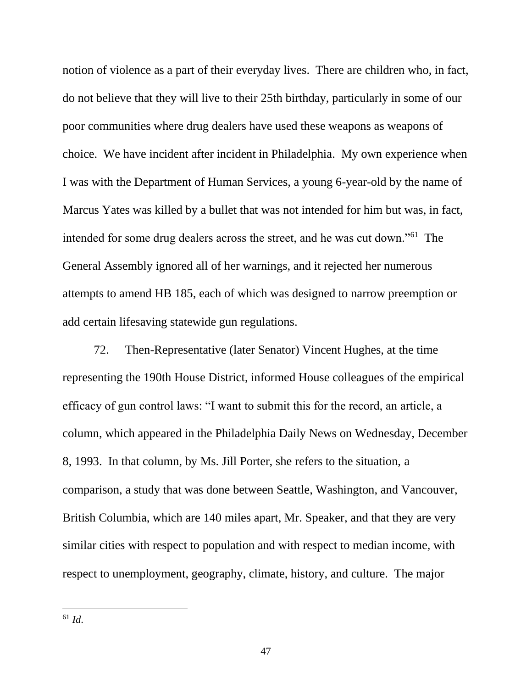notion of violence as a part of their everyday lives. There are children who, in fact, do not believe that they will live to their 25th birthday, particularly in some of our poor communities where drug dealers have used these weapons as weapons of choice. We have incident after incident in Philadelphia. My own experience when I was with the Department of Human Services, a young 6-year-old by the name of Marcus Yates was killed by a bullet that was not intended for him but was, in fact, intended for some drug dealers across the street, and he was cut down."<sup>61</sup> The General Assembly ignored all of her warnings, and it rejected her numerous attempts to amend HB 185, each of which was designed to narrow preemption or add certain lifesaving statewide gun regulations.

72. Then-Representative (later Senator) Vincent Hughes, at the time representing the 190th House District, informed House colleagues of the empirical efficacy of gun control laws: "I want to submit this for the record, an article, a column, which appeared in the Philadelphia Daily News on Wednesday, December 8, 1993. In that column, by Ms. Jill Porter, she refers to the situation, a comparison, a study that was done between Seattle, Washington, and Vancouver, British Columbia, which are 140 miles apart, Mr. Speaker, and that they are very similar cities with respect to population and with respect to median income, with respect to unemployment, geography, climate, history, and culture. The major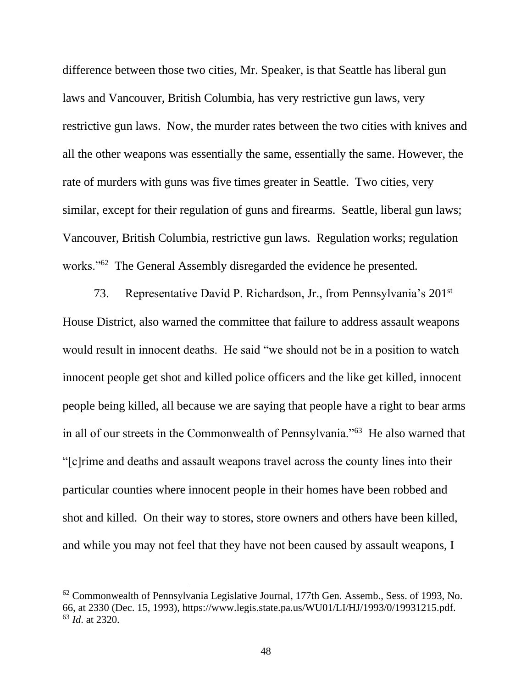difference between those two cities, Mr. Speaker, is that Seattle has liberal gun laws and Vancouver, British Columbia, has very restrictive gun laws, very restrictive gun laws. Now, the murder rates between the two cities with knives and all the other weapons was essentially the same, essentially the same. However, the rate of murders with guns was five times greater in Seattle. Two cities, very similar, except for their regulation of guns and firearms. Seattle, liberal gun laws; Vancouver, British Columbia, restrictive gun laws. Regulation works; regulation works."<sup>62</sup> The General Assembly disregarded the evidence he presented.

73. Representative David P. Richardson, Jr., from Pennsylvania's 201st House District, also warned the committee that failure to address assault weapons would result in innocent deaths. He said "we should not be in a position to watch innocent people get shot and killed police officers and the like get killed, innocent people being killed, all because we are saying that people have a right to bear arms in all of our streets in the Commonwealth of Pennsylvania."<sup>63</sup> He also warned that "[c]rime and deaths and assault weapons travel across the county lines into their particular counties where innocent people in their homes have been robbed and shot and killed. On their way to stores, store owners and others have been killed, and while you may not feel that they have not been caused by assault weapons, I

 $62$  Commonwealth of Pennsylvania Legislative Journal, 177th Gen. Assemb., Sess. of 1993, No. 66, at 2330 (Dec. 15, 1993), https://www.legis.state.pa.us/WU01/LI/HJ/1993/0/19931215.pdf. <sup>63</sup> *Id*. at 2320.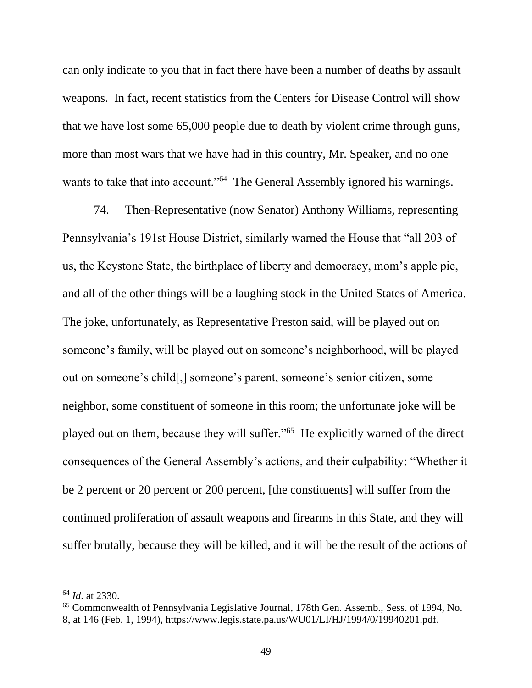can only indicate to you that in fact there have been a number of deaths by assault weapons. In fact, recent statistics from the Centers for Disease Control will show that we have lost some 65,000 people due to death by violent crime through guns, more than most wars that we have had in this country, Mr. Speaker, and no one wants to take that into account."<sup>64</sup> The General Assembly ignored his warnings.

74. Then-Representative (now Senator) Anthony Williams, representing Pennsylvania's 191st House District, similarly warned the House that "all 203 of us, the Keystone State, the birthplace of liberty and democracy, mom's apple pie, and all of the other things will be a laughing stock in the United States of America. The joke, unfortunately, as Representative Preston said, will be played out on someone's family, will be played out on someone's neighborhood, will be played out on someone's child[,] someone's parent, someone's senior citizen, some neighbor, some constituent of someone in this room; the unfortunate joke will be played out on them, because they will suffer."<sup>65</sup> He explicitly warned of the direct consequences of the General Assembly's actions, and their culpability: "Whether it be 2 percent or 20 percent or 200 percent, [the constituents] will suffer from the continued proliferation of assault weapons and firearms in this State, and they will suffer brutally, because they will be killed, and it will be the result of the actions of

<sup>64</sup> *Id*. at 2330.

<sup>65</sup> Commonwealth of Pennsylvania Legislative Journal, 178th Gen. Assemb., Sess. of 1994, No. 8, at 146 (Feb. 1, 1994), https://www.legis.state.pa.us/WU01/LI/HJ/1994/0/19940201.pdf.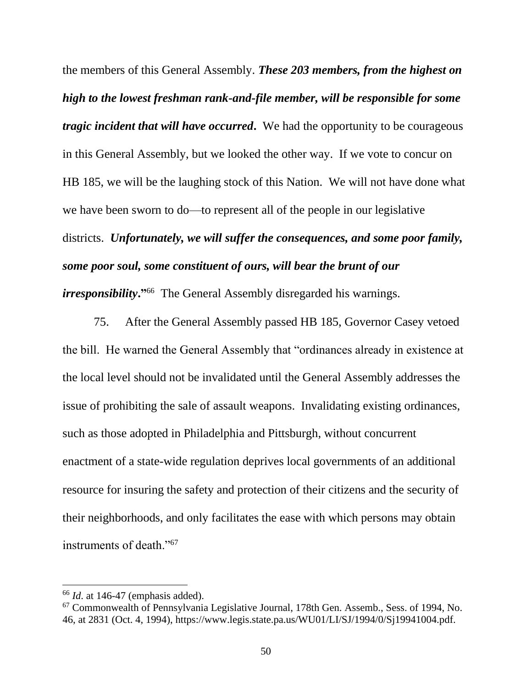the members of this General Assembly. *These 203 members, from the highest on high to the lowest freshman rank-and-file member, will be responsible for some tragic incident that will have occurred***.** We had the opportunity to be courageous in this General Assembly, but we looked the other way. If we vote to concur on HB 185, we will be the laughing stock of this Nation. We will not have done what we have been sworn to do—to represent all of the people in our legislative districts. *Unfortunately, we will suffer the consequences, and some poor family, some poor soul, some constituent of ours, will bear the brunt of our irresponsibility***."**<sup>66</sup> The General Assembly disregarded his warnings.

75. After the General Assembly passed HB 185, Governor Casey vetoed the bill. He warned the General Assembly that "ordinances already in existence at the local level should not be invalidated until the General Assembly addresses the issue of prohibiting the sale of assault weapons. Invalidating existing ordinances, such as those adopted in Philadelphia and Pittsburgh, without concurrent enactment of a state-wide regulation deprives local governments of an additional resource for insuring the safety and protection of their citizens and the security of their neighborhoods, and only facilitates the ease with which persons may obtain instruments of death."<sup>67</sup>

<sup>66</sup> *Id*. at 146-47 (emphasis added).

<sup>67</sup> Commonwealth of Pennsylvania Legislative Journal, 178th Gen. Assemb., Sess. of 1994, No. 46, at 2831 (Oct. 4, 1994), https://www.legis.state.pa.us/WU01/LI/SJ/1994/0/Sj19941004.pdf.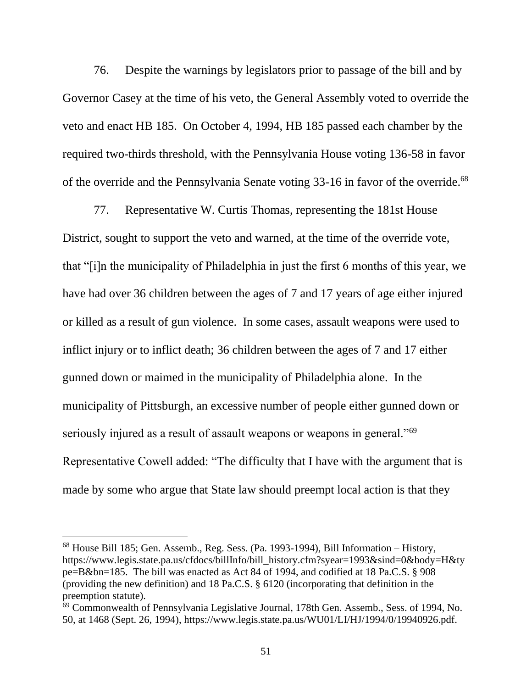76. Despite the warnings by legislators prior to passage of the bill and by Governor Casey at the time of his veto, the General Assembly voted to override the veto and enact HB 185. On October 4, 1994, HB 185 passed each chamber by the required two-thirds threshold, with the Pennsylvania House voting 136-58 in favor of the override and the Pennsylvania Senate voting 33-16 in favor of the override.<sup>68</sup>

77. Representative W. Curtis Thomas, representing the 181st House District, sought to support the veto and warned, at the time of the override vote, that "[i]n the municipality of Philadelphia in just the first 6 months of this year, we have had over 36 children between the ages of 7 and 17 years of age either injured or killed as a result of gun violence. In some cases, assault weapons were used to inflict injury or to inflict death; 36 children between the ages of 7 and 17 either gunned down or maimed in the municipality of Philadelphia alone. In the municipality of Pittsburgh, an excessive number of people either gunned down or seriously injured as a result of assault weapons or weapons in general."<sup>69</sup> Representative Cowell added: "The difficulty that I have with the argument that is made by some who argue that State law should preempt local action is that they

<sup>68</sup> House Bill 185; Gen. Assemb., Reg. Sess. (Pa. 1993-1994), Bill Information – History, https://www.legis.state.pa.us/cfdocs/billInfo/bill\_history.cfm?syear=1993&sind=0&body=H&ty pe=B&bn=185. The bill was enacted as Act 84 of 1994, and codified at 18 Pa.C.S. § 908 (providing the new definition) and 18 Pa.C.S. § 6120 (incorporating that definition in the preemption statute).

 $\overline{69}$  Commonwealth of Pennsylvania Legislative Journal, 178th Gen. Assemb., Sess. of 1994, No. 50, at 1468 (Sept. 26, 1994), https://www.legis.state.pa.us/WU01/LI/HJ/1994/0/19940926.pdf.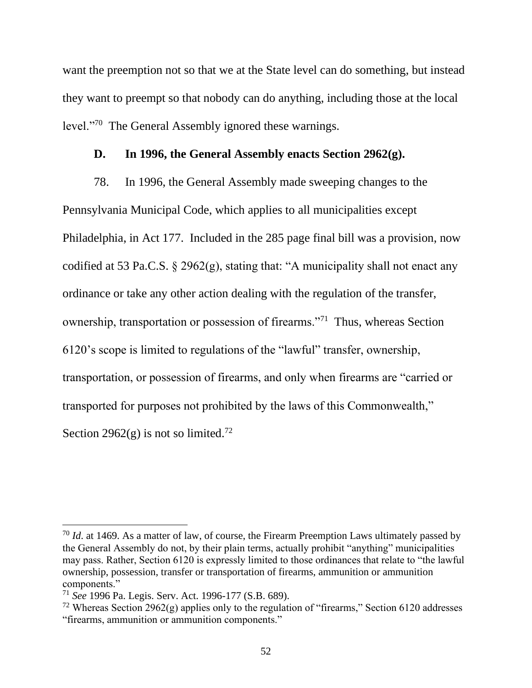want the preemption not so that we at the State level can do something, but instead they want to preempt so that nobody can do anything, including those at the local level."<sup>70</sup> The General Assembly ignored these warnings.

#### **D. In 1996, the General Assembly enacts Section 2962(g).**

78. In 1996, the General Assembly made sweeping changes to the Pennsylvania Municipal Code, which applies to all municipalities except Philadelphia, in Act 177. Included in the 285 page final bill was a provision, now codified at 53 Pa.C.S. § 2962(g), stating that: "A municipality shall not enact any ordinance or take any other action dealing with the regulation of the transfer, ownership, transportation or possession of firearms."<sup>71</sup> Thus, whereas Section 6120's scope is limited to regulations of the "lawful" transfer, ownership, transportation, or possession of firearms, and only when firearms are "carried or transported for purposes not prohibited by the laws of this Commonwealth," Section 2962 $(g)$  is not so limited.<sup>72</sup>

<sup>&</sup>lt;sup>70</sup> *Id.* at 1469. As a matter of law, of course, the Firearm Preemption Laws ultimately passed by the General Assembly do not, by their plain terms, actually prohibit "anything" municipalities may pass. Rather, Section 6120 is expressly limited to those ordinances that relate to "the lawful ownership, possession, transfer or transportation of firearms, ammunition or ammunition components."

<sup>71</sup> *See* 1996 Pa. Legis. Serv. Act. 1996-177 (S.B. 689).

<sup>&</sup>lt;sup>72</sup> Whereas Section 2962(g) applies only to the regulation of "firearms," Section 6120 addresses "firearms, ammunition or ammunition components."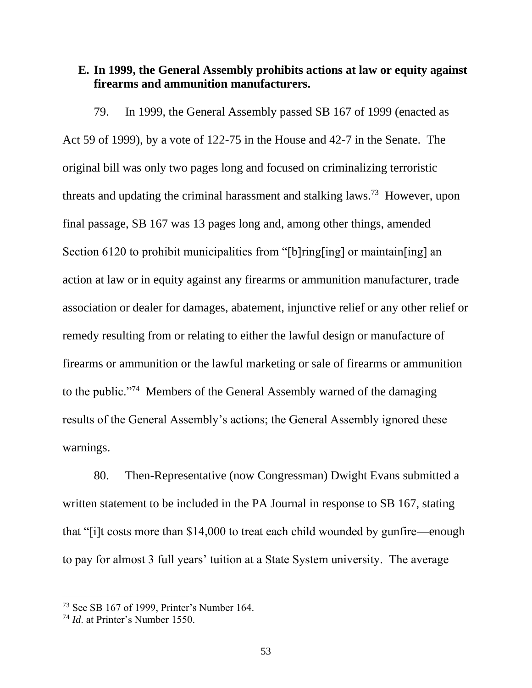### **E. In 1999, the General Assembly prohibits actions at law or equity against firearms and ammunition manufacturers.**

79. In 1999, the General Assembly passed SB 167 of 1999 (enacted as Act 59 of 1999), by a vote of 122-75 in the House and 42-7 in the Senate. The original bill was only two pages long and focused on criminalizing terroristic threats and updating the criminal harassment and stalking laws.<sup>73</sup> However, upon final passage, SB 167 was 13 pages long and, among other things, amended Section 6120 to prohibit municipalities from "[b]ring[ing] or maintain[ing] an action at law or in equity against any firearms or ammunition manufacturer, trade association or dealer for damages, abatement, injunctive relief or any other relief or remedy resulting from or relating to either the lawful design or manufacture of firearms or ammunition or the lawful marketing or sale of firearms or ammunition to the public."<sup>74</sup> Members of the General Assembly warned of the damaging results of the General Assembly's actions; the General Assembly ignored these warnings.

80. Then-Representative (now Congressman) Dwight Evans submitted a written statement to be included in the PA Journal in response to SB 167, stating that "[i]t costs more than \$14,000 to treat each child wounded by gunfire—enough to pay for almost 3 full years' tuition at a State System university. The average

<sup>73</sup> See SB 167 of 1999, Printer's Number 164.

<sup>74</sup> *Id*. at Printer's Number 1550.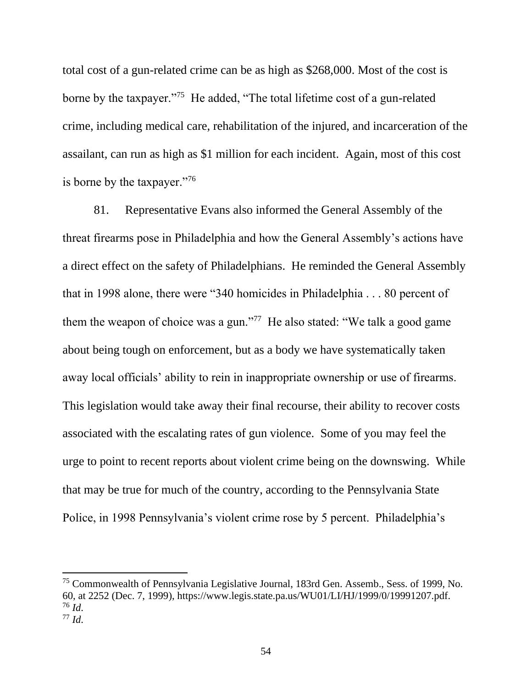total cost of a gun-related crime can be as high as \$268,000. Most of the cost is borne by the taxpayer."<sup>75</sup> He added, "The total lifetime cost of a gun-related crime, including medical care, rehabilitation of the injured, and incarceration of the assailant, can run as high as \$1 million for each incident. Again, most of this cost is borne by the taxpayer."76

81. Representative Evans also informed the General Assembly of the threat firearms pose in Philadelphia and how the General Assembly's actions have a direct effect on the safety of Philadelphians. He reminded the General Assembly that in 1998 alone, there were "340 homicides in Philadelphia . . . 80 percent of them the weapon of choice was a gun."<sup>77</sup> He also stated: "We talk a good game about being tough on enforcement, but as a body we have systematically taken away local officials' ability to rein in inappropriate ownership or use of firearms. This legislation would take away their final recourse, their ability to recover costs associated with the escalating rates of gun violence. Some of you may feel the urge to point to recent reports about violent crime being on the downswing. While that may be true for much of the country, according to the Pennsylvania State Police, in 1998 Pennsylvania's violent crime rose by 5 percent. Philadelphia's

<sup>75</sup> Commonwealth of Pennsylvania Legislative Journal, 183rd Gen. Assemb., Sess. of 1999, No. 60, at 2252 (Dec. 7, 1999), https://www.legis.state.pa.us/WU01/LI/HJ/1999/0/19991207.pdf. <sup>76</sup> *Id*. <sup>77</sup> *Id*.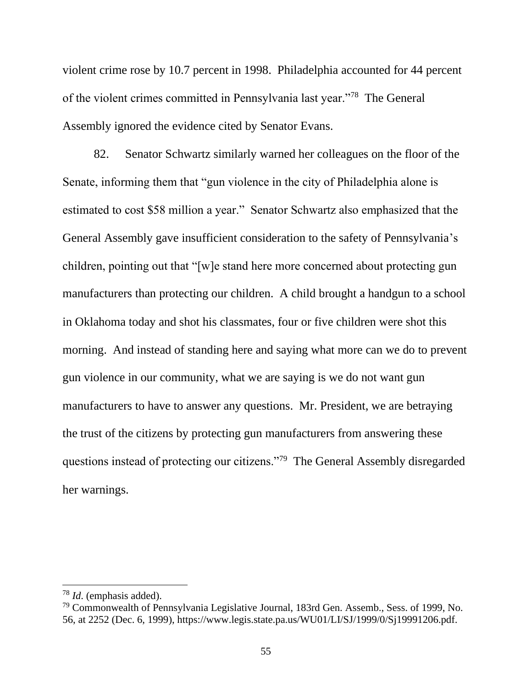violent crime rose by 10.7 percent in 1998. Philadelphia accounted for 44 percent of the violent crimes committed in Pennsylvania last year."<sup>78</sup> The General Assembly ignored the evidence cited by Senator Evans.

82. Senator Schwartz similarly warned her colleagues on the floor of the Senate, informing them that "gun violence in the city of Philadelphia alone is estimated to cost \$58 million a year." Senator Schwartz also emphasized that the General Assembly gave insufficient consideration to the safety of Pennsylvania's children, pointing out that "[w]e stand here more concerned about protecting gun manufacturers than protecting our children. A child brought a handgun to a school in Oklahoma today and shot his classmates, four or five children were shot this morning. And instead of standing here and saying what more can we do to prevent gun violence in our community, what we are saying is we do not want gun manufacturers to have to answer any questions. Mr. President, we are betraying the trust of the citizens by protecting gun manufacturers from answering these questions instead of protecting our citizens."<sup>79</sup> The General Assembly disregarded her warnings.

<sup>78</sup> *Id*. (emphasis added).

 $79$  Commonwealth of Pennsylvania Legislative Journal, 183rd Gen. Assemb., Sess. of 1999, No. 56, at 2252 (Dec. 6, 1999), https://www.legis.state.pa.us/WU01/LI/SJ/1999/0/Sj19991206.pdf.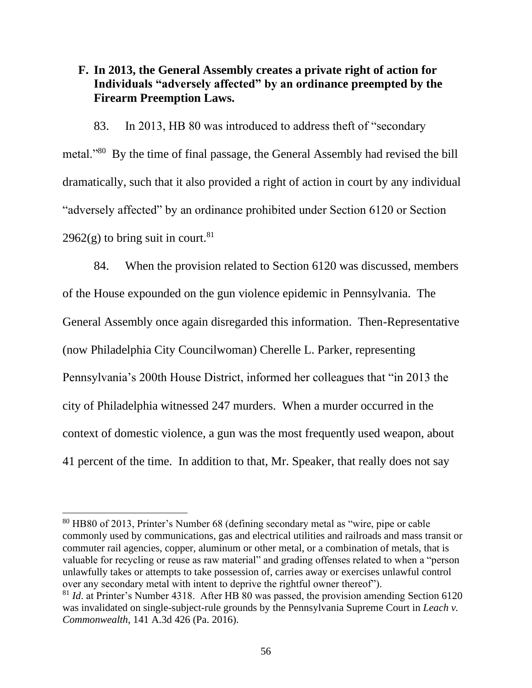## **F. In 2013, the General Assembly creates a private right of action for Individuals "adversely affected" by an ordinance preempted by the Firearm Preemption Laws.**

83. In 2013, HB 80 was introduced to address theft of "secondary metal."<sup>80</sup> By the time of final passage, the General Assembly had revised the bill dramatically, such that it also provided a right of action in court by any individual "adversely affected" by an ordinance prohibited under Section 6120 or Section  $2962(g)$  to bring suit in court.<sup>81</sup>

84. When the provision related to Section 6120 was discussed, members of the House expounded on the gun violence epidemic in Pennsylvania. The General Assembly once again disregarded this information. Then-Representative (now Philadelphia City Councilwoman) Cherelle L. Parker, representing Pennsylvania's 200th House District, informed her colleagues that "in 2013 the city of Philadelphia witnessed 247 murders. When a murder occurred in the context of domestic violence, a gun was the most frequently used weapon, about 41 percent of the time. In addition to that, Mr. Speaker, that really does not say

<sup>80</sup> HB80 of 2013, Printer's Number 68 (defining secondary metal as "wire, pipe or cable commonly used by communications, gas and electrical utilities and railroads and mass transit or commuter rail agencies, copper, aluminum or other metal, or a combination of metals, that is valuable for recycling or reuse as raw material" and grading offenses related to when a "person unlawfully takes or attempts to take possession of, carries away or exercises unlawful control over any secondary metal with intent to deprive the rightful owner thereof").

<sup>&</sup>lt;sup>81</sup> *Id.* at Printer's Number 4318. After HB 80 was passed, the provision amending Section 6120 was invalidated on single-subject-rule grounds by the Pennsylvania Supreme Court in *Leach v. Commonwealth*, 141 A.3d 426 (Pa. 2016).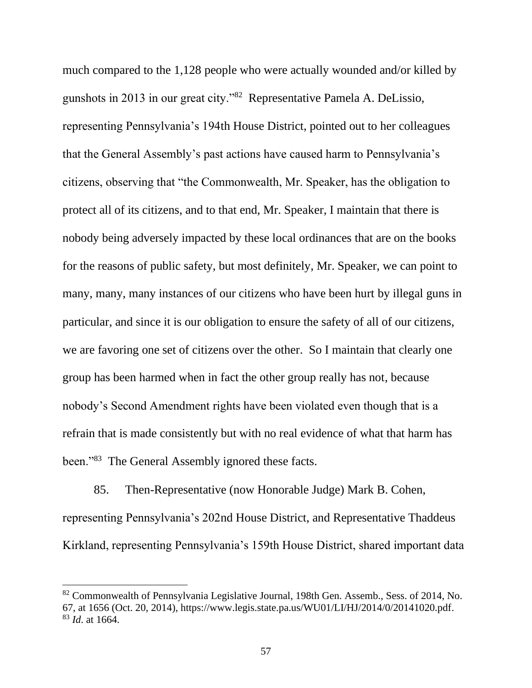much compared to the 1,128 people who were actually wounded and/or killed by gunshots in 2013 in our great city."<sup>82</sup> Representative Pamela A. DeLissio, representing Pennsylvania's 194th House District, pointed out to her colleagues that the General Assembly's past actions have caused harm to Pennsylvania's citizens, observing that "the Commonwealth, Mr. Speaker, has the obligation to protect all of its citizens, and to that end, Mr. Speaker, I maintain that there is nobody being adversely impacted by these local ordinances that are on the books for the reasons of public safety, but most definitely, Mr. Speaker, we can point to many, many, many instances of our citizens who have been hurt by illegal guns in particular, and since it is our obligation to ensure the safety of all of our citizens, we are favoring one set of citizens over the other. So I maintain that clearly one group has been harmed when in fact the other group really has not, because nobody's Second Amendment rights have been violated even though that is a refrain that is made consistently but with no real evidence of what that harm has been."<sup>83</sup> The General Assembly ignored these facts.

85. Then-Representative (now Honorable Judge) Mark B. Cohen, representing Pennsylvania's 202nd House District, and Representative Thaddeus Kirkland, representing Pennsylvania's 159th House District, shared important data

<sup>&</sup>lt;sup>82</sup> Commonwealth of Pennsylvania Legislative Journal, 198th Gen. Assemb., Sess. of 2014, No. 67, at 1656 (Oct. 20, 2014), https://www.legis.state.pa.us/WU01/LI/HJ/2014/0/20141020.pdf. <sup>83</sup> *Id*. at 1664.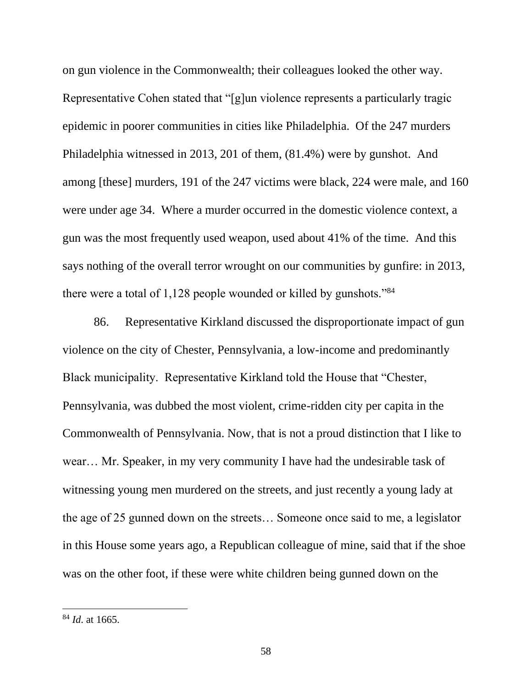on gun violence in the Commonwealth; their colleagues looked the other way. Representative Cohen stated that "[g]un violence represents a particularly tragic epidemic in poorer communities in cities like Philadelphia. Of the 247 murders Philadelphia witnessed in 2013, 201 of them, (81.4%) were by gunshot. And among [these] murders, 191 of the 247 victims were black, 224 were male, and 160 were under age 34. Where a murder occurred in the domestic violence context, a gun was the most frequently used weapon, used about 41% of the time. And this says nothing of the overall terror wrought on our communities by gunfire: in 2013, there were a total of  $1,128$  people wounded or killed by gunshots."<sup>84</sup>

86. Representative Kirkland discussed the disproportionate impact of gun violence on the city of Chester, Pennsylvania, a low-income and predominantly Black municipality. Representative Kirkland told the House that "Chester, Pennsylvania, was dubbed the most violent, crime-ridden city per capita in the Commonwealth of Pennsylvania. Now, that is not a proud distinction that I like to wear… Mr. Speaker, in my very community I have had the undesirable task of witnessing young men murdered on the streets, and just recently a young lady at the age of 25 gunned down on the streets… Someone once said to me, a legislator in this House some years ago, a Republican colleague of mine, said that if the shoe was on the other foot, if these were white children being gunned down on the

<sup>84</sup> *Id*. at 1665.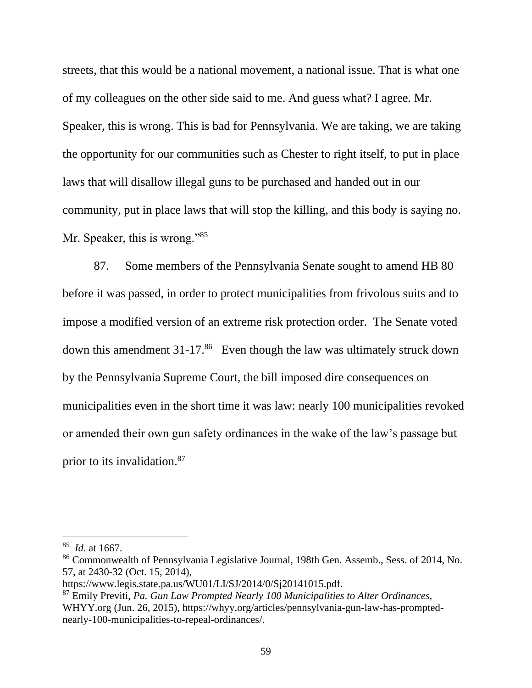streets, that this would be a national movement, a national issue. That is what one of my colleagues on the other side said to me. And guess what? I agree. Mr. Speaker, this is wrong. This is bad for Pennsylvania. We are taking, we are taking the opportunity for our communities such as Chester to right itself, to put in place laws that will disallow illegal guns to be purchased and handed out in our community, put in place laws that will stop the killing, and this body is saying no. Mr. Speaker, this is wrong."<sup>85</sup>

87. Some members of the Pennsylvania Senate sought to amend HB 80 before it was passed, in order to protect municipalities from frivolous suits and to impose a modified version of an extreme risk protection order. The Senate voted down this amendment  $31-17$ .<sup>86</sup> Even though the law was ultimately struck down by the Pennsylvania Supreme Court, the bill imposed dire consequences on municipalities even in the short time it was law: nearly 100 municipalities revoked or amended their own gun safety ordinances in the wake of the law's passage but prior to its invalidation.<sup>87</sup>

<sup>85</sup> *Id*. at 1667.

<sup>86</sup> Commonwealth of Pennsylvania Legislative Journal, 198th Gen. Assemb., Sess. of 2014, No. 57, at 2430-32 (Oct. 15, 2014),

https://www.legis.state.pa.us/WU01/LI/SJ/2014/0/Sj20141015.pdf.

<sup>87</sup> Emily Previti, *Pa. Gun Law Prompted Nearly 100 Municipalities to Alter Ordinances,*  WHYY.org (Jun. 26, 2015), https://whyy.org/articles/pennsylvania-gun-law-has-promptednearly-100-municipalities-to-repeal-ordinances/.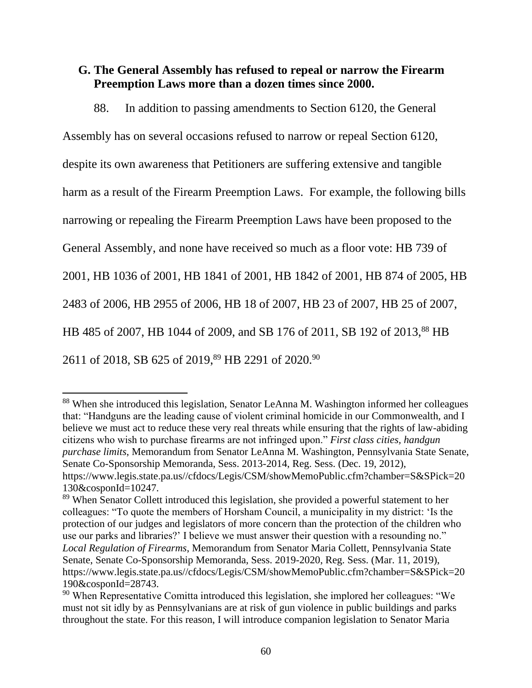## **G. The General Assembly has refused to repeal or narrow the Firearm Preemption Laws more than a dozen times since 2000.**

88. In addition to passing amendments to Section 6120, the General

Assembly has on several occasions refused to narrow or repeal Section 6120,

despite its own awareness that Petitioners are suffering extensive and tangible

harm as a result of the Firearm Preemption Laws. For example, the following bills

narrowing or repealing the Firearm Preemption Laws have been proposed to the

General Assembly, and none have received so much as a floor vote: HB 739 of

2001, HB 1036 of 2001, HB 1841 of 2001, HB 1842 of 2001, HB 874 of 2005, HB

2483 of 2006, HB 2955 of 2006, HB 18 of 2007, HB 23 of 2007, HB 25 of 2007,

HB 485 of 2007, HB 1044 of 2009, and SB 176 of 2011, SB 192 of 2013,<sup>88</sup> HB

2611 of 2018, SB 625 of 2019,<sup>89</sup> HB 2291 of 2020.<sup>90</sup>

<sup>88</sup> When she introduced this legislation, Senator LeAnna M. Washington informed her colleagues that: "Handguns are the leading cause of violent criminal homicide in our Commonwealth, and I believe we must act to reduce these very real threats while ensuring that the rights of law-abiding citizens who wish to purchase firearms are not infringed upon." *First class cities, handgun purchase limits*, Memorandum from Senator LeAnna M. Washington*,* Pennsylvania State Senate, Senate Co-Sponsorship Memoranda, Sess. 2013-2014, Reg. Sess. (Dec. 19, 2012), https://www.legis.state.pa.us//cfdocs/Legis/CSM/showMemoPublic.cfm?chamber=S&SPick=20 130&cosponId=10247.

<sup>89</sup> When Senator Collett introduced this legislation, she provided a powerful statement to her colleagues: "To quote the members of Horsham Council, a municipality in my district: 'Is the protection of our judges and legislators of more concern than the protection of the children who use our parks and libraries?' I believe we must answer their question with a resounding no." *Local Regulation of Firearms*, Memorandum from Senator Maria Collett, Pennsylvania State Senate, Senate Co-Sponsorship Memoranda, Sess. 2019-2020, Reg. Sess. (Mar. 11, 2019), https://www.legis.state.pa.us//cfdocs/Legis/CSM/showMemoPublic.cfm?chamber=S&SPick=20 190&cosponId=28743.

 $90$  When Representative Comitta introduced this legislation, she implored her colleagues: "We must not sit idly by as Pennsylvanians are at risk of gun violence in public buildings and parks throughout the state. For this reason, I will introduce companion legislation to Senator Maria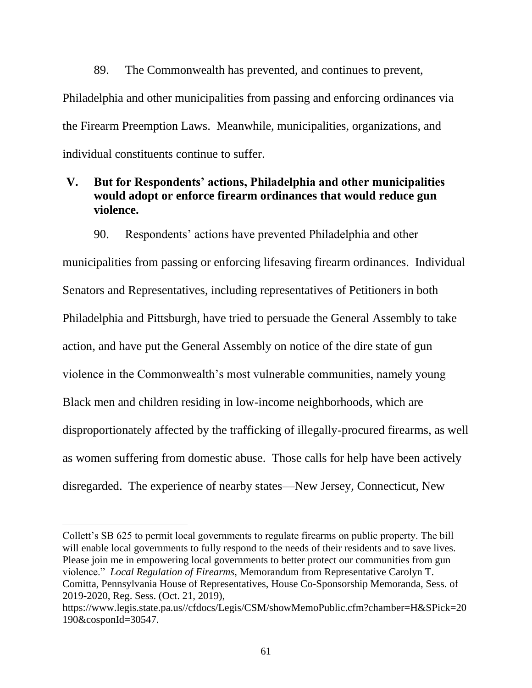89. The Commonwealth has prevented, and continues to prevent, Philadelphia and other municipalities from passing and enforcing ordinances via the Firearm Preemption Laws. Meanwhile, municipalities, organizations, and individual constituents continue to suffer.

## **V. But for Respondents' actions, Philadelphia and other municipalities would adopt or enforce firearm ordinances that would reduce gun violence.**

90. Respondents' actions have prevented Philadelphia and other

municipalities from passing or enforcing lifesaving firearm ordinances. Individual Senators and Representatives, including representatives of Petitioners in both Philadelphia and Pittsburgh, have tried to persuade the General Assembly to take action, and have put the General Assembly on notice of the dire state of gun violence in the Commonwealth's most vulnerable communities, namely young Black men and children residing in low-income neighborhoods, which are disproportionately affected by the trafficking of illegally-procured firearms, as well as women suffering from domestic abuse. Those calls for help have been actively disregarded. The experience of nearby states—New Jersey, Connecticut, New

Collett's SB 625 to permit local governments to regulate firearms on public property. The bill will enable local governments to fully respond to the needs of their residents and to save lives. Please join me in empowering local governments to better protect our communities from gun violence." *Local Regulation of Firearms*, Memorandum from Representative Carolyn T. Comitta*,* Pennsylvania House of Representatives, House Co-Sponsorship Memoranda, Sess. of 2019-2020, Reg. Sess. (Oct. 21, 2019),

https://www.legis.state.pa.us//cfdocs/Legis/CSM/showMemoPublic.cfm?chamber=H&SPick=20 190&cosponId=30547.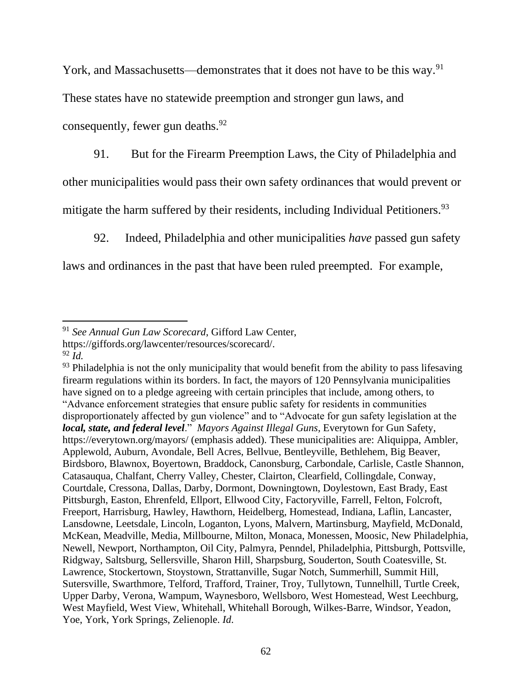York, and Massachusetts—demonstrates that it does not have to be this way.<sup>91</sup>

These states have no statewide preemption and stronger gun laws, and

consequently, fewer gun deaths.  $92$ 

91. But for the Firearm Preemption Laws, the City of Philadelphia and other municipalities would pass their own safety ordinances that would prevent or mitigate the harm suffered by their residents, including Individual Petitioners.<sup>93</sup>

92. Indeed, Philadelphia and other municipalities *have* passed gun safety

laws and ordinances in the past that have been ruled preempted. For example,

<sup>91</sup> *See Annual Gun Law Scorecard*, Gifford Law Center,

https://giffords.org/lawcenter/resources/scorecard/.

 $92 \tilde{I}$ d.

 $93$  Philadelphia is not the only municipality that would benefit from the ability to pass lifesaving firearm regulations within its borders. In fact, the mayors of 120 Pennsylvania municipalities have signed on to a pledge agreeing with certain principles that include, among others, to "Advance enforcement strategies that ensure public safety for residents in communities disproportionately affected by gun violence" and to "Advocate for gun safety legislation at the *local, state, and federal level*." *Mayors Against Illegal Guns,* Everytown for Gun Safety, <https://everytown.org/mayors/> (emphasis added). These municipalities are: Aliquippa, Ambler, Applewold, Auburn, Avondale, Bell Acres, Bellvue, Bentleyville, Bethlehem, Big Beaver, Birdsboro, Blawnox, Boyertown, Braddock, Canonsburg, Carbondale, Carlisle, Castle Shannon, Catasauqua, Chalfant, Cherry Valley, Chester, Clairton, Clearfield, Collingdale, Conway, Courtdale, Cressona, Dallas, Darby, Dormont, Downingtown, Doylestown, East Brady, East Pittsburgh, Easton, Ehrenfeld, Ellport, Ellwood City, Factoryville, Farrell, Felton, Folcroft, Freeport, Harrisburg, Hawley, Hawthorn, Heidelberg, Homestead, Indiana, Laflin, Lancaster, Lansdowne, Leetsdale, Lincoln, Loganton, Lyons, Malvern, Martinsburg, Mayfield, McDonald, McKean, Meadville, Media, Millbourne, Milton, Monaca, Monessen, Moosic, New Philadelphia, Newell, Newport, Northampton, Oil City, Palmyra, Penndel, Philadelphia, Pittsburgh, Pottsville, Ridgway, Saltsburg, Sellersville, Sharon Hill, Sharpsburg, Souderton, South Coatesville, St. Lawrence, Stockertown, Stoystown, Strattanville, Sugar Notch, Summerhill, Summit Hill, Sutersville, Swarthmore, Telford, Trafford, Trainer, Troy, Tullytown, Tunnelhill, Turtle Creek, Upper Darby, Verona, Wampum, Waynesboro, Wellsboro, West Homestead, West Leechburg, West Mayfield, West View, Whitehall, Whitehall Borough, Wilkes-Barre, Windsor, Yeadon, Yoe, York, York Springs, Zelienople. *Id*.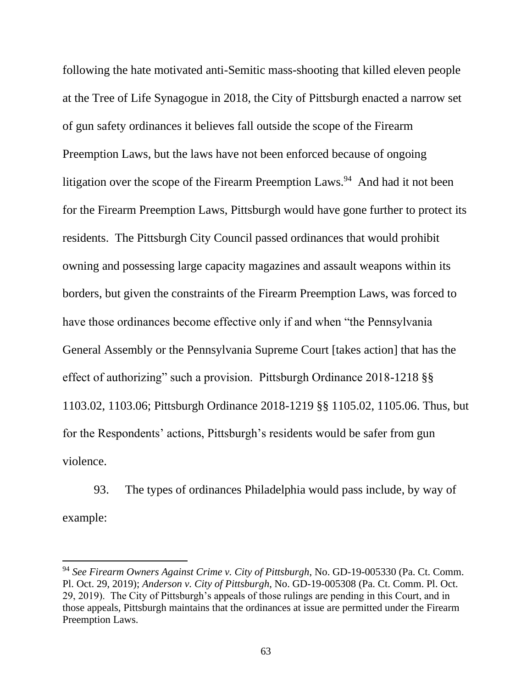following the hate motivated anti-Semitic mass-shooting that killed eleven people at the Tree of Life Synagogue in 2018, the City of Pittsburgh enacted a narrow set of gun safety ordinances it believes fall outside the scope of the Firearm Preemption Laws, but the laws have not been enforced because of ongoing litigation over the scope of the Firearm Preemption Laws.<sup>94</sup> And had it not been for the Firearm Preemption Laws, Pittsburgh would have gone further to protect its residents. The Pittsburgh City Council passed ordinances that would prohibit owning and possessing large capacity magazines and assault weapons within its borders, but given the constraints of the Firearm Preemption Laws, was forced to have those ordinances become effective only if and when "the Pennsylvania General Assembly or the Pennsylvania Supreme Court [takes action] that has the effect of authorizing" such a provision. Pittsburgh Ordinance 2018-1218 §§ 1103.02, 1103.06; Pittsburgh Ordinance 2018-1219 §§ 1105.02, 1105.06. Thus, but for the Respondents' actions, Pittsburgh's residents would be safer from gun violence.

93. The types of ordinances Philadelphia would pass include, by way of example:

<sup>94</sup> *See Firearm Owners Against Crime v. City of Pittsburgh*, No. GD-19-005330 (Pa. Ct. Comm. Pl. Oct. 29, 2019); *Anderson v. City of Pittsburgh*, No. GD-19-005308 (Pa. Ct. Comm. Pl. Oct. 29, 2019). The City of Pittsburgh's appeals of those rulings are pending in this Court, and in those appeals, Pittsburgh maintains that the ordinances at issue are permitted under the Firearm Preemption Laws.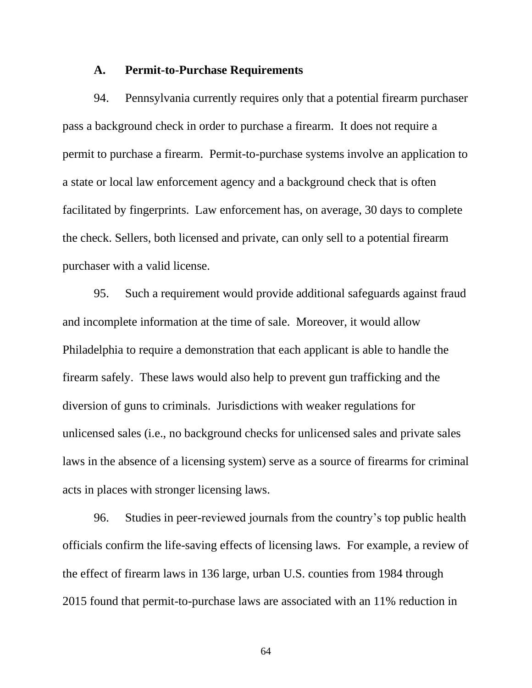#### **A. Permit-to-Purchase Requirements**

94. Pennsylvania currently requires only that a potential firearm purchaser pass a background check in order to purchase a firearm. It does not require a permit to purchase a firearm. Permit-to-purchase systems involve an application to a state or local law enforcement agency and a background check that is often facilitated by fingerprints. Law enforcement has, on average, 30 days to complete the check. Sellers, both licensed and private, can only sell to a potential firearm purchaser with a valid license.

95. Such a requirement would provide additional safeguards against fraud and incomplete information at the time of sale. Moreover, it would allow Philadelphia to require a demonstration that each applicant is able to handle the firearm safely. These laws would also help to prevent gun trafficking and the diversion of guns to criminals. Jurisdictions with weaker regulations for unlicensed sales (i.e., no background checks for unlicensed sales and private sales laws in the absence of a licensing system) serve as a source of firearms for criminal acts in places with stronger licensing laws.

96. Studies in peer-reviewed journals from the country's top public health officials confirm the life-saving effects of licensing laws. For example, a review of the effect of firearm laws in 136 large, urban U.S. counties from 1984 through 2015 found that permit-to-purchase laws are associated with an 11% reduction in

64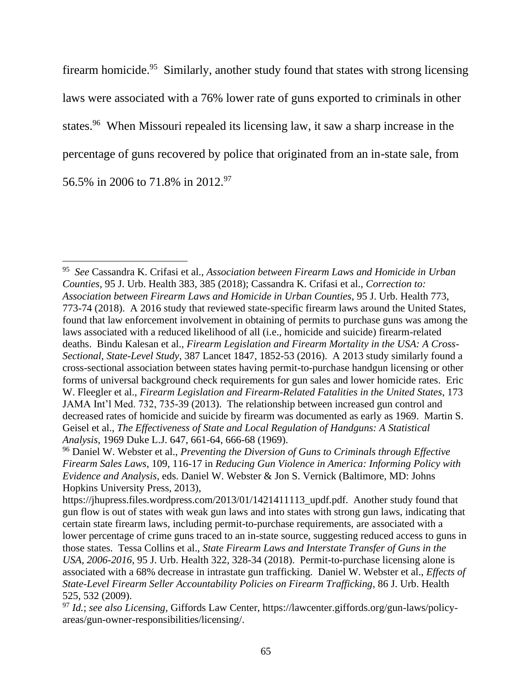firearm homicide.<sup>95</sup> Similarly, another study found that states with strong licensing laws were associated with a 76% lower rate of guns exported to criminals in other states.<sup>96</sup> When Missouri repealed its licensing law, it saw a sharp increase in the percentage of guns recovered by police that originated from an in-state sale, from 56.5% in 2006 to 71.8% in 2012.<sup>97</sup>

<sup>95</sup> *See* Cassandra K. Crifasi et al., *Association between Firearm Laws and Homicide in Urban Counties*, 95 J. Urb. Health 383, 385 (2018); Cassandra K. Crifasi et al., *Correction to: Association between Firearm Laws and Homicide in Urban Counties*, 95 J. Urb. Health 773, 773-74 (2018). A 2016 study that reviewed state-specific firearm laws around the United States, found that law enforcement involvement in obtaining of permits to purchase guns was among the laws associated with a reduced likelihood of all (i.e., homicide and suicide) firearm-related deaths. Bindu Kalesan et al., *Firearm Legislation and Firearm Mortality in the USA: A Cross-Sectional, State-Level Study*, 387 Lancet 1847, 1852-53 (2016). A 2013 study similarly found a cross-sectional association between states having permit-to-purchase handgun licensing or other forms of universal background check requirements for gun sales and lower homicide rates. Eric W. Fleegler et al., *Firearm Legislation and Firearm-Related Fatalities in the United States*, 173 JAMA Int'l Med. 732, 735-39 (2013). The relationship between increased gun control and decreased rates of homicide and suicide by firearm was documented as early as 1969. Martin S. Geisel et al., *The Effectiveness of State and Local Regulation of Handguns: A Statistical Analysis*, 1969 Duke L.J. 647, 661-64, 666-68 (1969).

<sup>96</sup> Daniel W. Webster et al., *Preventing the Diversion of Guns to Criminals through Effective Firearm Sales Laws*, 109, 116-17 in *Reducing Gun Violence in America: Informing Policy with Evidence and Analysis*, eds. Daniel W. Webster & Jon S. Vernick (Baltimore, MD: Johns Hopkins University Press, 2013),

https://jhupress.files.wordpress.com/2013/01/1421411113\_updf.pdf. Another study found that gun flow is out of states with weak gun laws and into states with strong gun laws, indicating that certain state firearm laws, including permit-to-purchase requirements, are associated with a lower percentage of crime guns traced to an in-state source, suggesting reduced access to guns in those states. Tessa Collins et al., *State Firearm Laws and Interstate Transfer of Guns in the USA*, *2006-2016*, 95 J. Urb. Health 322, 328-34 (2018). Permit-to-purchase licensing alone is associated with a 68% decrease in intrastate gun trafficking. Daniel W. Webster et al., *Effects of State-Level Firearm Seller Accountability Policies on Firearm Trafficking*, 86 J. Urb. Health 525, 532 (2009).

<sup>97</sup> *Id.*; *see also Licensing,* Giffords Law Center, https://lawcenter.giffords.org/gun-laws/policyareas/gun-owner-responsibilities/licensing/.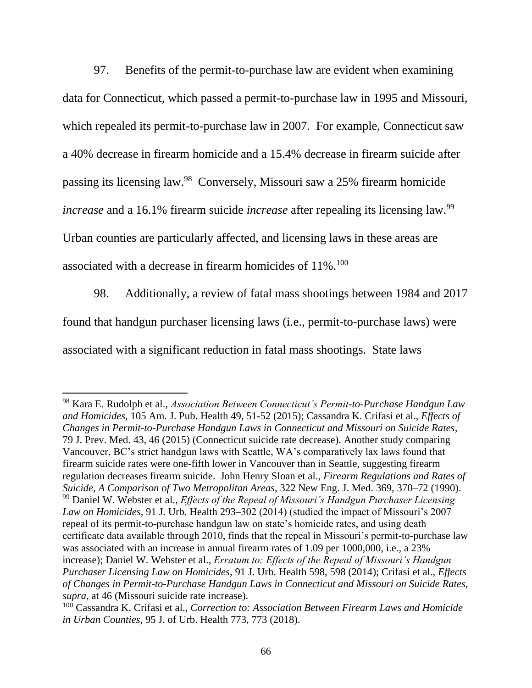97. Benefits of the permit-to-purchase law are evident when examining data for Connecticut, which passed a permit-to-purchase law in 1995 and Missouri, which repealed its permit-to-purchase law in 2007. For example, Connecticut saw a 40% decrease in firearm homicide and a 15.4% decrease in firearm suicide after passing its licensing law.<sup>98</sup> Conversely, Missouri saw a 25% firearm homicide *increase* and a 16.1% firearm suicide *increase* after repealing its licensing law.<sup>99</sup> Urban counties are particularly affected, and licensing laws in these areas are associated with a decrease in firearm homicides of 11%.<sup>100</sup>

98. Additionally, a review of fatal mass shootings between 1984 and 2017 found that handgun purchaser licensing laws (i.e., permit-to-purchase laws) were associated with a significant reduction in fatal mass shootings. State laws

<sup>98</sup> Kara E. Rudolph et al., *Association Between Connecticut's Permit-to-Purchase Handgun Law and Homicides*, 105 Am. J. Pub. Health 49, 51-52 (2015); [Cassandra K. Crifasi](https://www.sciencedirect.com/science/article/pii/S0091743515002297?via%3Dihub#!) et al., *Effects of Changes in Permit-to-Purchase Handgun Laws in Connecticut and Missouri on Suicide Rates*, 79 J. Prev. Med. 43, 46 (2015) (Connecticut suicide rate decrease). Another study comparing Vancouver, BC's strict handgun laws with Seattle, WA's comparatively lax laws found that firearm suicide rates were one-fifth lower in Vancouver than in Seattle, suggesting firearm regulation decreases firearm suicide. John Henry Sloan et al., *Firearm Regulations and Rates of Suicide, A Comparison of Two Metropolitan Areas*, 322 New Eng. J. Med. 369, 370–72 (1990). <sup>99</sup> Daniel W. Webster et al., *Effects of the Repeal of Missouri's Handgun Purchaser Licensing Law on Homicides*, 91 J. Urb. Health 293–302 (2014) (studied the impact of Missouri's 2007 repeal of its permit-to-purchase handgun law on state's homicide rates, and using death certificate data available through 2010, finds that the repeal in Missouri's permit-to-purchase law was associated with an increase in annual firearm rates of 1.09 per 1000,000, i.e., a 23% increase); Daniel W. Webster et al., *Erratum to: Effects of the Repeal of Missouri's Handgun Purchaser Licensing Law on Homicides*, 91 J. Urb. Health 598, 598 (2014); Crifasi et al., *Effects of Changes in Permit-to-Purchase Handgun Laws in Connecticut and Missouri on Suicide Rates*, *supra*, at 46 (Missouri suicide rate increase).

<sup>100</sup> Cassandra K. Crifasi et al., *Correction to: Association Between Firearm Laws and Homicide in Urban Counties*, 95 J. of Urb. Health 773, 773 (2018).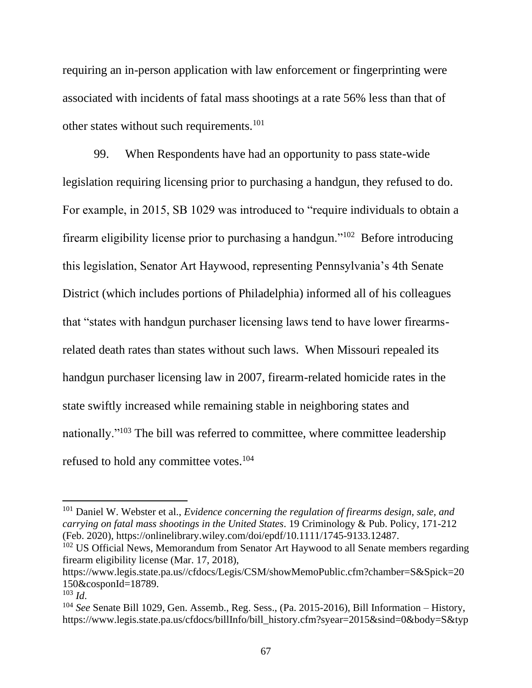requiring an in-person application with law enforcement or fingerprinting were associated with incidents of fatal mass shootings at a rate 56% less than that of other states without such requirements.<sup>101</sup>

99. When Respondents have had an opportunity to pass state-wide legislation requiring licensing prior to purchasing a handgun, they refused to do. For example, in 2015, SB 1029 was introduced to "require individuals to obtain a firearm eligibility license prior to purchasing a handgun."<sup>102</sup> Before introducing this legislation, Senator Art Haywood, representing Pennsylvania's 4th Senate District (which includes portions of Philadelphia) informed all of his colleagues that "states with handgun purchaser licensing laws tend to have lower firearmsrelated death rates than states without such laws. When Missouri repealed its handgun purchaser licensing law in 2007, firearm-related homicide rates in the state swiftly increased while remaining stable in neighboring states and nationally."<sup>103</sup> The bill was referred to committee, where committee leadership refused to hold any committee votes.<sup>104</sup>

<sup>101</sup> Daniel W. Webster et al., *Evidence concerning the regulation of firearms design, sale, and carrying on fatal mass shootings in the United States*. 19 Criminology & Pub. Policy, 171-212 (Feb. 2020), [https://onlinelibrary.](https://onlinelibrary/)wiley.com/doi/epdf/10.1111/1745-9133.12487.

 $102$  US Official News, Memorandum from Senator Art Haywood to all Senate members regarding firearm eligibility license (Mar. 17, 2018),

[https://www.](https://www/)legis.state.pa.us//cfdocs/Legis/CSM/showMemoPublic.cfm?chamber=S&Spick=20 150&cosponId=18789.

 $103$  *Id.* 

<sup>104</sup> *See* Senate Bill 1029, Gen. Assemb., Reg. Sess., (Pa. 2015-2016), Bill Information – History, https://www.legis.state.pa.us/cfdocs/billInfo/bill\_history.cfm?syear=2015&sind=0&body=S&typ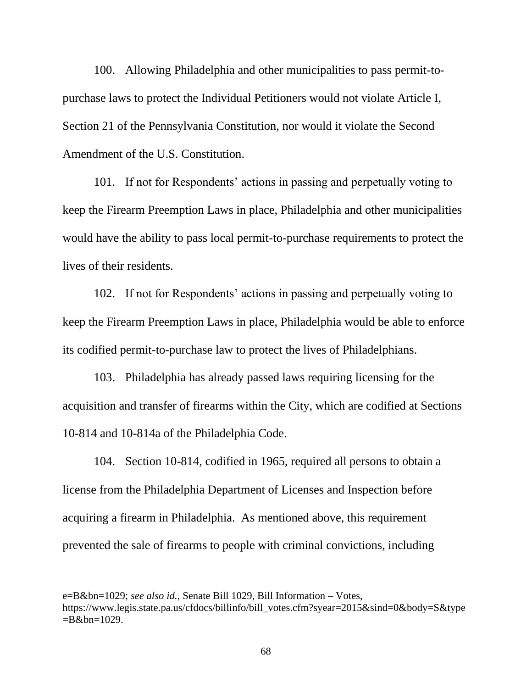100. Allowing Philadelphia and other municipalities to pass permit-topurchase laws to protect the Individual Petitioners would not violate Article I, Section 21 of the Pennsylvania Constitution, nor would it violate the Second Amendment of the U.S. Constitution.

101. If not for Respondents' actions in passing and perpetually voting to keep the Firearm Preemption Laws in place, Philadelphia and other municipalities would have the ability to pass local permit-to-purchase requirements to protect the lives of their residents.

102. If not for Respondents' actions in passing and perpetually voting to keep the Firearm Preemption Laws in place, Philadelphia would be able to enforce its codified permit-to-purchase law to protect the lives of Philadelphians.

103. Philadelphia has already passed laws requiring licensing for the acquisition and transfer of firearms within the City, which are codified at Sections 10-814 and 10-814a of the Philadelphia Code.

104. Section 10-814, codified in 1965, required all persons to obtain a license from the Philadelphia Department of Licenses and Inspection before acquiring a firearm in Philadelphia. As mentioned above, this requirement prevented the sale of firearms to people with criminal convictions, including

e=B&bn=1029; *see also id.*, Senate Bill 1029, Bill Information – Votes, https://www.legis.state.pa.us/cfdocs/billinfo/bill\_votes.cfm?syear=2015&sind=0&body=S&type  $= B & b$ n=1029.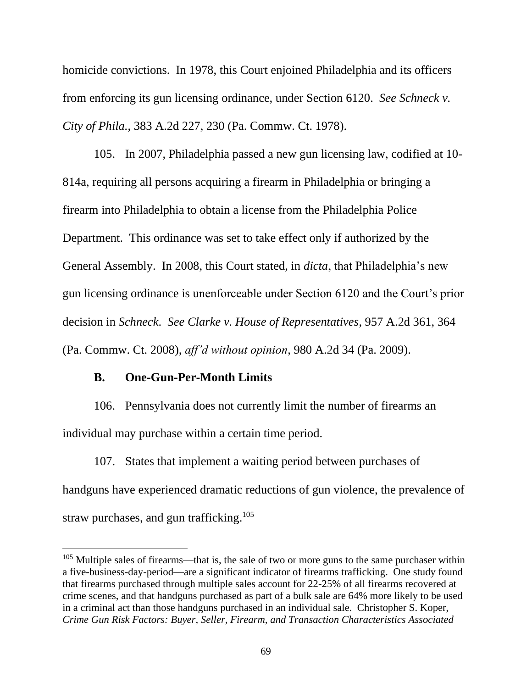homicide convictions. In 1978, this Court enjoined Philadelphia and its officers from enforcing its gun licensing ordinance, under Section 6120. *See Schneck v. City of Phila.*, 383 A.2d 227, 230 (Pa. Commw. Ct. 1978).

105. In 2007, Philadelphia passed a new gun licensing law, codified at 10- 814a, requiring all persons acquiring a firearm in Philadelphia or bringing a firearm into Philadelphia to obtain a license from the Philadelphia Police Department. This ordinance was set to take effect only if authorized by the General Assembly. In 2008, this Court stated, in *dicta*, that Philadelphia's new gun licensing ordinance is unenforceable under Section 6120 and the Court's prior decision in *Schneck*. *See Clarke v. House of Representatives*, 957 A.2d 361, 364 (Pa. Commw. Ct. 2008), *aff'd without opinion*, 980 A.2d 34 (Pa. 2009).

## **B. One-Gun-Per-Month Limits**

106. Pennsylvania does not currently limit the number of firearms an individual may purchase within a certain time period.

107. States that implement a waiting period between purchases of handguns have experienced dramatic reductions of gun violence, the prevalence of straw purchases, and gun trafficking.<sup>105</sup>

<sup>&</sup>lt;sup>105</sup> Multiple sales of firearms—that is, the sale of two or more guns to the same purchaser within a five-business-day-period—are a significant indicator of firearms trafficking. One study found that firearms purchased through multiple sales account for 22-25% of all firearms recovered at crime scenes, and that handguns purchased as part of a bulk sale are 64% more likely to be used in a criminal act than those handguns purchased in an individual sale. Christopher S. Koper, *Crime Gun Risk Factors: Buyer, Seller, Firearm, and Transaction Characteristics Associated*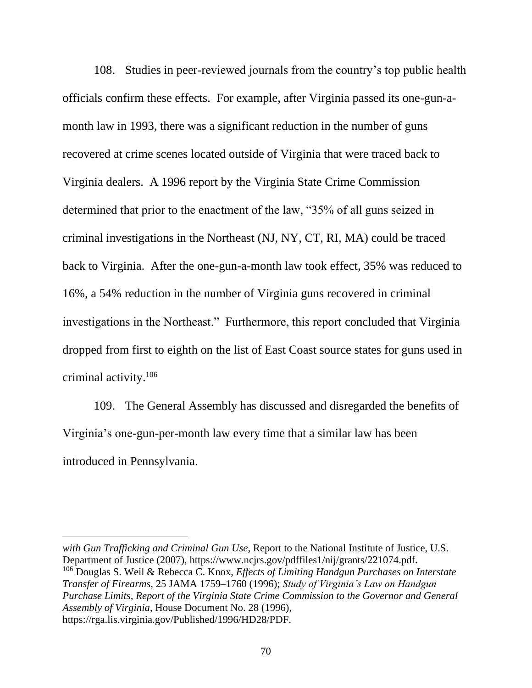108. Studies in peer-reviewed journals from the country's top public health officials confirm these effects. For example, after Virginia passed its one-gun-amonth law in 1993, there was a significant reduction in the number of guns recovered at crime scenes located outside of Virginia that were traced back to Virginia dealers. A 1996 report by the Virginia State Crime Commission determined that prior to the enactment of the law, "35% of all guns seized in criminal investigations in the Northeast (NJ, NY, CT, RI, MA) could be traced back to Virginia. After the one-gun-a-month law took effect, 35% was reduced to 16%, a 54% reduction in the number of Virginia guns recovered in criminal investigations in the Northeast." Furthermore, this report concluded that Virginia dropped from first to eighth on the list of East Coast source states for guns used in criminal activity.<sup>106</sup>

109. The General Assembly has discussed and disregarded the benefits of Virginia's one-gun-per-month law every time that a similar law has been introduced in Pennsylvania.

*with Gun Trafficking and Criminal Gun Use*, Report to the National Institute of Justice, U.S. Department of Justice (2007), [https://www.](https://www/)ncjrs.gov/pdffiles1/nij/grants/221074.pdf**.**  <sup>106</sup> Douglas S. Weil & Rebecca C. Knox, *Effects of Limiting Handgun Purchases on Interstate Transfer of Firearms,* 25 JAMA 1759–1760 (1996); *Study of Virginia's Law on Handgun Purchase Limits, Report of the Virginia State Crime Commission to the Governor and General Assembly of Virginia,* House Document No. 28 (1996), https://rga.lis.virginia.gov/Published/1996/HD28/PDF.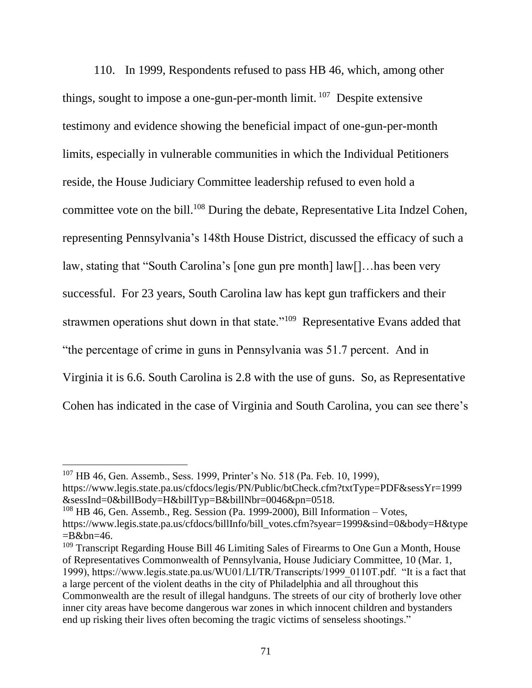110. In 1999, Respondents refused to pass HB 46, which, among other things, sought to impose a one-gun-per-month limit.  $107$  Despite extensive testimony and evidence showing the beneficial impact of one-gun-per-month limits, especially in vulnerable communities in which the Individual Petitioners reside, the House Judiciary Committee leadership refused to even hold a committee vote on the bill.<sup>108</sup> During the debate, Representative Lita Indzel Cohen, representing Pennsylvania's 148th House District, discussed the efficacy of such a law, stating that "South Carolina's [one gun pre month] law[]…has been very successful. For 23 years, South Carolina law has kept gun traffickers and their strawmen operations shut down in that state."<sup>109</sup> Representative Evans added that "the percentage of crime in guns in Pennsylvania was 51.7 percent. And in Virginia it is 6.6. South Carolina is 2.8 with the use of guns. So, as Representative Cohen has indicated in the case of Virginia and South Carolina, you can see there's

<sup>109</sup> Transcript Regarding House Bill 46 Limiting Sales of Firearms to One Gun a Month, House of Representatives Commonwealth of Pennsylvania, House Judiciary Committee, 10 (Mar. 1, 1999), https://www.legis.state.pa.us/WU01/LI/TR/Transcripts/1999\_0110T.pdf. "It is a fact that a large percent of the violent deaths in the city of Philadelphia and all throughout this Commonwealth are the result of illegal handguns. The streets of our city of brotherly love other inner city areas have become dangerous war zones in which innocent children and bystanders end up risking their lives often becoming the tragic victims of senseless shootings."

<sup>&</sup>lt;sup>107</sup> HB 46, Gen. Assemb., Sess. 1999, Printer's No. 518 (Pa. Feb. 10, 1999), https://www.legis.state.pa.us/cfdocs/legis/PN/Public/btCheck.cfm?txtType=PDF&sessYr=1999 &sessInd=0&billBody=H&billTyp=B&billNbr=0046&pn=0518.

 $108$  HB 46, Gen. Assemb., Reg. Session (Pa. 1999-2000), Bill Information – Votes, https://www.legis.state.pa.us/cfdocs/billInfo/bill\_votes.cfm?syear=1999&sind=0&body=H&type  $=$ B&bn=46.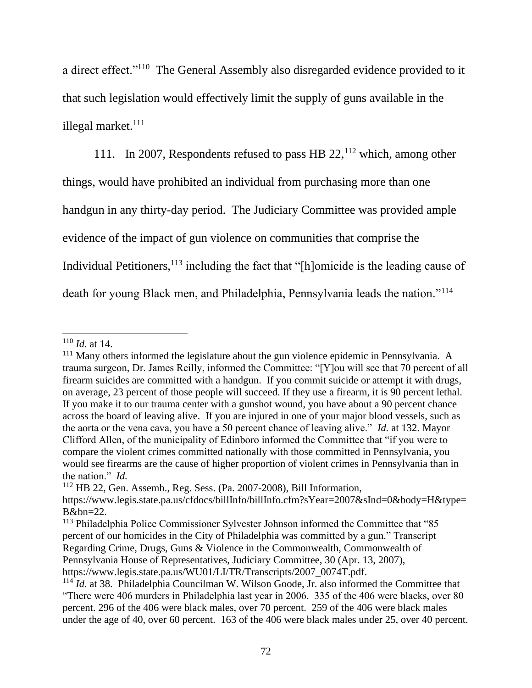a direct effect."<sup>110</sup> The General Assembly also disregarded evidence provided to it that such legislation would effectively limit the supply of guns available in the illegal market.<sup>111</sup>

111. In 2007, Respondents refused to pass HB  $22<sup>112</sup>$  which, among other things, would have prohibited an individual from purchasing more than one handgun in any thirty-day period. The Judiciary Committee was provided ample evidence of the impact of gun violence on communities that comprise the Individual Petitioners,  $113$  including the fact that "[h]omicide is the leading cause of death for young Black men, and Philadelphia, Pennsylvania leads the nation."<sup>114</sup>

<sup>110</sup> *Id.* at 14.

<sup>&</sup>lt;sup>111</sup> Many others informed the legislature about the gun violence epidemic in Pennsylvania. A trauma surgeon, Dr. James Reilly, informed the Committee: "[Y]ou will see that 70 percent of all firearm suicides are committed with a handgun. If you commit suicide or attempt it with drugs, on average, 23 percent of those people will succeed. If they use a firearm, it is 90 percent lethal. If you make it to our trauma center with a gunshot wound, you have about a 90 percent chance across the board of leaving alive. If you are injured in one of your major blood vessels, such as the aorta or the vena cava, you have a 50 percent chance of leaving alive." *Id.* at 132. Mayor Clifford Allen, of the municipality of Edinboro informed the Committee that "if you were to compare the violent crimes committed nationally with those committed in Pennsylvania, you would see firearms are the cause of higher proportion of violent crimes in Pennsylvania than in the nation." *Id.*

<sup>112</sup> HB 22, Gen. Assemb., Reg. Sess. (Pa. 2007-2008), Bill Information, https://www.legis.state.pa.us/cfdocs/billInfo/billInfo.cfm?sYear=2007&sInd=0&body=H&type= B&bn=22.

<sup>113</sup> Philadelphia Police Commissioner Sylvester Johnson informed the Committee that "85 percent of our homicides in the City of Philadelphia was committed by a gun." Transcript Regarding Crime, Drugs, Guns & Violence in the Commonwealth, Commonwealth of Pennsylvania House of Representatives, Judiciary Committee, 30 (Apr. 13, 2007), https://www.legis.state.pa.us/WU01/LI/TR/Transcripts/2007\_0074T.pdf.

<sup>&</sup>lt;sup>114</sup> *Id.* at 38. Philadelphia Councilman W. Wilson Goode, Jr. also informed the Committee that "There were 406 murders in Philadelphia last year in 2006. 335 of the 406 were blacks, over 80 percent. 296 of the 406 were black males, over 70 percent. 259 of the 406 were black males under the age of 40, over 60 percent. 163 of the 406 were black males under 25, over 40 percent.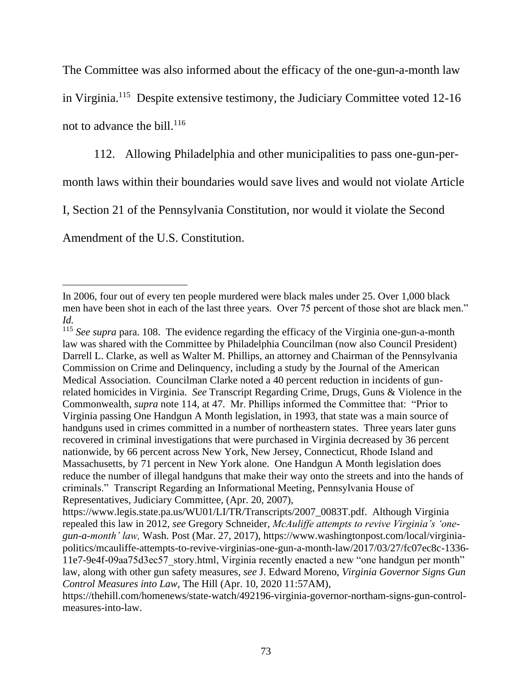The Committee was also informed about the efficacy of the one-gun-a-month law

in Virginia.<sup>115</sup> Despite extensive testimony, the Judiciary Committee voted 12-16

not to advance the bill.<sup>116</sup>

112. Allowing Philadelphia and other municipalities to pass one-gun-per-

month laws within their boundaries would save lives and would not violate Article

I, Section 21 of the Pennsylvania Constitution, nor would it violate the Second

Amendment of the U.S. Constitution.

In 2006, four out of every ten people murdered were black males under 25. Over 1,000 black men have been shot in each of the last three years. Over 75 percent of those shot are black men." *Id.*

<sup>115</sup> *See supra* para. 108. The evidence regarding the efficacy of the Virginia one-gun-a-month law was shared with the Committee by Philadelphia Councilman (now also Council President) Darrell L. Clarke, as well as Walter M. Phillips, an attorney and Chairman of the Pennsylvania Commission on Crime and Delinquency, including a study by the Journal of the American Medical Association. Councilman Clarke noted a 40 percent reduction in incidents of gunrelated homicides in Virginia. *See* Transcript Regarding Crime, Drugs, Guns & Violence in the Commonwealth, *supra* note 114, at 47.Mr. Phillips informed the Committee that: "Prior to Virginia passing One Handgun A Month legislation, in 1993, that state was a main source of handguns used in crimes committed in a number of northeastern states. Three years later guns recovered in criminal investigations that were purchased in Virginia decreased by 36 percent nationwide, by 66 percent across New York, New Jersey, Connecticut, Rhode Island and Massachusetts, by 71 percent in New York alone. One Handgun A Month legislation does reduce the number of illegal handguns that make their way onto the streets and into the hands of criminals." Transcript Regarding an Informational Meeting, Pennsylvania House of Representatives, Judiciary Committee, (Apr. 20, 2007),

https://www.legis.state.pa.us/WU01/LI/TR/Transcripts/2007\_0083T.pdf. Although Virginia repealed this law in 2012, *see* Gregory Schneider, *McAuliffe attempts to revive Virginia's 'onegun-a-month' law,* Wash. Post (Mar. 27, 2017), https://www.washingtonpost.com/local/virginiapolitics/mcauliffe-attempts-to-revive-virginias-one-gun-a-month-law/2017/03/27/fc07ec8c-1336- 11e7-9e4f-09aa75d3ec57\_story.html, Virginia recently enacted a new "one handgun per month" law, along with other gun safety measures, *see* J. Edward Moreno, *Virginia Governor Signs Gun Control Measures into Law,* The Hill (Apr. 10, 2020 11:57AM),

https://thehill.com/homenews/state-watch/492196-virginia-governor-northam-signs-gun-controlmeasures-into-law.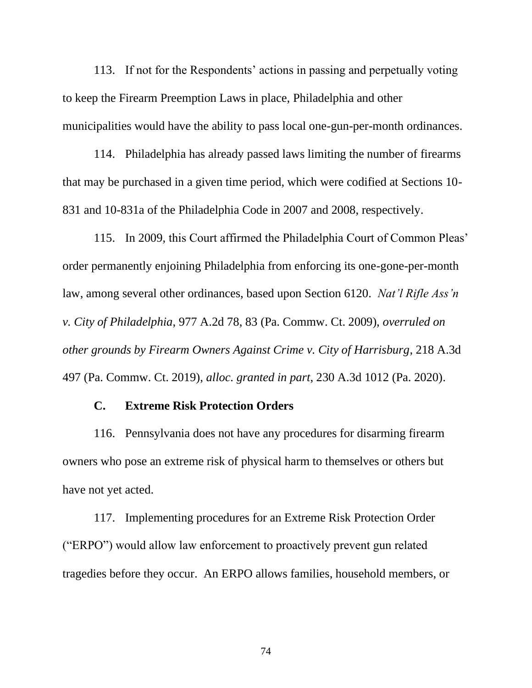113. If not for the Respondents' actions in passing and perpetually voting to keep the Firearm Preemption Laws in place, Philadelphia and other municipalities would have the ability to pass local one-gun-per-month ordinances.

114. Philadelphia has already passed laws limiting the number of firearms that may be purchased in a given time period, which were codified at Sections 10- 831 and 10-831a of the Philadelphia Code in 2007 and 2008, respectively.

115. In 2009, this Court affirmed the Philadelphia Court of Common Pleas' order permanently enjoining Philadelphia from enforcing its one-gone-per-month law, among several other ordinances, based upon Section 6120. *Nat'l Rifle Ass'n v. City of Philadelphia*, 977 A.2d 78, 83 (Pa. Commw. Ct. 2009), *overruled on other grounds by Firearm Owners Against Crime v. City of Harrisburg*, 218 A.3d 497 (Pa. Commw. Ct. 2019), *alloc. granted in part*, 230 A.3d 1012 (Pa. 2020).

### **C. Extreme Risk Protection Orders**

116. Pennsylvania does not have any procedures for disarming firearm owners who pose an extreme risk of physical harm to themselves or others but have not yet acted.

117. Implementing procedures for an Extreme Risk Protection Order ("ERPO") would allow law enforcement to proactively prevent gun related tragedies before they occur. An ERPO allows families, household members, or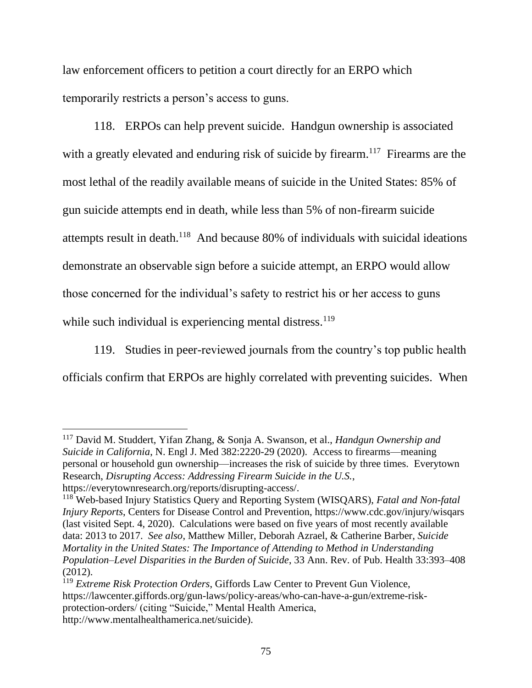law enforcement officers to petition a court directly for an ERPO which temporarily restricts a person's access to guns.

118. ERPOs can help prevent suicide. Handgun ownership is associated with a greatly elevated and enduring risk of suicide by firearm.<sup>117</sup> Firearms are the most lethal of the readily available means of suicide in the United States: 85% of gun suicide attempts end in death, while less than 5% of non-firearm suicide attempts result in death.<sup>118</sup> And because 80% of individuals with suicidal ideations demonstrate an observable sign before a suicide attempt, an ERPO would allow those concerned for the individual's safety to restrict his or her access to guns while such individual is experiencing mental distress. $119$ 

119. Studies in peer-reviewed journals from the country's top public health officials confirm that ERPOs are highly correlated with preventing suicides. When

<sup>117</sup> David M. Studdert, Yifan Zhang, & Sonja A. Swanson, et al., *Handgun Ownership and Suicide in California*, N. Engl J. Med 382:2220-29 (2020). Access to firearms—meaning personal or household gun ownership—increases the risk of suicide by three times. Everytown Research, *Disrupting Access: Addressing Firearm Suicide in the U.S.*, https://everytownresearch.org/reports/disrupting-access/.

<sup>119</sup> *Extreme Risk Protection Orders*, Giffords Law Center to Prevent Gun Violence, https://lawcenter.giffords.org/gun-laws/policy-areas/who-can-have-a-gun/extreme-riskprotection-orders/ (citing "Suicide," Mental Health America, http://www.mentalhealthamerica.net/suicide).

<sup>118</sup> Web-based Injury Statistics Query and Reporting System (WISQARS), *Fatal and Non-fatal Injury Reports*, Centers for Disease Control and Prevention, <https://www.cdc.gov/injury/wisqars> (last visited Sept. 4, 2020). Calculations were based on five years of most recently available data: 2013 to 2017. *See also*, Matthew Miller, Deborah Azrael, & Catherine Barber, *Suicide Mortality in the United States: The Importance of Attending to Method in Understanding Population–Level Disparities in the Burden of Suicide*, 33 Ann. Rev. of Pub. Health 33:393–408 (2012).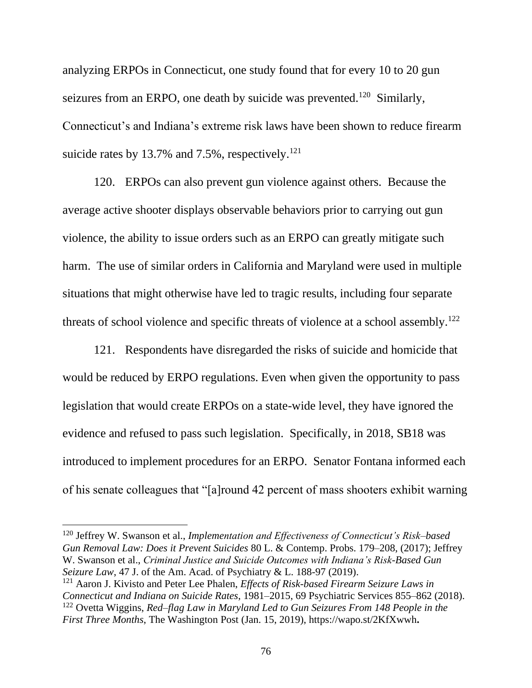analyzing ERPOs in Connecticut, one study found that for every 10 to 20 gun seizures from an ERPO, one death by suicide was prevented.<sup>120</sup> Similarly, Connecticut's and Indiana's extreme risk laws have been shown to reduce firearm suicide rates by 13.7% and 7.5%, respectively.<sup>121</sup>

120. ERPOs can also prevent gun violence against others. Because the average active shooter displays observable behaviors prior to carrying out gun violence, the ability to issue orders such as an ERPO can greatly mitigate such harm. The use of similar orders in California and Maryland were used in multiple situations that might otherwise have led to tragic results, including four separate threats of school violence and specific threats of violence at a school assembly.<sup>122</sup>

121. Respondents have disregarded the risks of suicide and homicide that would be reduced by ERPO regulations. Even when given the opportunity to pass legislation that would create ERPOs on a state-wide level, they have ignored the evidence and refused to pass such legislation. Specifically, in 2018, SB18 was introduced to implement procedures for an ERPO. Senator Fontana informed each of his senate colleagues that "[a]round 42 percent of mass shooters exhibit warning

<sup>120</sup> Jeffrey W. Swanson et al., *Implementation and Effectiveness of Connecticut's Risk–based Gun Removal Law: Does it Prevent Suicides* 80 L. & Contemp. Probs. 179–208, (2017); Jeffrey W. Swanson et al., *Criminal Justice and Suicide Outcomes with Indiana's Risk-Based Gun Seizure Law*, 47 J. of the Am. Acad. of Psychiatry & L. 188-97 (2019).

<sup>121</sup> Aaron J. Kivisto and Peter Lee Phalen, *Effects of Risk-based Firearm Seizure Laws in Connecticut and Indiana on Suicide Rates*, 1981–2015, 69 Psychiatric Services 855–862 (2018). <sup>122</sup> Ovetta Wiggins, *Red–flag Law in Maryland Led to Gun Seizures From 148 People in the First Three Months*, The Washington Post (Jan. 15, 2019), https://wapo.st/2KfXwwh**.**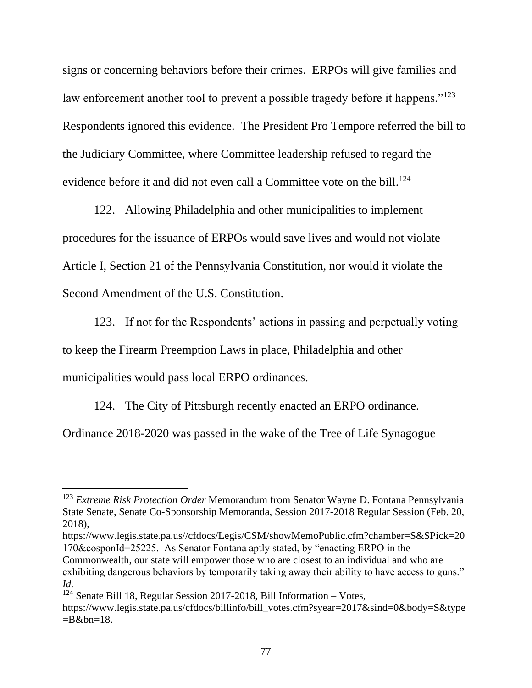signs or concerning behaviors before their crimes. ERPOs will give families and law enforcement another tool to prevent a possible tragedy before it happens."<sup>123</sup> Respondents ignored this evidence. The President Pro Tempore referred the bill to the Judiciary Committee, where Committee leadership refused to regard the evidence before it and did not even call a Committee vote on the bill.<sup>124</sup>

122. Allowing Philadelphia and other municipalities to implement procedures for the issuance of ERPOs would save lives and would not violate Article I, Section 21 of the Pennsylvania Constitution, nor would it violate the Second Amendment of the U.S. Constitution.

123. If not for the Respondents' actions in passing and perpetually voting to keep the Firearm Preemption Laws in place, Philadelphia and other municipalities would pass local ERPO ordinances.

124. The City of Pittsburgh recently enacted an ERPO ordinance.

Ordinance 2018-2020 was passed in the wake of the Tree of Life Synagogue

https://www.legis.state.pa.us//cfdocs/Legis/CSM/showMemoPublic.cfm?chamber=S&SPick=20 170&cosponId=25225. As Senator Fontana aptly stated, by "enacting ERPO in the

Commonwealth, our state will empower those who are closest to an individual and who are exhibiting dangerous behaviors by temporarily taking away their ability to have access to guns." *Id.* 

<sup>123</sup> *Extreme Risk Protection Order* Memorandum from Senator Wayne D. Fontana Pennsylvania State Senate, Senate Co-Sponsorship Memoranda, Session 2017-2018 Regular Session (Feb. 20, 2018),

 $124$  Senate Bill 18, Regular Session 2017-2018, Bill Information – Votes, [https://www.legis.state.pa.us/cfdocs/billinfo/bill\\_votes.cfm?syear=2017&sind=0&body=S&type](https://www.legis.state.pa.us/cfdocs/billinfo/bill_votes.cfm?syear=2017&sind=0&body=S&type=B&bn=18)  $=$ B&bn $=$ 18.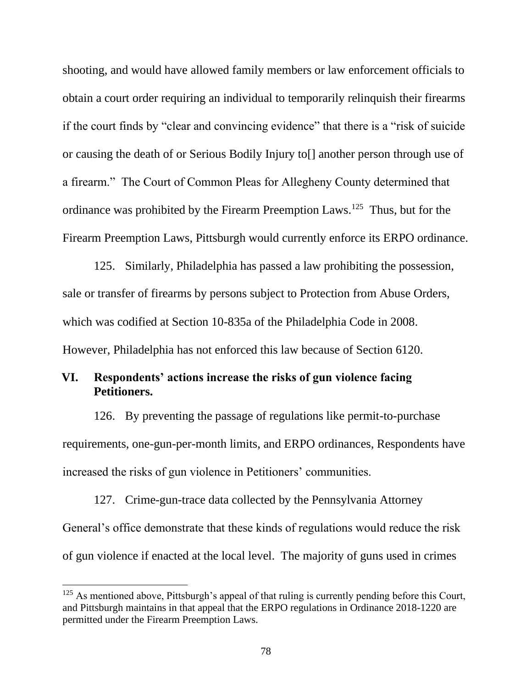shooting, and would have allowed family members or law enforcement officials to obtain a court order requiring an individual to temporarily relinquish their firearms if the court finds by "clear and convincing evidence" that there is a "risk of suicide or causing the death of or Serious Bodily Injury to[] another person through use of a firearm." The Court of Common Pleas for Allegheny County determined that ordinance was prohibited by the Firearm Preemption Laws.<sup>125</sup> Thus, but for the Firearm Preemption Laws, Pittsburgh would currently enforce its ERPO ordinance.

125. Similarly, Philadelphia has passed a law prohibiting the possession, sale or transfer of firearms by persons subject to Protection from Abuse Orders, which was codified at Section 10-835a of the Philadelphia Code in 2008. However, Philadelphia has not enforced this law because of Section 6120.

# **VI. Respondents' actions increase the risks of gun violence facing Petitioners.**

126. By preventing the passage of regulations like permit-to-purchase requirements, one-gun-per-month limits, and ERPO ordinances, Respondents have increased the risks of gun violence in Petitioners' communities.

127. Crime-gun-trace data collected by the Pennsylvania Attorney General's office demonstrate that these kinds of regulations would reduce the risk of gun violence if enacted at the local level. The majority of guns used in crimes

 $125$  As mentioned above, Pittsburgh's appeal of that ruling is currently pending before this Court, and Pittsburgh maintains in that appeal that the ERPO regulations in Ordinance 2018-1220 are permitted under the Firearm Preemption Laws.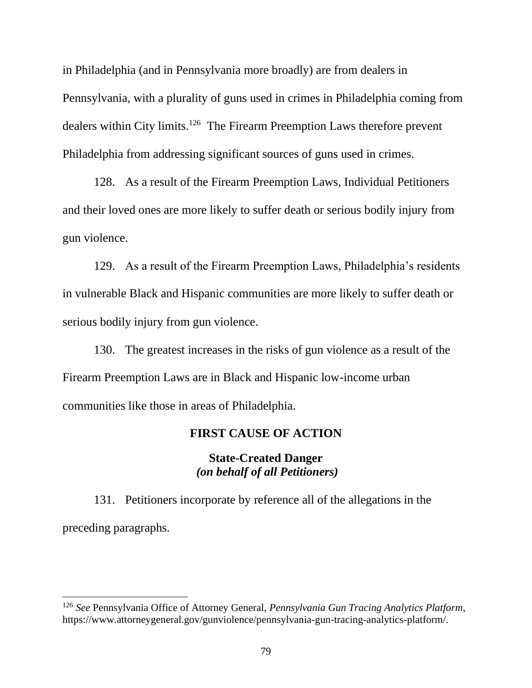in Philadelphia (and in Pennsylvania more broadly) are from dealers in Pennsylvania, with a plurality of guns used in crimes in Philadelphia coming from dealers within City limits.<sup>126</sup> The Firearm Preemption Laws therefore prevent Philadelphia from addressing significant sources of guns used in crimes.

128. As a result of the Firearm Preemption Laws, Individual Petitioners and their loved ones are more likely to suffer death or serious bodily injury from gun violence.

129. As a result of the Firearm Preemption Laws, Philadelphia's residents in vulnerable Black and Hispanic communities are more likely to suffer death or serious bodily injury from gun violence.

130. The greatest increases in the risks of gun violence as a result of the Firearm Preemption Laws are in Black and Hispanic low-income urban communities like those in areas of Philadelphia.

### **FIRST CAUSE OF ACTION**

## **State-Created Danger** *(on behalf of all Petitioners)*

131. Petitioners incorporate by reference all of the allegations in the preceding paragraphs.

<sup>126</sup> *See* Pennsylvania Office of Attorney General, *Pennsylvania Gun Tracing Analytics Platform*, [https://www.attorneygeneral.gov/gunviolence/pennsylvania-gun-tracing-analytics-platform/.](https://www.attorneygeneral.gov/gunviolence/pennsylvania-gun-tracing-analytics-platform/)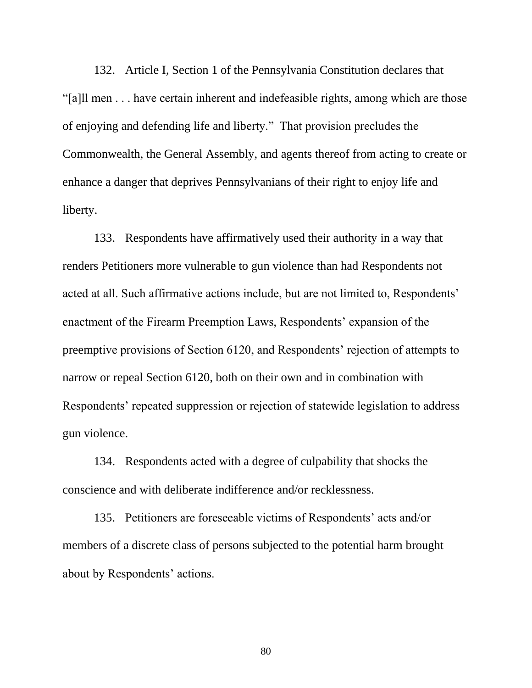132. Article I, Section 1 of the Pennsylvania Constitution declares that "[a]ll men . . . have certain inherent and indefeasible rights, among which are those of enjoying and defending life and liberty." That provision precludes the Commonwealth, the General Assembly, and agents thereof from acting to create or enhance a danger that deprives Pennsylvanians of their right to enjoy life and liberty.

133. Respondents have affirmatively used their authority in a way that renders Petitioners more vulnerable to gun violence than had Respondents not acted at all. Such affirmative actions include, but are not limited to, Respondents' enactment of the Firearm Preemption Laws, Respondents' expansion of the preemptive provisions of Section 6120, and Respondents' rejection of attempts to narrow or repeal Section 6120, both on their own and in combination with Respondents' repeated suppression or rejection of statewide legislation to address gun violence.

134. Respondents acted with a degree of culpability that shocks the conscience and with deliberate indifference and/or recklessness.

135. Petitioners are foreseeable victims of Respondents' acts and/or members of a discrete class of persons subjected to the potential harm brought about by Respondents' actions.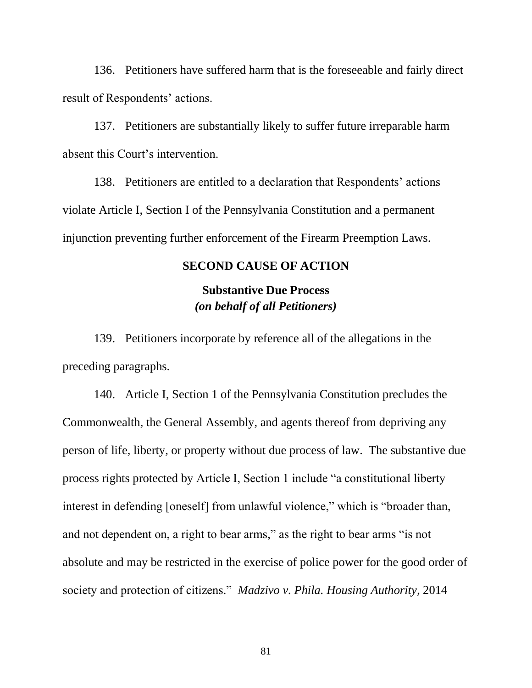136. Petitioners have suffered harm that is the foreseeable and fairly direct result of Respondents' actions.

137. Petitioners are substantially likely to suffer future irreparable harm absent this Court's intervention.

138. Petitioners are entitled to a declaration that Respondents' actions violate Article I, Section I of the Pennsylvania Constitution and a permanent injunction preventing further enforcement of the Firearm Preemption Laws.

### **SECOND CAUSE OF ACTION**

# **Substantive Due Process** *(on behalf of all Petitioners)*

139. Petitioners incorporate by reference all of the allegations in the preceding paragraphs.

140. Article I, Section 1 of the Pennsylvania Constitution precludes the Commonwealth, the General Assembly, and agents thereof from depriving any person of life, liberty, or property without due process of law. The substantive due process rights protected by Article I, Section 1 include "a constitutional liberty interest in defending [oneself] from unlawful violence," which is "broader than, and not dependent on, a right to bear arms," as the right to bear arms "is not absolute and may be restricted in the exercise of police power for the good order of society and protection of citizens." *Madzivo v. Phila. Housing Authority*, 2014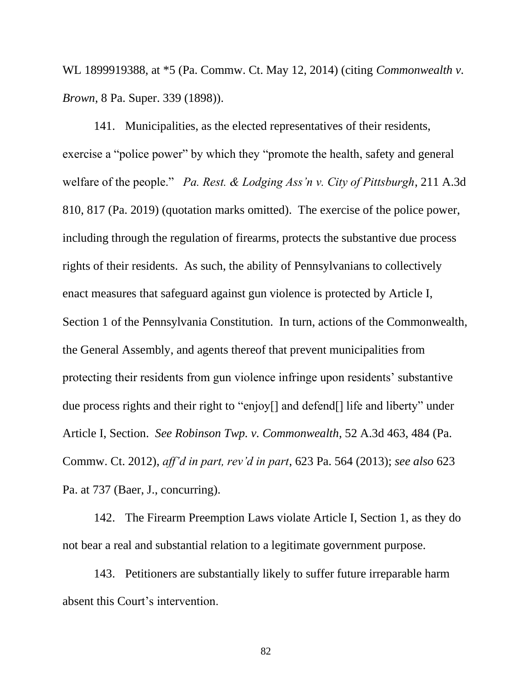WL 1899919388, at \*5 (Pa. Commw. Ct. May 12, 2014) (citing *Commonwealth v. Brown*, 8 Pa. Super. 339 (1898)).

141. Municipalities, as the elected representatives of their residents, exercise a "police power" by which they "promote the health, safety and general welfare of the people." *Pa. Rest. & Lodging Ass'n v. City of Pittsburgh*, 211 A.3d 810, 817 (Pa. 2019) (quotation marks omitted). The exercise of the police power, including through the regulation of firearms, protects the substantive due process rights of their residents. As such, the ability of Pennsylvanians to collectively enact measures that safeguard against gun violence is protected by Article I, Section 1 of the Pennsylvania Constitution. In turn, actions of the Commonwealth, the General Assembly, and agents thereof that prevent municipalities from protecting their residents from gun violence infringe upon residents' substantive due process rights and their right to "enjoy[] and defend[] life and liberty" under Article I, Section. *See Robinson Twp. v. Commonwealth*, 52 A.3d 463, 484 (Pa. Commw. Ct. 2012), *aff'd in part, rev'd in part*, 623 Pa. 564 (2013); *see also* 623 Pa. at 737 (Baer, J., concurring).

142. The Firearm Preemption Laws violate Article I, Section 1, as they do not bear a real and substantial relation to a legitimate government purpose.

143. Petitioners are substantially likely to suffer future irreparable harm absent this Court's intervention.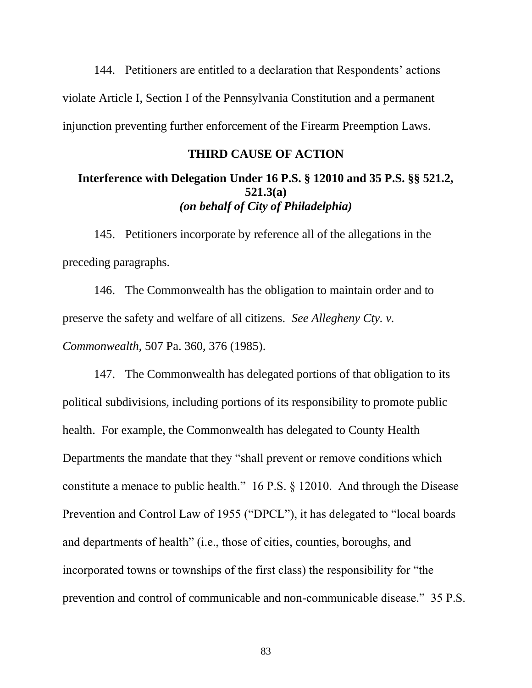144. Petitioners are entitled to a declaration that Respondents' actions violate Article I, Section I of the Pennsylvania Constitution and a permanent injunction preventing further enforcement of the Firearm Preemption Laws.

## **THIRD CAUSE OF ACTION**

# **Interference with Delegation Under 16 P.S. § 12010 and 35 P.S. §§ 521.2, 521.3(a)** *(on behalf of City of Philadelphia)*

145. Petitioners incorporate by reference all of the allegations in the preceding paragraphs.

146. The Commonwealth has the obligation to maintain order and to preserve the safety and welfare of all citizens. *See Allegheny Cty. v. Commonwealth*, 507 Pa. 360, 376 (1985).

147. The Commonwealth has delegated portions of that obligation to its political subdivisions, including portions of its responsibility to promote public health. For example, the Commonwealth has delegated to County Health Departments the mandate that they "shall prevent or remove conditions which constitute a menace to public health." 16 P.S. § 12010. And through the Disease Prevention and Control Law of 1955 ("DPCL"), it has delegated to "local boards and departments of health" (i.e., those of cities, counties, boroughs, and incorporated towns or townships of the first class) the responsibility for "the prevention and control of communicable and non-communicable disease." 35 P.S.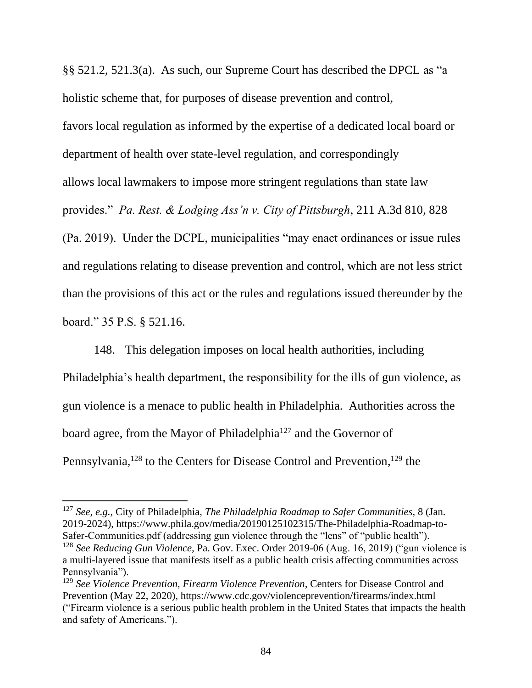§§ 521.2, 521.3(a). As such, our Supreme Court has described the DPCL as "a holistic scheme that, for purposes of disease prevention and control, favors local regulation as informed by the expertise of a dedicated local board or department of health over state-level regulation, and correspondingly allows local lawmakers to impose more stringent regulations than state law provides." *Pa. Rest. & Lodging Ass'n v. City of Pittsburgh*, 211 A.3d 810, 828 (Pa. 2019). Under the DCPL, municipalities "may enact ordinances or issue rules and regulations relating to disease prevention and control, which are not less strict than the provisions of this act or the rules and regulations issued thereunder by the board." 35 P.S. § 521.16.

148. This delegation imposes on local health authorities, including Philadelphia's health department, the responsibility for the ills of gun violence, as gun violence is a menace to public health in Philadelphia. Authorities across the board agree, from the Mayor of Philadelphia<sup>127</sup> and the Governor of Pennsylvania,<sup>128</sup> to the Centers for Disease Control and Prevention,<sup>129</sup> the

<sup>127</sup> *See, e.g.*, City of Philadelphia, *The Philadelphia Roadmap to Safer Communities*, 8 (Jan. 2019-2024), https://www.phila.gov/media/20190125102315/The-Philadelphia-Roadmap-to-Safer-Communities.pdf (addressing gun violence through the "lens" of "public health").

<sup>128</sup> *See Reducing Gun Violence,* Pa. Gov. Exec. Order 2019-06 (Aug. 16, 2019) ("gun violence is a multi-layered issue that manifests itself as a public health crisis affecting communities across Pennsylvania").

<sup>&</sup>lt;sup>129</sup> See Violence Prevention, Firearm Violence Prevention, Centers for Disease Control and Prevention (May 22, 2020), https://www.cdc.gov/violenceprevention/firearms/index.html ("Firearm violence is a serious public health problem in the United States that impacts the health and safety of Americans.").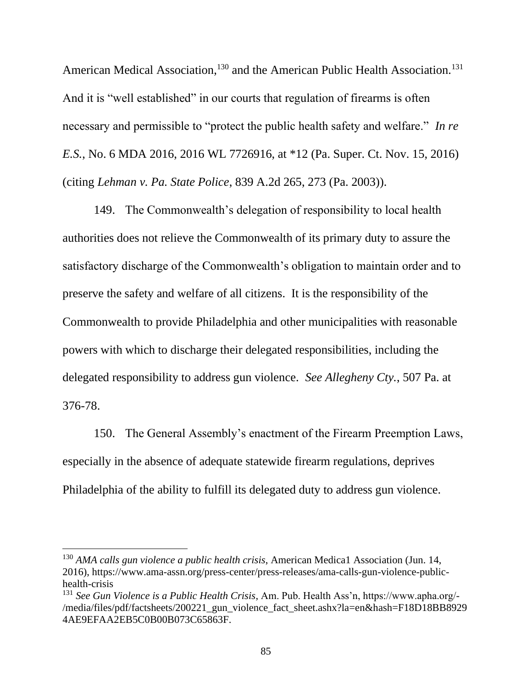American Medical Association,<sup>130</sup> and the American Public Health Association.<sup>131</sup> And it is "well established" in our courts that regulation of firearms is often necessary and permissible to "protect the public health safety and welfare." *In re E.S.*, No. 6 MDA 2016, 2016 WL 7726916, at \*12 (Pa. Super. Ct. Nov. 15, 2016) (citing *Lehman v. Pa. State Police*, 839 A.2d 265, 273 (Pa. 2003)).

149. The Commonwealth's delegation of responsibility to local health authorities does not relieve the Commonwealth of its primary duty to assure the satisfactory discharge of the Commonwealth's obligation to maintain order and to preserve the safety and welfare of all citizens. It is the responsibility of the Commonwealth to provide Philadelphia and other municipalities with reasonable powers with which to discharge their delegated responsibilities, including the delegated responsibility to address gun violence. *See Allegheny Cty.*, 507 Pa. at 376-78.

150. The General Assembly's enactment of the Firearm Preemption Laws, especially in the absence of adequate statewide firearm regulations, deprives Philadelphia of the ability to fulfill its delegated duty to address gun violence.

<sup>130</sup> *AMA calls gun violence a public health crisis*, American Medica1 Association (Jun. 14, 2016), https://www.ama-assn.org/press-center/press-releases/ama-calls-gun-violence-publichealth-crisis

<sup>131</sup> *See Gun Violence is a Public Health Crisis*, Am. Pub. Health Ass'n, https://www.apha.org/- /media/files/pdf/factsheets/200221\_gun\_violence\_fact\_sheet.ashx?la=en&hash=F18D18BB8929 4AE9EFAA2EB5C0B00B073C65863F.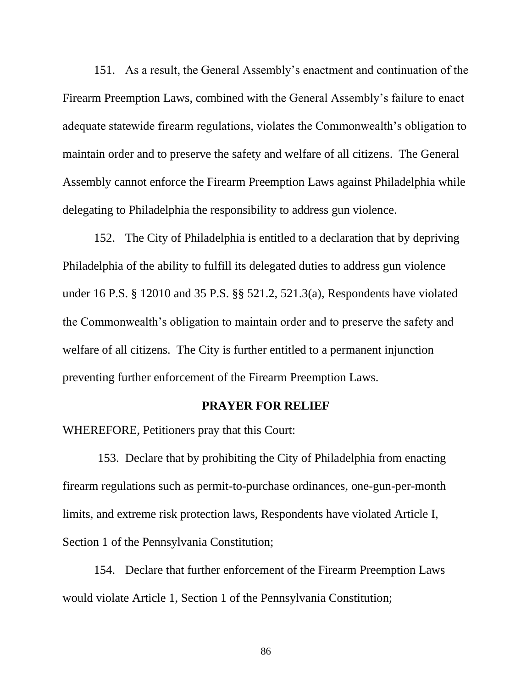151. As a result, the General Assembly's enactment and continuation of the Firearm Preemption Laws, combined with the General Assembly's failure to enact adequate statewide firearm regulations, violates the Commonwealth's obligation to maintain order and to preserve the safety and welfare of all citizens. The General Assembly cannot enforce the Firearm Preemption Laws against Philadelphia while delegating to Philadelphia the responsibility to address gun violence.

152. The City of Philadelphia is entitled to a declaration that by depriving Philadelphia of the ability to fulfill its delegated duties to address gun violence under 16 P.S. § 12010 and 35 P.S. §§ 521.2, 521.3(a), Respondents have violated the Commonwealth's obligation to maintain order and to preserve the safety and welfare of all citizens. The City is further entitled to a permanent injunction preventing further enforcement of the Firearm Preemption Laws.

#### **PRAYER FOR RELIEF**

WHEREFORE, Petitioners pray that this Court:

153. Declare that by prohibiting the City of Philadelphia from enacting firearm regulations such as permit-to-purchase ordinances, one-gun-per-month limits, and extreme risk protection laws, Respondents have violated Article I, Section 1 of the Pennsylvania Constitution;

154. Declare that further enforcement of the Firearm Preemption Laws would violate Article 1, Section 1 of the Pennsylvania Constitution;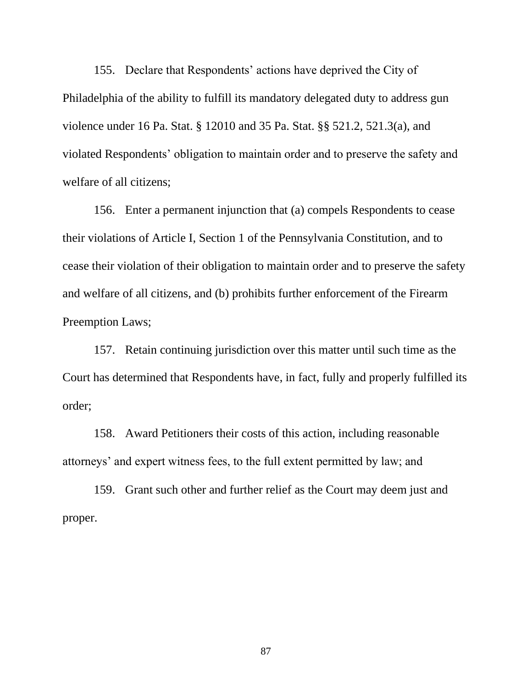155. Declare that Respondents' actions have deprived the City of Philadelphia of the ability to fulfill its mandatory delegated duty to address gun violence under 16 Pa. Stat. § 12010 and 35 Pa. Stat. §§ 521.2, 521.3(a), and violated Respondents' obligation to maintain order and to preserve the safety and welfare of all citizens;

156. Enter a permanent injunction that (a) compels Respondents to cease their violations of Article I, Section 1 of the Pennsylvania Constitution, and to cease their violation of their obligation to maintain order and to preserve the safety and welfare of all citizens, and (b) prohibits further enforcement of the Firearm Preemption Laws;

157. Retain continuing jurisdiction over this matter until such time as the Court has determined that Respondents have, in fact, fully and properly fulfilled its order;

158. Award Petitioners their costs of this action, including reasonable attorneys' and expert witness fees, to the full extent permitted by law; and

159. Grant such other and further relief as the Court may deem just and proper.